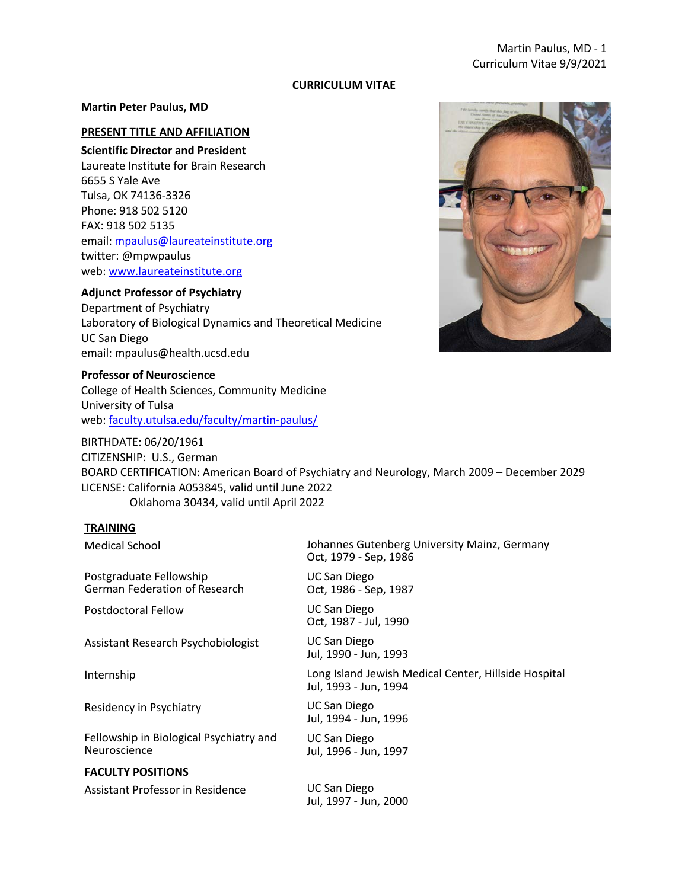#### **CURRICULUM VITAE**

#### **Martin Peter Paulus, MD**

#### **PRESENT TITLE AND AFFILIATION**

#### **Scientific Director and President**

Laureate Institute for Brain Research 6655 S Yale Ave Tulsa, OK 74136-3326 Phone: 918 502 5120 FAX: 918 502 5135 email: mpaulus@laureateinstitute.org twitter: @mpwpaulus web: www.laureateinstitute.org

# **Adjunct Professor of Psychiatry**

Department of Psychiatry Laboratory of Biological Dynamics and Theoretical Medicine UC San Diego email: mpaulus@health.ucsd.edu

#### **Professor of Neuroscience**

College of Health Sciences, Community Medicine University of Tulsa web: faculty.utulsa.edu/faculty/martin-paulus/

BIRTHDATE: 06/20/1961 CITIZENSHIP: U.S., German BOARD CERTIFICATION: American Board of Psychiatry and Neurology, March 2009 – December 2029 LICENSE: California A053845, valid until June 2022 Oklahoma 30434, valid until April 2022

#### **TRAINING**

Medical School Johannes Gutenberg University Mainz, Germany Oct, 1979 - Sep, 1986 Postgraduate Fellowship German Federation of Research UC San Diego Oct, 1986 - Sep, 1987 Postdoctoral Fellow UC San Diego Oct, 1987 - Jul, 1990 Assistant Research Psychobiologist UC San Diego Jul, 1990 - Jun, 1993 Internship Long Island Jewish Medical Center, Hillside Hospital Jul, 1993 - Jun, 1994 Residency in Psychiatry **Example 20 YOS** UC San Diego Jul, 1994 - Jun, 1996 Fellowship in Biological Psychiatry and **Neuroscience** UC San Diego Jul, 1996 - Jun, 1997 **FACULTY POSITIONS** Assistant Professor in Residence **UC San Diego** Jul, 1997 - Jun, 2000

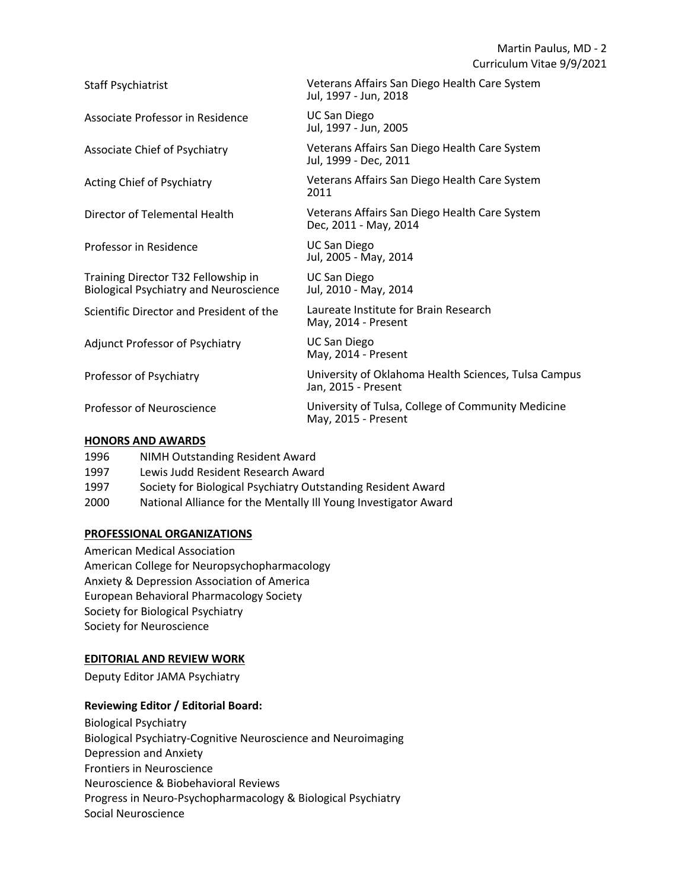Staff Psychiatrist Veterans Affairs San Diego Health Care System Jul, 1997 - Jun, 2018

Jul, 1997 - Jun, 2005

Jul, 1999 - Dec, 2011

Dec, 2011 - May, 2014

Jul, 2005 - May, 2014

Jul, 2010 - May, 2014

May, 2014 - Present

May, 2014 - Present

Jan, 2015 - Present

May, 2015 - Present

UC San Diego

2011

Associate Professor in Residence UC San Diego

Associate Chief of Psychiatry Veterans Affairs San Diego Health Care System

Acting Chief of Psychiatry Veterans Affairs San Diego Health Care System

Director of Telemental Health Veterans Affairs San Diego Health Care System

Professor in Residence UC San Diego

Training Director T32 Fellowship in Biological Psychiatry and Neuroscience

Scientific Director and President of the Laureate Institute for Brain Research

Adjunct Professor of Psychiatry UC San Diego

Professor of Psychiatry University of Oklahoma Health Sciences, Tulsa Campus

Professor of Neuroscience University of Tulsa, College of Community Medicine

### **HONORS AND AWARDS**

- 1996 1997 1997 NIMH Outstanding Resident Award Lewis Judd Resident Research Award Society for Biological Psychiatry Outstanding Resident Award
- 2000 National Alliance for the Mentally Ill Young Investigator Award

# **PROFESSIONAL ORGANIZATIONS**

American Medical Association American College for Neuropsychopharmacology Anxiety & Depression Association of America European Behavioral Pharmacology Society Society for Biological Psychiatry Society for Neuroscience

# **EDITORIAL AND REVIEW WORK**

Deputy Editor JAMA Psychiatry

# **Reviewing Editor / Editorial Board:**

Biological Psychiatry Biological Psychiatry-Cognitive Neuroscience and Neuroimaging Depression and Anxiety Frontiers in Neuroscience Neuroscience & Biobehavioral Reviews Progress in Neuro-Psychopharmacology & Biological Psychiatry Social Neuroscience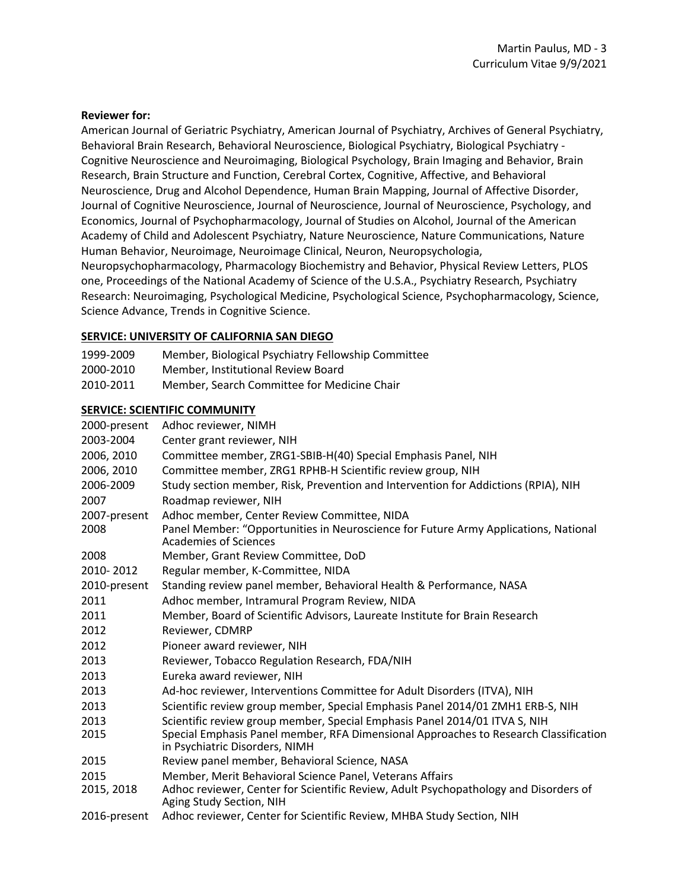### **Reviewer for:**

American Journal of Geriatric Psychiatry, American Journal of Psychiatry, Archives of General Psychiatry, Behavioral Brain Research, Behavioral Neuroscience, Biological Psychiatry, Biological Psychiatry - Cognitive Neuroscience and Neuroimaging, Biological Psychology, Brain Imaging and Behavior, Brain Research, Brain Structure and Function, Cerebral Cortex, Cognitive, Affective, and Behavioral Neuroscience, Drug and Alcohol Dependence, Human Brain Mapping, Journal of Affective Disorder, Journal of Cognitive Neuroscience, Journal of Neuroscience, Journal of Neuroscience, Psychology, and Economics, Journal of Psychopharmacology, Journal of Studies on Alcohol, Journal of the American Academy of Child and Adolescent Psychiatry, Nature Neuroscience, Nature Communications, Nature Human Behavior, Neuroimage, Neuroimage Clinical, Neuron, Neuropsychologia,

Neuropsychopharmacology, Pharmacology Biochemistry and Behavior, Physical Review Letters, PLOS one, Proceedings of the National Academy of Science of the U.S.A., Psychiatry Research, Psychiatry Research: Neuroimaging, Psychological Medicine, Psychological Science, Psychopharmacology, Science, Science Advance, Trends in Cognitive Science.

### **SERVICE: UNIVERSITY OF CALIFORNIA SAN DIEGO**

| 1999-2009 | Member, Biological Psychiatry Fellowship Committee |
|-----------|----------------------------------------------------|
| 2000-2010 | Member, Institutional Review Board                 |
| 2010-2011 | Member, Search Committee for Medicine Chair        |

### **SERVICE: SCIENTIFIC COMMUNITY**

| 2000-present | Adhoc reviewer, NIMH                                                                                                   |
|--------------|------------------------------------------------------------------------------------------------------------------------|
| 2003-2004    | Center grant reviewer, NIH                                                                                             |
| 2006, 2010   | Committee member, ZRG1-SBIB-H(40) Special Emphasis Panel, NIH                                                          |
| 2006, 2010   | Committee member, ZRG1 RPHB-H Scientific review group, NIH                                                             |
| 2006-2009    | Study section member, Risk, Prevention and Intervention for Addictions (RPIA), NIH                                     |
| 2007         | Roadmap reviewer, NIH                                                                                                  |
| 2007-present | Adhoc member, Center Review Committee, NIDA                                                                            |
| 2008         | Panel Member: "Opportunities in Neuroscience for Future Army Applications, National<br><b>Academies of Sciences</b>    |
| 2008         | Member, Grant Review Committee, DoD                                                                                    |
| 2010-2012    | Regular member, K-Committee, NIDA                                                                                      |
| 2010-present | Standing review panel member, Behavioral Health & Performance, NASA                                                    |
| 2011         | Adhoc member, Intramural Program Review, NIDA                                                                          |
| 2011         | Member, Board of Scientific Advisors, Laureate Institute for Brain Research                                            |
| 2012         | Reviewer, CDMRP                                                                                                        |
| 2012         | Pioneer award reviewer, NIH                                                                                            |
| 2013         | Reviewer, Tobacco Regulation Research, FDA/NIH                                                                         |
| 2013         | Eureka award reviewer, NIH                                                                                             |
| 2013         | Ad-hoc reviewer, Interventions Committee for Adult Disorders (ITVA), NIH                                               |
| 2013         | Scientific review group member, Special Emphasis Panel 2014/01 ZMH1 ERB-S, NIH                                         |
| 2013         | Scientific review group member, Special Emphasis Panel 2014/01 ITVA S, NIH                                             |
| 2015         | Special Emphasis Panel member, RFA Dimensional Approaches to Research Classification<br>in Psychiatric Disorders, NIMH |
| 2015         | Review panel member, Behavioral Science, NASA                                                                          |
| 2015         | Member, Merit Behavioral Science Panel, Veterans Affairs                                                               |
| 2015, 2018   | Adhoc reviewer, Center for Scientific Review, Adult Psychopathology and Disorders of<br>Aging Study Section, NIH       |
| 2016-present | Adhoc reviewer, Center for Scientific Review, MHBA Study Section, NIH                                                  |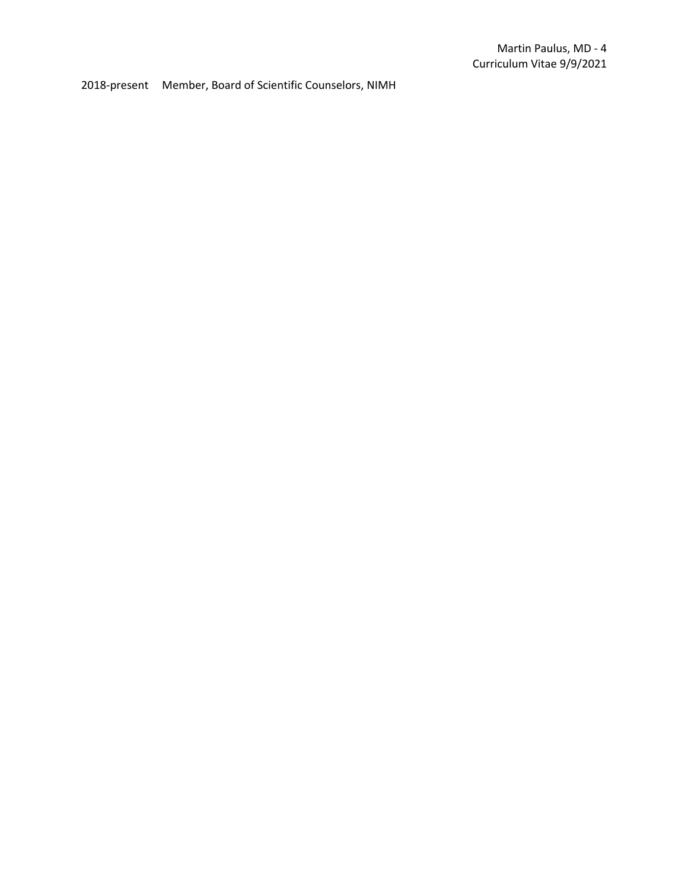2018-present Member, Board of Scientific Counselors, NIMH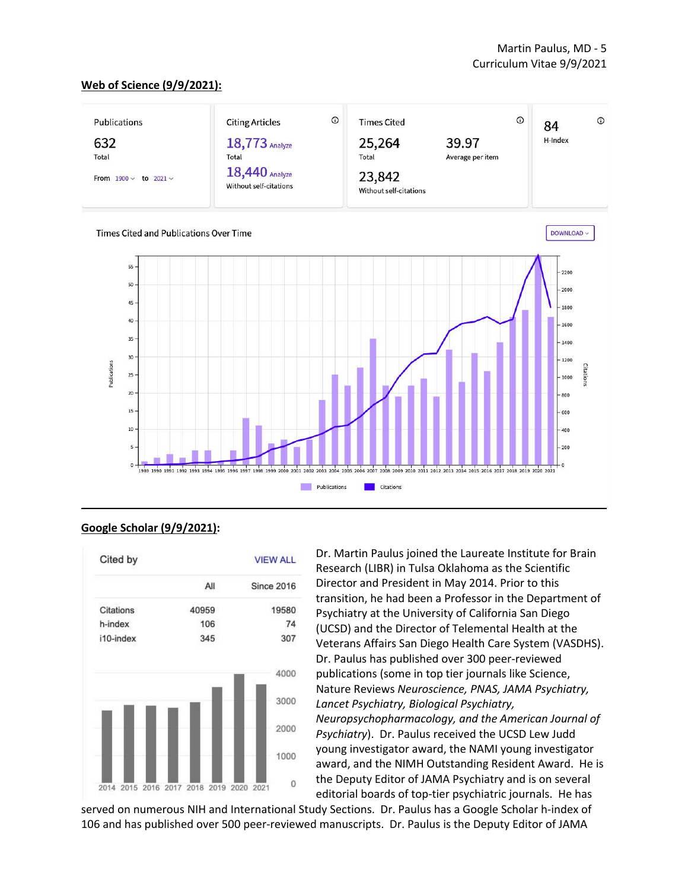#### **Web of Science (9/9/2021):**



#### **Google Scholar (9/9/2021):**



Dr. Martin Paulus joined the Laureate Institute for Brain Research (LIBR) in Tulsa Oklahoma as the Scientific Director and President in May 2014. Prior to this transition, he had been a Professor in the Department of Psychiatry at the University of California San Diego (UCSD) and the Director of Telemental Health at the Veterans Affairs San Diego Health Care System (VASDHS). Dr. Paulus has published over 300 peer-reviewed publications (some in top tier journals like Science, Nature Reviews *Neuroscience, PNAS, JAMA Psychiatry, Lancet Psychiatry, Biological Psychiatry, Neuropsychopharmacology, and the American Journal of Psychiatry*). Dr. Paulus received the UCSD Lew Judd young investigator award, the NAMI young investigator award, and the NIMH Outstanding Resident Award. He is the Deputy Editor of JAMA Psychiatry and is on several editorial boards of top-tier psychiatric journals. He has

served on numerous NIH and International Study Sections. Dr. Paulus has a Google Scholar h-index of 106 and has published over 500 peer-reviewed manuscripts. Dr. Paulus is the Deputy Editor of JAMA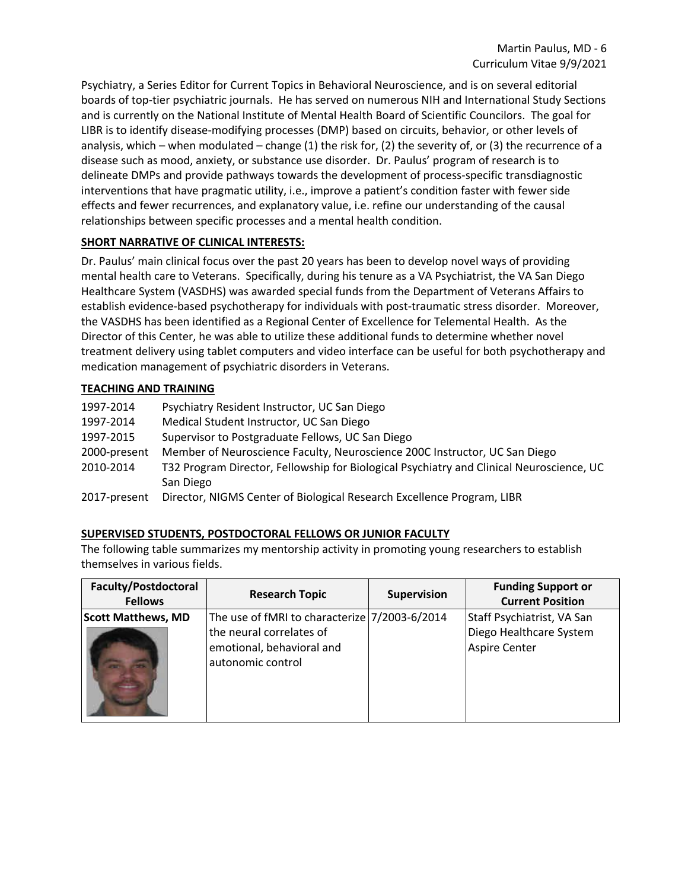Psychiatry, a Series Editor for Current Topics in Behavioral Neuroscience, and is on several editorial boards of top-tier psychiatric journals. He has served on numerous NIH and International Study Sections and is currently on the National Institute of Mental Health Board of Scientific Councilors. The goal for LIBR is to identify disease-modifying processes (DMP) based on circuits, behavior, or other levels of analysis, which – when modulated – change  $(1)$  the risk for,  $(2)$  the severity of, or  $(3)$  the recurrence of a disease such as mood, anxiety, or substance use disorder. Dr. Paulus' program of research is to delineate DMPs and provide pathways towards the development of process-specific transdiagnostic interventions that have pragmatic utility, i.e., improve a patient's condition faster with fewer side effects and fewer recurrences, and explanatory value, i.e. refine our understanding of the causal relationships between specific processes and a mental health condition.

# **SHORT NARRATIVE OF CLINICAL INTERESTS:**

Dr. Paulus' main clinical focus over the past 20 years has been to develop novel ways of providing mental health care to Veterans. Specifically, during his tenure as a VA Psychiatrist, the VA San Diego Healthcare System (VASDHS) was awarded special funds from the Department of Veterans Affairs to establish evidence-based psychotherapy for individuals with post-traumatic stress disorder. Moreover, the VASDHS has been identified as a Regional Center of Excellence for Telemental Health. As the Director of this Center, he was able to utilize these additional funds to determine whether novel treatment delivery using tablet computers and video interface can be useful for both psychotherapy and medication management of psychiatric disorders in Veterans.

# **TEACHING AND TRAINING**

| 1997-2014    | Psychiatry Resident Instructor, UC San Diego                                             |
|--------------|------------------------------------------------------------------------------------------|
| 1997-2014    | Medical Student Instructor, UC San Diego                                                 |
| 1997-2015    | Supervisor to Postgraduate Fellows, UC San Diego                                         |
| 2000-present | Member of Neuroscience Faculty, Neuroscience 200C Instructor, UC San Diego               |
| 2010-2014    | T32 Program Director, Fellowship for Biological Psychiatry and Clinical Neuroscience, UC |
|              | San Diego                                                                                |
| 2017-present | Director, NIGMS Center of Biological Research Excellence Program, LIBR                   |

# **SUPERVISED STUDENTS, POSTDOCTORAL FELLOWS OR JUNIOR FACULTY**

The following table summarizes my mentorship activity in promoting young researchers to establish themselves in various fields.

| <b>Faculty/Postdoctoral</b><br><b>Fellows</b> | <b>Research Topic</b>                                                      | <b>Supervision</b> | <b>Funding Support or</b><br><b>Current Position</b> |
|-----------------------------------------------|----------------------------------------------------------------------------|--------------------|------------------------------------------------------|
| <b>Scott Matthews, MD</b>                     | The use of fMRI to characterize 7/2003-6/2014                              |                    | Staff Psychiatrist, VA San                           |
|                                               | the neural correlates of<br>emotional, behavioral and<br>autonomic control |                    | Diego Healthcare System<br>Aspire Center             |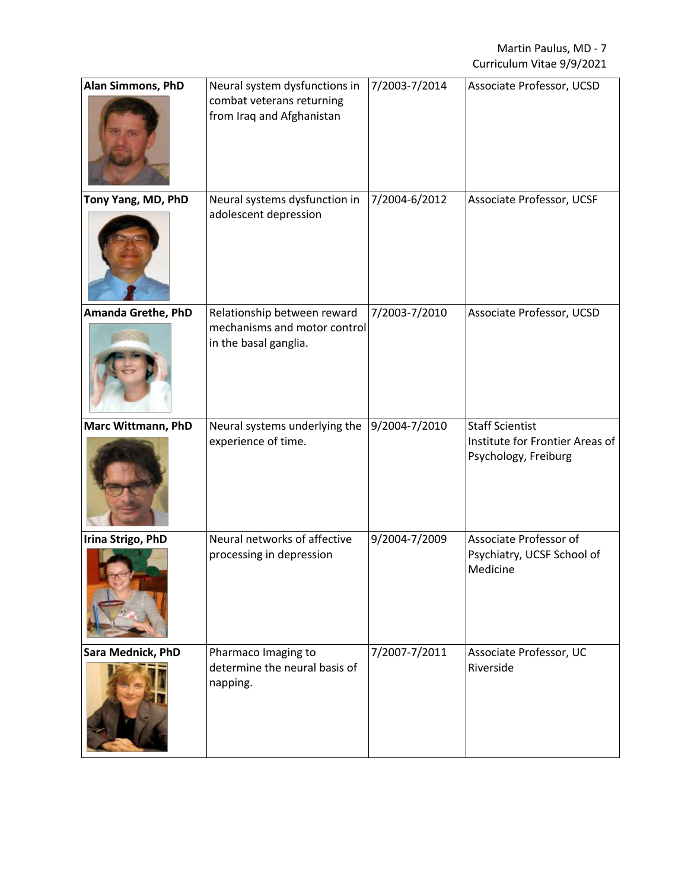| Alan Simmons, PhD  | Neural system dysfunctions in                          | 7/2003-7/2014 | Associate Professor, UCSD                               |  |
|--------------------|--------------------------------------------------------|---------------|---------------------------------------------------------|--|
|                    | combat veterans returning<br>from Iraq and Afghanistan |               |                                                         |  |
| Tony Yang, MD, PhD | Neural systems dysfunction in                          | 7/2004-6/2012 | Associate Professor, UCSF                               |  |
|                    | adolescent depression                                  |               |                                                         |  |
| Amanda Grethe, PhD | Relationship between reward                            | 7/2003-7/2010 | Associate Professor, UCSD                               |  |
|                    | mechanisms and motor control<br>in the basal ganglia.  |               |                                                         |  |
| Marc Wittmann, PhD |                                                        | 9/2004-7/2010 | <b>Staff Scientist</b>                                  |  |
|                    | Neural systems underlying the<br>experience of time.   |               | Institute for Frontier Areas of<br>Psychology, Freiburg |  |
| Irina Strigo, PhD  | Neural networks of affective                           | 9/2004-7/2009 | Associate Professor of                                  |  |
|                    | processing in depression                               |               | Psychiatry, UCSF School of<br>Medicine                  |  |
| Sara Mednick, PhD  | Pharmaco Imaging to                                    | 7/2007-7/2011 | Associate Professor, UC                                 |  |
|                    | determine the neural basis of<br>napping.              |               | Riverside                                               |  |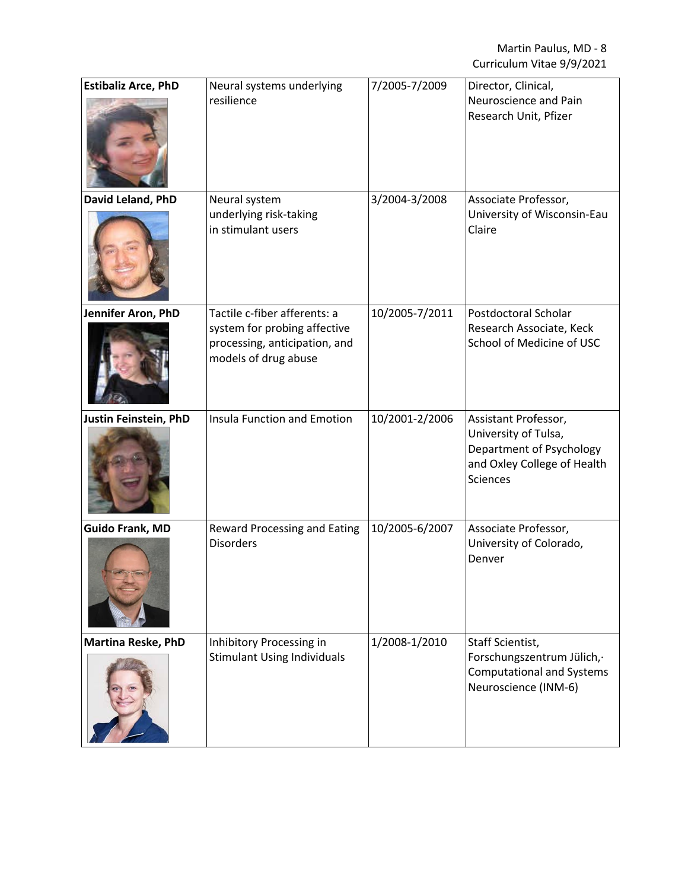| <b>Estibaliz Arce, PhD</b>                                                            | Neural systems underlying                                      | 7/2005-7/2009  | Director, Clinical,                                                                                                 |
|---------------------------------------------------------------------------------------|----------------------------------------------------------------|----------------|---------------------------------------------------------------------------------------------------------------------|
|                                                                                       | resilience                                                     |                | Neuroscience and Pain<br>Research Unit, Pfizer                                                                      |
| David Leland, PhD                                                                     | Neural system                                                  | 3/2004-3/2008  | Associate Professor,                                                                                                |
|                                                                                       | underlying risk-taking<br>in stimulant users                   |                | University of Wisconsin-Eau<br>Claire                                                                               |
| Jennifer Aron, PhD                                                                    | Tactile c-fiber afferents: a                                   | 10/2005-7/2011 | Postdoctoral Scholar                                                                                                |
| system for probing affective<br>processing, anticipation, and<br>models of drug abuse |                                                                |                | Research Associate, Keck<br>School of Medicine of USC                                                               |
| Insula Function and Emotion<br>Justin Feinstein, PhD                                  |                                                                | 10/2001-2/2006 | Assistant Professor,<br>University of Tulsa,<br>Department of Psychology<br>and Oxley College of Health<br>Sciences |
| <b>Guido Frank, MD</b><br>Reward Processing and Eating<br><b>Disorders</b>            |                                                                | 10/2005-6/2007 | Associate Professor,<br>University of Colorado,<br>Denver                                                           |
| Martina Reske, PhD                                                                    | Inhibitory Processing in<br><b>Stimulant Using Individuals</b> | 1/2008-1/2010  | Staff Scientist,<br>Forschungszentrum Jülich,·<br><b>Computational and Systems</b><br>Neuroscience (INM-6)          |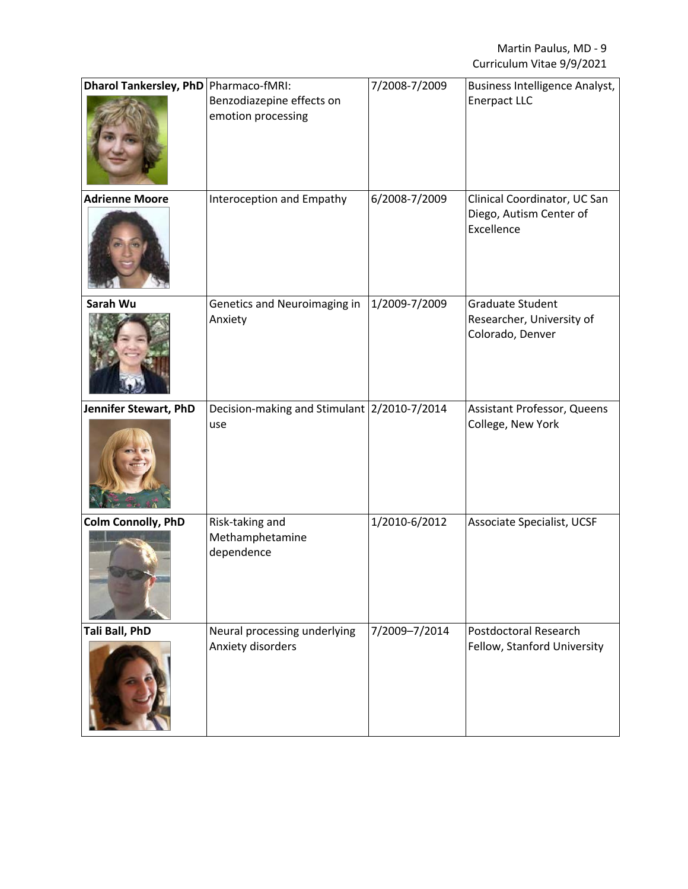| Dharol Tankersley, PhD Pharmaco-fMRI: | Benzodiazepine effects on<br>emotion processing    | 7/2008-7/2009 | Business Intelligence Analyst,<br>Enerpact LLC                           |
|---------------------------------------|----------------------------------------------------|---------------|--------------------------------------------------------------------------|
| <b>Adrienne Moore</b>                 | Interoception and Empathy                          | 6/2008-7/2009 | Clinical Coordinator, UC San<br>Diego, Autism Center of<br>Excellence    |
| Sarah Wu                              | Genetics and Neuroimaging in<br>Anxiety            | 1/2009-7/2009 | <b>Graduate Student</b><br>Researcher, University of<br>Colorado, Denver |
| Jennifer Stewart, PhD                 | Decision-making and Stimulant 2/2010-7/2014<br>use |               | Assistant Professor, Queens<br>College, New York                         |
| <b>Colm Connolly, PhD</b>             | Risk-taking and<br>Methamphetamine<br>dependence   | 1/2010-6/2012 | Associate Specialist, UCSF                                               |
| Tali Ball, PhD                        | Neural processing underlying<br>Anxiety disorders  | 7/2009-7/2014 | <b>Postdoctoral Research</b><br>Fellow, Stanford University              |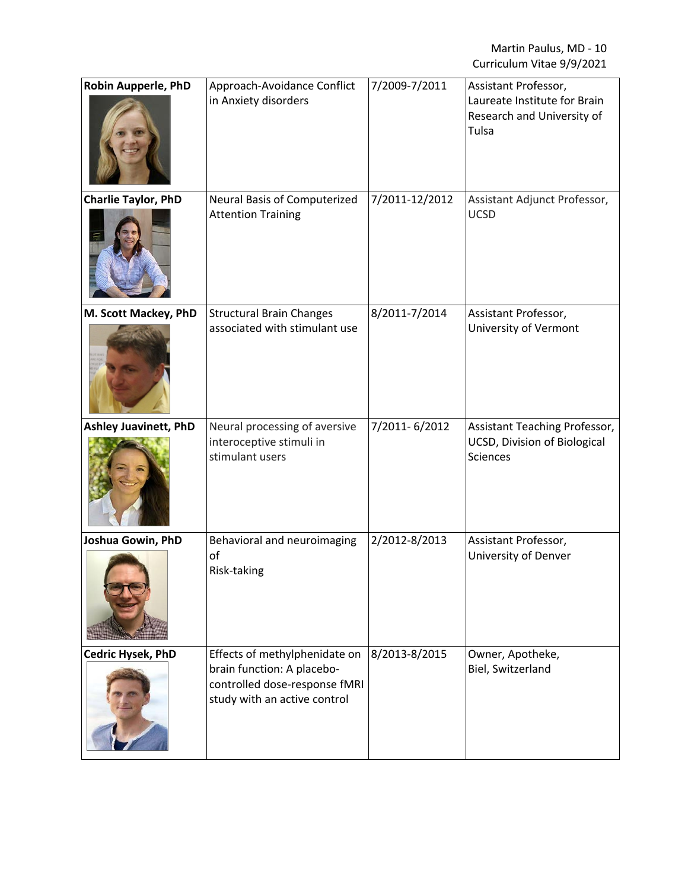| Robin Aupperle, PhD<br>Approach-Avoidance Conflict<br>in Anxiety disorders                                   |                                                                                                                              | 7/2009-7/2011  | Assistant Professor,<br>Laureate Institute for Brain<br>Research and University of<br>Tulsa |
|--------------------------------------------------------------------------------------------------------------|------------------------------------------------------------------------------------------------------------------------------|----------------|---------------------------------------------------------------------------------------------|
| <b>Charlie Taylor, PhD</b>                                                                                   | Neural Basis of Computerized<br><b>Attention Training</b>                                                                    | 7/2011-12/2012 | Assistant Adjunct Professor,<br><b>UCSD</b>                                                 |
| M. Scott Mackey, PhD                                                                                         | <b>Structural Brain Changes</b><br>associated with stimulant use                                                             | 8/2011-7/2014  | Assistant Professor,<br>University of Vermont                                               |
| <b>Ashley Juavinett, PhD</b><br>Neural processing of aversive<br>interoceptive stimuli in<br>stimulant users |                                                                                                                              | 7/2011-6/2012  | Assistant Teaching Professor,<br>UCSD, Division of Biological<br><b>Sciences</b>            |
| Joshua Gowin, PhD                                                                                            | Behavioral and neuroimaging<br>of<br>Risk-taking                                                                             | 2/2012-8/2013  | Assistant Professor,<br>University of Denver                                                |
| <b>Cedric Hysek, PhD</b>                                                                                     | Effects of methylphenidate on<br>brain function: A placebo-<br>controlled dose-response fMRI<br>study with an active control | 8/2013-8/2015  | Owner, Apotheke,<br>Biel, Switzerland                                                       |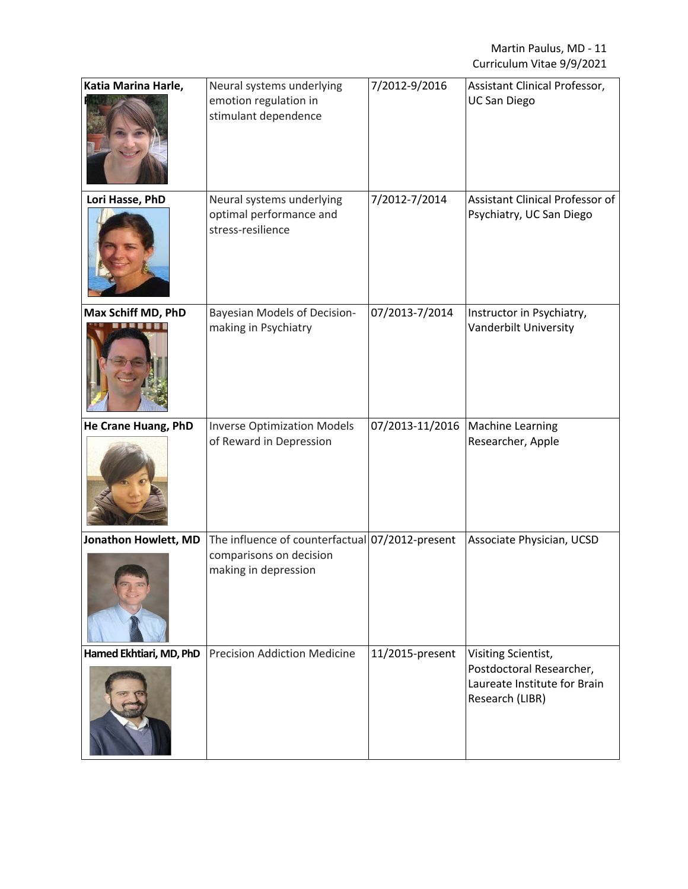| Katia Marina Harle,                                                                          | Neural systems underlying<br>emotion regulation in<br>stimulant dependence                         | 7/2012-9/2016   | Assistant Clinical Professor,<br><b>UC San Diego</b>                                               |
|----------------------------------------------------------------------------------------------|----------------------------------------------------------------------------------------------------|-----------------|----------------------------------------------------------------------------------------------------|
| Lori Hasse, PhD<br>Neural systems underlying<br>optimal performance and<br>stress-resilience |                                                                                                    | 7/2012-7/2014   | Assistant Clinical Professor of<br>Psychiatry, UC San Diego                                        |
| Max Schiff MD, PhD                                                                           | Bayesian Models of Decision-<br>making in Psychiatry                                               | 07/2013-7/2014  | Instructor in Psychiatry,<br>Vanderbilt University                                                 |
| He Crane Huang, PhD<br><b>Inverse Optimization Models</b><br>of Reward in Depression         |                                                                                                    | 07/2013-11/2016 | <b>Machine Learning</b><br>Researcher, Apple                                                       |
| Jonathon Howlett, MD                                                                         | The influence of counterfactual 07/2012-present<br>comparisons on decision<br>making in depression |                 | Associate Physician, UCSD                                                                          |
| Hamed Ekhtiari, MD, PhD                                                                      | <b>Precision Addiction Medicine</b>                                                                | 11/2015-present | Visiting Scientist,<br>Postdoctoral Researcher,<br>Laureate Institute for Brain<br>Research (LIBR) |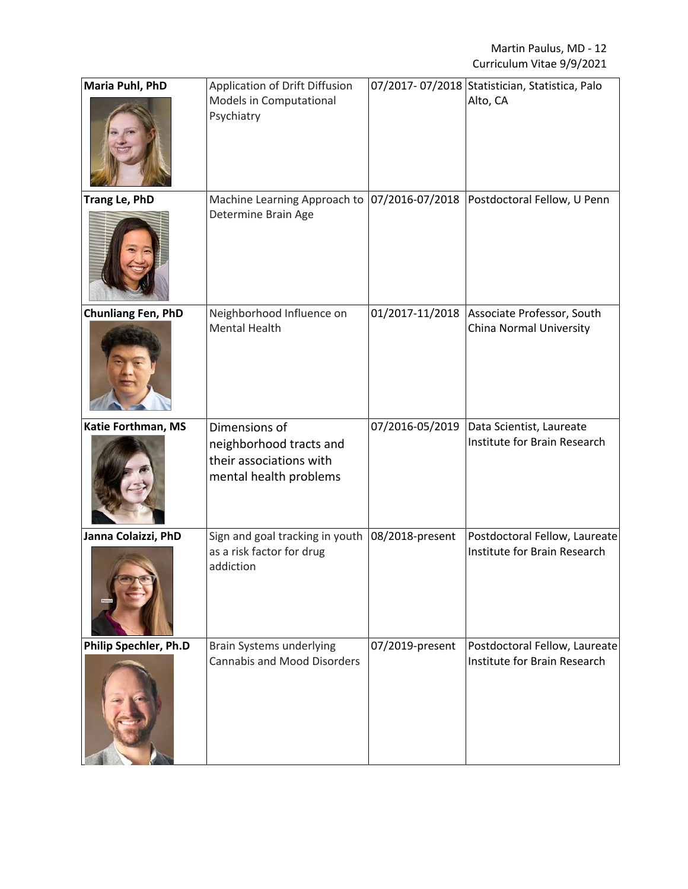| Maria Puhl, PhD<br>Trang Le, PhD | Application of Drift Diffusion<br>Models in Computational<br>Psychiatry<br>Machine Learning Approach to 07/2016-07/2018 Postdoctoral Fellow, U Penn<br>Determine Brain Age |                 | 07/2017-07/2018 Statistician, Statistica, Palo<br>Alto, CA    |
|----------------------------------|----------------------------------------------------------------------------------------------------------------------------------------------------------------------------|-----------------|---------------------------------------------------------------|
| <b>Chunliang Fen, PhD</b>        | Neighborhood Influence on<br>Mental Health                                                                                                                                 | 01/2017-11/2018 | Associate Professor, South<br>China Normal University         |
| Katie Forthman, MS               | 07/2016-05/2019<br>Dimensions of<br>neighborhood tracts and<br>their associations with<br>mental health problems                                                           |                 | Data Scientist, Laureate<br>Institute for Brain Research      |
| Janna Colaizzi, PhD              | Sign and goal tracking in youth   08/2018-present<br>as a risk factor for drug<br>addiction                                                                                |                 | Postdoctoral Fellow, Laureate<br>Institute for Brain Research |
| <b>Philip Spechler, Ph.D</b>     | Brain Systems underlying<br><b>Cannabis and Mood Disorders</b>                                                                                                             | 07/2019-present | Postdoctoral Fellow, Laureate<br>Institute for Brain Research |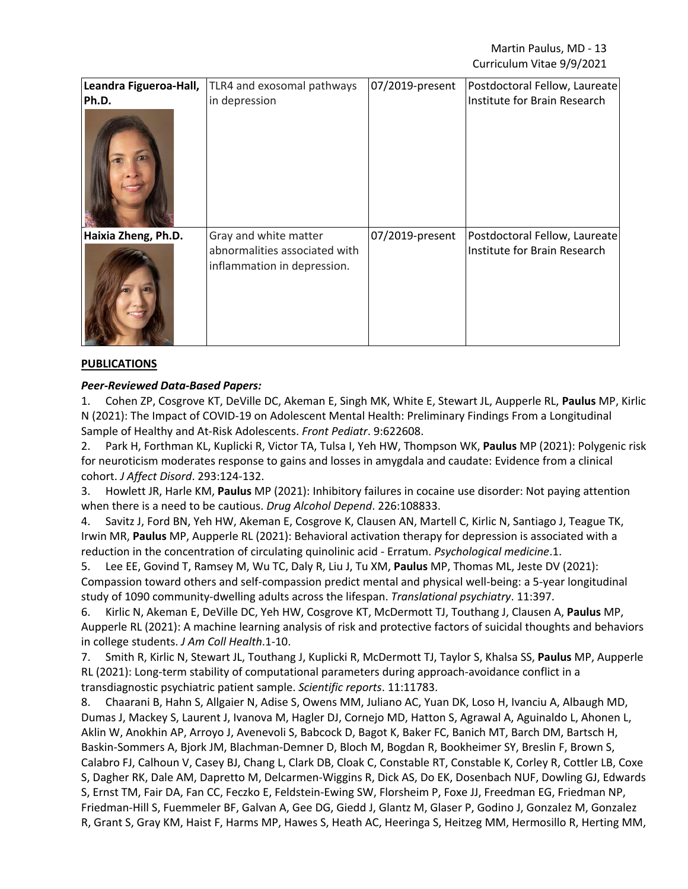| Leandra Figueroa-Hall, | TLR4 and exosomal pathways                                                            | 07/2019-present | Postdoctoral Fellow, Laureate                                 |
|------------------------|---------------------------------------------------------------------------------------|-----------------|---------------------------------------------------------------|
| Ph.D.                  | in depression                                                                         |                 | Institute for Brain Research                                  |
| Haixia Zheng, Ph.D.    | Gray and white matter<br>abnormalities associated with<br>inflammation in depression. | 07/2019-present | Postdoctoral Fellow, Laureate<br>Institute for Brain Research |

### **PUBLICATIONS**

# *Peer-Reviewed Data-Based Papers:*

1. Cohen ZP, Cosgrove KT, DeVille DC, Akeman E, Singh MK, White E, Stewart JL, Aupperle RL, **Paulus** MP, Kirlic N (2021): The Impact of COVID-19 on Adolescent Mental Health: Preliminary Findings From a Longitudinal Sample of Healthy and At-Risk Adolescents. *Front Pediatr*. 9:622608.

2. Park H, Forthman KL, Kuplicki R, Victor TA, Tulsa I, Yeh HW, Thompson WK, **Paulus** MP (2021): Polygenic risk for neuroticism moderates response to gains and losses in amygdala and caudate: Evidence from a clinical cohort. *J Affect Disord*. 293:124-132.

3. Howlett JR, Harle KM, **Paulus** MP (2021): Inhibitory failures in cocaine use disorder: Not paying attention when there is a need to be cautious. *Drug Alcohol Depend*. 226:108833.

4. Savitz J, Ford BN, Yeh HW, Akeman E, Cosgrove K, Clausen AN, Martell C, Kirlic N, Santiago J, Teague TK, Irwin MR, **Paulus** MP, Aupperle RL (2021): Behavioral activation therapy for depression is associated with a reduction in the concentration of circulating quinolinic acid - Erratum. *Psychological medicine*.1.

5. Lee EE, Govind T, Ramsey M, Wu TC, Daly R, Liu J, Tu XM, **Paulus** MP, Thomas ML, Jeste DV (2021): Compassion toward others and self-compassion predict mental and physical well-being: a 5-year longitudinal study of 1090 community-dwelling adults across the lifespan. *Translational psychiatry*. 11:397.

6. Kirlic N, Akeman E, DeVille DC, Yeh HW, Cosgrove KT, McDermott TJ, Touthang J, Clausen A, **Paulus** MP, Aupperle RL (2021): A machine learning analysis of risk and protective factors of suicidal thoughts and behaviors in college students. *J Am Coll Health*.1-10.

7. Smith R, Kirlic N, Stewart JL, Touthang J, Kuplicki R, McDermott TJ, Taylor S, Khalsa SS, **Paulus** MP, Aupperle RL (2021): Long-term stability of computational parameters during approach-avoidance conflict in a transdiagnostic psychiatric patient sample. *Scientific reports*. 11:11783.

8. Chaarani B, Hahn S, Allgaier N, Adise S, Owens MM, Juliano AC, Yuan DK, Loso H, Ivanciu A, Albaugh MD, Dumas J, Mackey S, Laurent J, Ivanova M, Hagler DJ, Cornejo MD, Hatton S, Agrawal A, Aguinaldo L, Ahonen L, Aklin W, Anokhin AP, Arroyo J, Avenevoli S, Babcock D, Bagot K, Baker FC, Banich MT, Barch DM, Bartsch H, Baskin-Sommers A, Bjork JM, Blachman-Demner D, Bloch M, Bogdan R, Bookheimer SY, Breslin F, Brown S, Calabro FJ, Calhoun V, Casey BJ, Chang L, Clark DB, Cloak C, Constable RT, Constable K, Corley R, Cottler LB, Coxe S, Dagher RK, Dale AM, Dapretto M, Delcarmen-Wiggins R, Dick AS, Do EK, Dosenbach NUF, Dowling GJ, Edwards S, Ernst TM, Fair DA, Fan CC, Feczko E, Feldstein-Ewing SW, Florsheim P, Foxe JJ, Freedman EG, Friedman NP, Friedman-Hill S, Fuemmeler BF, Galvan A, Gee DG, Giedd J, Glantz M, Glaser P, Godino J, Gonzalez M, Gonzalez R, Grant S, Gray KM, Haist F, Harms MP, Hawes S, Heath AC, Heeringa S, Heitzeg MM, Hermosillo R, Herting MM,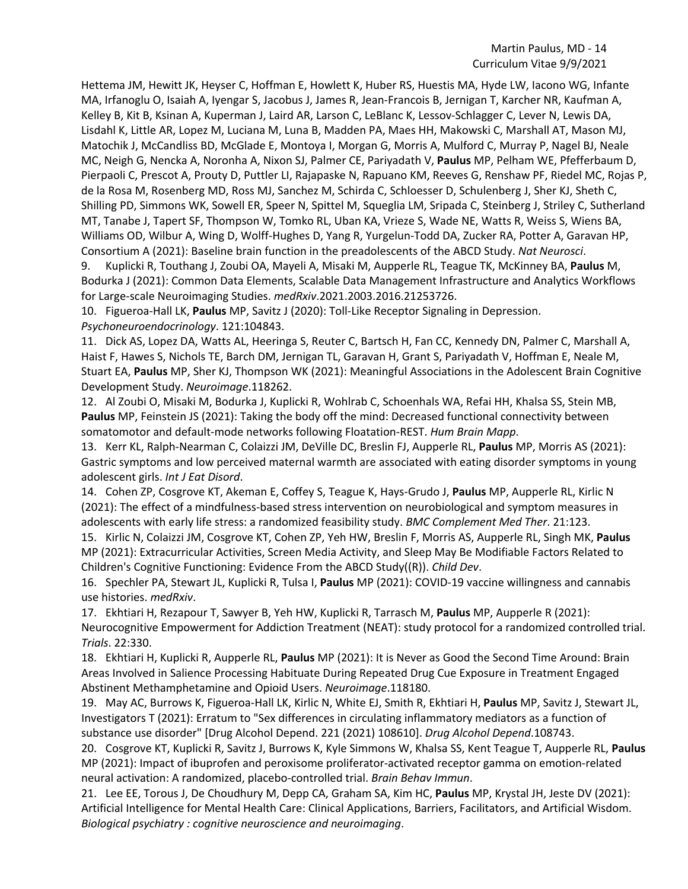Hettema JM, Hewitt JK, Heyser C, Hoffman E, Howlett K, Huber RS, Huestis MA, Hyde LW, Iacono WG, Infante MA, Irfanoglu O, Isaiah A, Iyengar S, Jacobus J, James R, Jean-Francois B, Jernigan T, Karcher NR, Kaufman A, Kelley B, Kit B, Ksinan A, Kuperman J, Laird AR, Larson C, LeBlanc K, Lessov-Schlagger C, Lever N, Lewis DA, Lisdahl K, Little AR, Lopez M, Luciana M, Luna B, Madden PA, Maes HH, Makowski C, Marshall AT, Mason MJ, Matochik J, McCandliss BD, McGlade E, Montoya I, Morgan G, Morris A, Mulford C, Murray P, Nagel BJ, Neale MC, Neigh G, Nencka A, Noronha A, Nixon SJ, Palmer CE, Pariyadath V, **Paulus** MP, Pelham WE, Pfefferbaum D, Pierpaoli C, Prescot A, Prouty D, Puttler LI, Rajapaske N, Rapuano KM, Reeves G, Renshaw PF, Riedel MC, Rojas P, de la Rosa M, Rosenberg MD, Ross MJ, Sanchez M, Schirda C, Schloesser D, Schulenberg J, Sher KJ, Sheth C, Shilling PD, Simmons WK, Sowell ER, Speer N, Spittel M, Squeglia LM, Sripada C, Steinberg J, Striley C, Sutherland MT, Tanabe J, Tapert SF, Thompson W, Tomko RL, Uban KA, Vrieze S, Wade NE, Watts R, Weiss S, Wiens BA, Williams OD, Wilbur A, Wing D, Wolff-Hughes D, Yang R, Yurgelun-Todd DA, Zucker RA, Potter A, Garavan HP, Consortium A (2021): Baseline brain function in the preadolescents of the ABCD Study. *Nat Neurosci*.

9. Kuplicki R, Touthang J, Zoubi OA, Mayeli A, Misaki M, Aupperle RL, Teague TK, McKinney BA, **Paulus** M, Bodurka J (2021): Common Data Elements, Scalable Data Management Infrastructure and Analytics Workflows for Large-scale Neuroimaging Studies. *medRxiv*.2021.2003.2016.21253726.

10. Figueroa-Hall LK, **Paulus** MP, Savitz J (2020): Toll-Like Receptor Signaling in Depression. *Psychoneuroendocrinology*. 121:104843.

11. Dick AS, Lopez DA, Watts AL, Heeringa S, Reuter C, Bartsch H, Fan CC, Kennedy DN, Palmer C, Marshall A, Haist F, Hawes S, Nichols TE, Barch DM, Jernigan TL, Garavan H, Grant S, Pariyadath V, Hoffman E, Neale M, Stuart EA, **Paulus** MP, Sher KJ, Thompson WK (2021): Meaningful Associations in the Adolescent Brain Cognitive Development Study. *Neuroimage*.118262.

12. Al Zoubi O, Misaki M, Bodurka J, Kuplicki R, Wohlrab C, Schoenhals WA, Refai HH, Khalsa SS, Stein MB, **Paulus** MP, Feinstein JS (2021): Taking the body off the mind: Decreased functional connectivity between somatomotor and default-mode networks following Floatation-REST. *Hum Brain Mapp*.

13. Kerr KL, Ralph-Nearman C, Colaizzi JM, DeVille DC, Breslin FJ, Aupperle RL, **Paulus** MP, Morris AS (2021): Gastric symptoms and low perceived maternal warmth are associated with eating disorder symptoms in young adolescent girls. *Int J Eat Disord*.

14. Cohen ZP, Cosgrove KT, Akeman E, Coffey S, Teague K, Hays-Grudo J, **Paulus** MP, Aupperle RL, Kirlic N (2021): The effect of a mindfulness-based stress intervention on neurobiological and symptom measures in adolescents with early life stress: a randomized feasibility study. *BMC Complement Med Ther*. 21:123.

15. Kirlic N, Colaizzi JM, Cosgrove KT, Cohen ZP, Yeh HW, Breslin F, Morris AS, Aupperle RL, Singh MK, **Paulus** MP (2021): Extracurricular Activities, Screen Media Activity, and Sleep May Be Modifiable Factors Related to Children's Cognitive Functioning: Evidence From the ABCD Study((R)). *Child Dev*.

16. Spechler PA, Stewart JL, Kuplicki R, Tulsa I, **Paulus** MP (2021): COVID-19 vaccine willingness and cannabis use histories. *medRxiv*.

17. Ekhtiari H, Rezapour T, Sawyer B, Yeh HW, Kuplicki R, Tarrasch M, **Paulus** MP, Aupperle R (2021): Neurocognitive Empowerment for Addiction Treatment (NEAT): study protocol for a randomized controlled trial. *Trials*. 22:330.

18. Ekhtiari H, Kuplicki R, Aupperle RL, **Paulus** MP (2021): It is Never as Good the Second Time Around: Brain Areas Involved in Salience Processing Habituate During Repeated Drug Cue Exposure in Treatment Engaged Abstinent Methamphetamine and Opioid Users. *Neuroimage*.118180.

19. May AC, Burrows K, Figueroa-Hall LK, Kirlic N, White EJ, Smith R, Ekhtiari H, **Paulus** MP, Savitz J, Stewart JL, Investigators T (2021): Erratum to "Sex differences in circulating inflammatory mediators as a function of substance use disorder" [Drug Alcohol Depend. 221 (2021) 108610]. *Drug Alcohol Depend*.108743.

20. Cosgrove KT, Kuplicki R, Savitz J, Burrows K, Kyle Simmons W, Khalsa SS, Kent Teague T, Aupperle RL, **Paulus** MP (2021): Impact of ibuprofen and peroxisome proliferator-activated receptor gamma on emotion-related neural activation: A randomized, placebo-controlled trial. *Brain Behav Immun*.

21. Lee EE, Torous J, De Choudhury M, Depp CA, Graham SA, Kim HC, **Paulus** MP, Krystal JH, Jeste DV (2021): Artificial Intelligence for Mental Health Care: Clinical Applications, Barriers, Facilitators, and Artificial Wisdom. *Biological psychiatry : cognitive neuroscience and neuroimaging*.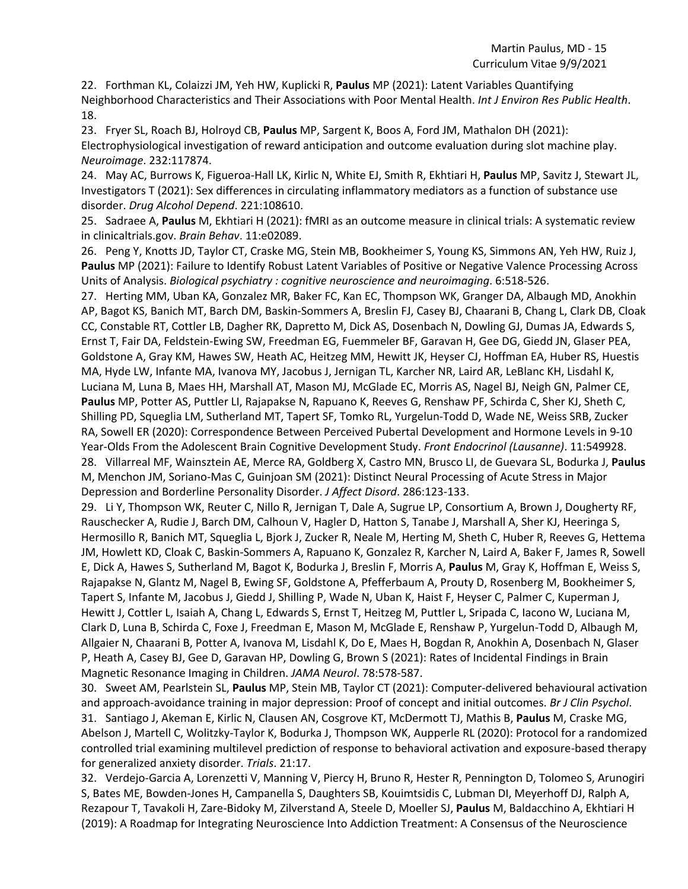22. Forthman KL, Colaizzi JM, Yeh HW, Kuplicki R, **Paulus** MP (2021): Latent Variables Quantifying Neighborhood Characteristics and Their Associations with Poor Mental Health. *Int J Environ Res Public Health*. 18.

23. Fryer SL, Roach BJ, Holroyd CB, **Paulus** MP, Sargent K, Boos A, Ford JM, Mathalon DH (2021): Electrophysiological investigation of reward anticipation and outcome evaluation during slot machine play. *Neuroimage*. 232:117874.

24. May AC, Burrows K, Figueroa-Hall LK, Kirlic N, White EJ, Smith R, Ekhtiari H, **Paulus** MP, Savitz J, Stewart JL, Investigators T (2021): Sex differences in circulating inflammatory mediators as a function of substance use disorder. *Drug Alcohol Depend*. 221:108610.

25. Sadraee A, **Paulus** M, Ekhtiari H (2021): fMRI as an outcome measure in clinical trials: A systematic review in clinicaltrials.gov. *Brain Behav*. 11:e02089.

26. Peng Y, Knotts JD, Taylor CT, Craske MG, Stein MB, Bookheimer S, Young KS, Simmons AN, Yeh HW, Ruiz J, **Paulus** MP (2021): Failure to Identify Robust Latent Variables of Positive or Negative Valence Processing Across Units of Analysis. *Biological psychiatry : cognitive neuroscience and neuroimaging*. 6:518-526.

27. Herting MM, Uban KA, Gonzalez MR, Baker FC, Kan EC, Thompson WK, Granger DA, Albaugh MD, Anokhin AP, Bagot KS, Banich MT, Barch DM, Baskin-Sommers A, Breslin FJ, Casey BJ, Chaarani B, Chang L, Clark DB, Cloak CC, Constable RT, Cottler LB, Dagher RK, Dapretto M, Dick AS, Dosenbach N, Dowling GJ, Dumas JA, Edwards S, Ernst T, Fair DA, Feldstein-Ewing SW, Freedman EG, Fuemmeler BF, Garavan H, Gee DG, Giedd JN, Glaser PEA, Goldstone A, Gray KM, Hawes SW, Heath AC, Heitzeg MM, Hewitt JK, Heyser CJ, Hoffman EA, Huber RS, Huestis MA, Hyde LW, Infante MA, Ivanova MY, Jacobus J, Jernigan TL, Karcher NR, Laird AR, LeBlanc KH, Lisdahl K, Luciana M, Luna B, Maes HH, Marshall AT, Mason MJ, McGlade EC, Morris AS, Nagel BJ, Neigh GN, Palmer CE, **Paulus** MP, Potter AS, Puttler LI, Rajapakse N, Rapuano K, Reeves G, Renshaw PF, Schirda C, Sher KJ, Sheth C, Shilling PD, Squeglia LM, Sutherland MT, Tapert SF, Tomko RL, Yurgelun-Todd D, Wade NE, Weiss SRB, Zucker RA, Sowell ER (2020): Correspondence Between Perceived Pubertal Development and Hormone Levels in 9-10 Year-Olds From the Adolescent Brain Cognitive Development Study. *Front Endocrinol (Lausanne)*. 11:549928. 28. Villarreal MF, Wainsztein AE, Merce RA, Goldberg X, Castro MN, Brusco LI, de Guevara SL, Bodurka J, **Paulus** M, Menchon JM, Soriano-Mas C, Guinjoan SM (2021): Distinct Neural Processing of Acute Stress in Major Depression and Borderline Personality Disorder. *J Affect Disord*. 286:123-133.

29. Li Y, Thompson WK, Reuter C, Nillo R, Jernigan T, Dale A, Sugrue LP, Consortium A, Brown J, Dougherty RF, Rauschecker A, Rudie J, Barch DM, Calhoun V, Hagler D, Hatton S, Tanabe J, Marshall A, Sher KJ, Heeringa S, Hermosillo R, Banich MT, Squeglia L, Bjork J, Zucker R, Neale M, Herting M, Sheth C, Huber R, Reeves G, Hettema JM, Howlett KD, Cloak C, Baskin-Sommers A, Rapuano K, Gonzalez R, Karcher N, Laird A, Baker F, James R, Sowell E, Dick A, Hawes S, Sutherland M, Bagot K, Bodurka J, Breslin F, Morris A, **Paulus** M, Gray K, Hoffman E, Weiss S, Rajapakse N, Glantz M, Nagel B, Ewing SF, Goldstone A, Pfefferbaum A, Prouty D, Rosenberg M, Bookheimer S, Tapert S, Infante M, Jacobus J, Giedd J, Shilling P, Wade N, Uban K, Haist F, Heyser C, Palmer C, Kuperman J, Hewitt J, Cottler L, Isaiah A, Chang L, Edwards S, Ernst T, Heitzeg M, Puttler L, Sripada C, Iacono W, Luciana M, Clark D, Luna B, Schirda C, Foxe J, Freedman E, Mason M, McGlade E, Renshaw P, Yurgelun-Todd D, Albaugh M, Allgaier N, Chaarani B, Potter A, Ivanova M, Lisdahl K, Do E, Maes H, Bogdan R, Anokhin A, Dosenbach N, Glaser P, Heath A, Casey BJ, Gee D, Garavan HP, Dowling G, Brown S (2021): Rates of Incidental Findings in Brain Magnetic Resonance Imaging in Children. *JAMA Neurol*. 78:578-587.

30. Sweet AM, Pearlstein SL, **Paulus** MP, Stein MB, Taylor CT (2021): Computer-delivered behavioural activation and approach-avoidance training in major depression: Proof of concept and initial outcomes. *Br J Clin Psychol*. 31. Santiago J, Akeman E, Kirlic N, Clausen AN, Cosgrove KT, McDermott TJ, Mathis B, **Paulus** M, Craske MG, Abelson J, Martell C, Wolitzky-Taylor K, Bodurka J, Thompson WK, Aupperle RL (2020): Protocol for a randomized controlled trial examining multilevel prediction of response to behavioral activation and exposure-based therapy for generalized anxiety disorder. *Trials*. 21:17.

32. Verdejo-Garcia A, Lorenzetti V, Manning V, Piercy H, Bruno R, Hester R, Pennington D, Tolomeo S, Arunogiri S, Bates ME, Bowden-Jones H, Campanella S, Daughters SB, Kouimtsidis C, Lubman DI, Meyerhoff DJ, Ralph A, Rezapour T, Tavakoli H, Zare-Bidoky M, Zilverstand A, Steele D, Moeller SJ, **Paulus** M, Baldacchino A, Ekhtiari H (2019): A Roadmap for Integrating Neuroscience Into Addiction Treatment: A Consensus of the Neuroscience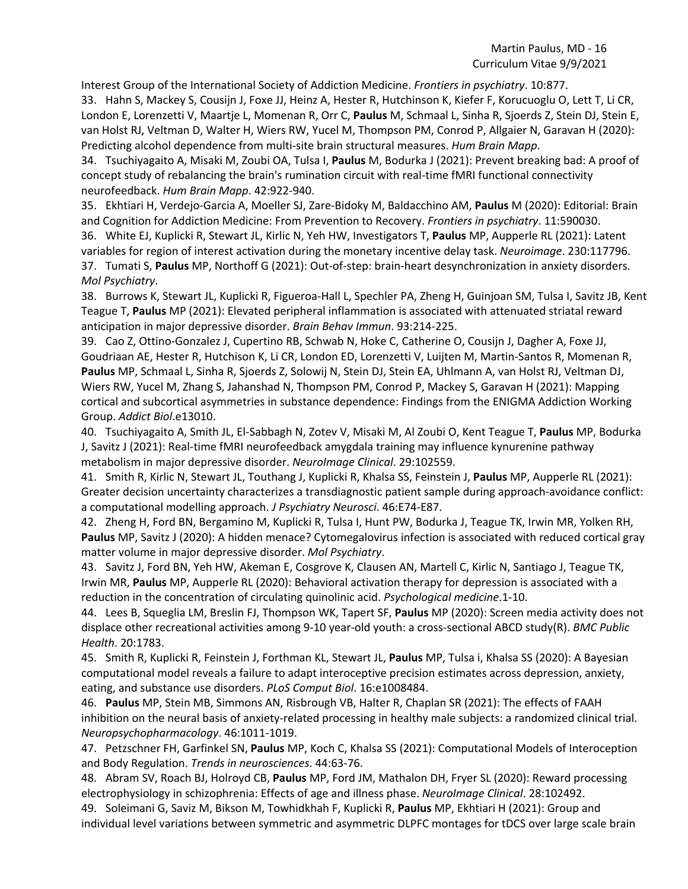Interest Group of the International Society of Addiction Medicine. *Frontiers in psychiatry*. 10:877.

33. Hahn S, Mackey S, Cousijn J, Foxe JJ, Heinz A, Hester R, Hutchinson K, Kiefer F, Korucuoglu O, Lett T, Li CR, London E, Lorenzetti V, Maartje L, Momenan R, Orr C, **Paulus** M, Schmaal L, Sinha R, Sjoerds Z, Stein DJ, Stein E, van Holst RJ, Veltman D, Walter H, Wiers RW, Yucel M, Thompson PM, Conrod P, Allgaier N, Garavan H (2020): Predicting alcohol dependence from multi-site brain structural measures. *Hum Brain Mapp*.

34. Tsuchiyagaito A, Misaki M, Zoubi OA, Tulsa I, **Paulus** M, Bodurka J (2021): Prevent breaking bad: A proof of concept study of rebalancing the brain's rumination circuit with real-time fMRI functional connectivity neurofeedback. *Hum Brain Mapp*. 42:922-940.

35. Ekhtiari H, Verdejo-Garcia A, Moeller SJ, Zare-Bidoky M, Baldacchino AM, **Paulus** M (2020): Editorial: Brain and Cognition for Addiction Medicine: From Prevention to Recovery. *Frontiers in psychiatry*. 11:590030.

36. White EJ, Kuplicki R, Stewart JL, Kirlic N, Yeh HW, Investigators T, **Paulus** MP, Aupperle RL (2021): Latent variables for region of interest activation during the monetary incentive delay task. *Neuroimage*. 230:117796.

37. Tumati S, **Paulus** MP, Northoff G (2021): Out-of-step: brain-heart desynchronization in anxiety disorders. *Mol Psychiatry*.

38. Burrows K, Stewart JL, Kuplicki R, Figueroa-Hall L, Spechler PA, Zheng H, Guinjoan SM, Tulsa I, Savitz JB, Kent Teague T, **Paulus** MP (2021): Elevated peripheral inflammation is associated with attenuated striatal reward anticipation in major depressive disorder. *Brain Behav Immun*. 93:214-225.

39. Cao Z, Ottino-Gonzalez J, Cupertino RB, Schwab N, Hoke C, Catherine O, Cousijn J, Dagher A, Foxe JJ, Goudriaan AE, Hester R, Hutchison K, Li CR, London ED, Lorenzetti V, Luijten M, Martin-Santos R, Momenan R, **Paulus** MP, Schmaal L, Sinha R, Sjoerds Z, Solowij N, Stein DJ, Stein EA, Uhlmann A, van Holst RJ, Veltman DJ, Wiers RW, Yucel M, Zhang S, Jahanshad N, Thompson PM, Conrod P, Mackey S, Garavan H (2021): Mapping cortical and subcortical asymmetries in substance dependence: Findings from the ENIGMA Addiction Working Group. *Addict Biol*.e13010.

40. Tsuchiyagaito A, Smith JL, El-Sabbagh N, Zotev V, Misaki M, Al Zoubi O, Kent Teague T, **Paulus** MP, Bodurka J, Savitz J (2021): Real-time fMRI neurofeedback amygdala training may influence kynurenine pathway metabolism in major depressive disorder. *NeuroImage Clinical*. 29:102559.

41. Smith R, Kirlic N, Stewart JL, Touthang J, Kuplicki R, Khalsa SS, Feinstein J, **Paulus** MP, Aupperle RL (2021): Greater decision uncertainty characterizes a transdiagnostic patient sample during approach-avoidance conflict: a computational modelling approach. *J Psychiatry Neurosci*. 46:E74-E87.

42. Zheng H, Ford BN, Bergamino M, Kuplicki R, Tulsa I, Hunt PW, Bodurka J, Teague TK, Irwin MR, Yolken RH, **Paulus** MP, Savitz J (2020): A hidden menace? Cytomegalovirus infection is associated with reduced cortical gray matter volume in major depressive disorder. *Mol Psychiatry*.

43. Savitz J, Ford BN, Yeh HW, Akeman E, Cosgrove K, Clausen AN, Martell C, Kirlic N, Santiago J, Teague TK, Irwin MR, **Paulus** MP, Aupperle RL (2020): Behavioral activation therapy for depression is associated with a reduction in the concentration of circulating quinolinic acid. *Psychological medicine*.1-10.

44. Lees B, Squeglia LM, Breslin FJ, Thompson WK, Tapert SF, **Paulus** MP (2020): Screen media activity does not displace other recreational activities among 9-10 year-old youth: a cross-sectional ABCD study(R). *BMC Public Health*. 20:1783.

45. Smith R, Kuplicki R, Feinstein J, Forthman KL, Stewart JL, **Paulus** MP, Tulsa i, Khalsa SS (2020): A Bayesian computational model reveals a failure to adapt interoceptive precision estimates across depression, anxiety, eating, and substance use disorders. *PLoS Comput Biol*. 16:e1008484.

46. **Paulus** MP, Stein MB, Simmons AN, Risbrough VB, Halter R, Chaplan SR (2021): The effects of FAAH inhibition on the neural basis of anxiety-related processing in healthy male subjects: a randomized clinical trial. *Neuropsychopharmacology*. 46:1011-1019.

47. Petzschner FH, Garfinkel SN, **Paulus** MP, Koch C, Khalsa SS (2021): Computational Models of Interoception and Body Regulation. *Trends in neurosciences*. 44:63-76.

48. Abram SV, Roach BJ, Holroyd CB, **Paulus** MP, Ford JM, Mathalon DH, Fryer SL (2020): Reward processing electrophysiology in schizophrenia: Effects of age and illness phase. *NeuroImage Clinical*. 28:102492.

49. Soleimani G, Saviz M, Bikson M, Towhidkhah F, Kuplicki R, **Paulus** MP, Ekhtiari H (2021): Group and individual level variations between symmetric and asymmetric DLPFC montages for tDCS over large scale brain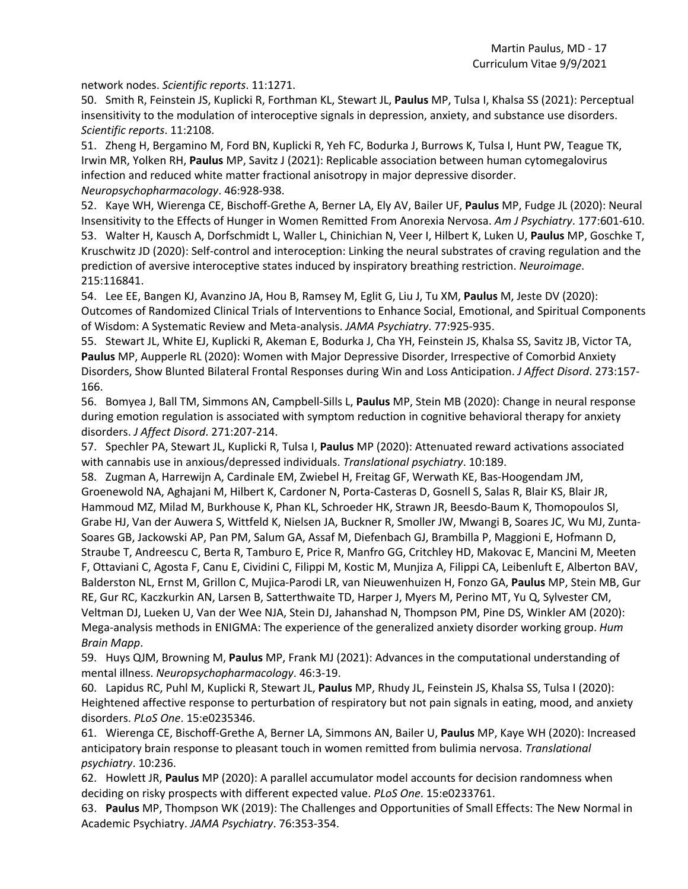network nodes. *Scientific reports*. 11:1271.

50. Smith R, Feinstein JS, Kuplicki R, Forthman KL, Stewart JL, **Paulus** MP, Tulsa I, Khalsa SS (2021): Perceptual insensitivity to the modulation of interoceptive signals in depression, anxiety, and substance use disorders. *Scientific reports*. 11:2108.

51. Zheng H, Bergamino M, Ford BN, Kuplicki R, Yeh FC, Bodurka J, Burrows K, Tulsa I, Hunt PW, Teague TK, Irwin MR, Yolken RH, **Paulus** MP, Savitz J (2021): Replicable association between human cytomegalovirus infection and reduced white matter fractional anisotropy in major depressive disorder. *Neuropsychopharmacology*. 46:928-938.

52. Kaye WH, Wierenga CE, Bischoff-Grethe A, Berner LA, Ely AV, Bailer UF, **Paulus** MP, Fudge JL (2020): Neural Insensitivity to the Effects of Hunger in Women Remitted From Anorexia Nervosa. *Am J Psychiatry*. 177:601-610. 53. Walter H, Kausch A, Dorfschmidt L, Waller L, Chinichian N, Veer I, Hilbert K, Luken U, **Paulus** MP, Goschke T, Kruschwitz JD (2020): Self-control and interoception: Linking the neural substrates of craving regulation and the prediction of aversive interoceptive states induced by inspiratory breathing restriction. *Neuroimage*. 215:116841.

54. Lee EE, Bangen KJ, Avanzino JA, Hou B, Ramsey M, Eglit G, Liu J, Tu XM, **Paulus** M, Jeste DV (2020): Outcomes of Randomized Clinical Trials of Interventions to Enhance Social, Emotional, and Spiritual Components of Wisdom: A Systematic Review and Meta-analysis. *JAMA Psychiatry*. 77:925-935.

55. Stewart JL, White EJ, Kuplicki R, Akeman E, Bodurka J, Cha YH, Feinstein JS, Khalsa SS, Savitz JB, Victor TA, **Paulus** MP, Aupperle RL (2020): Women with Major Depressive Disorder, Irrespective of Comorbid Anxiety Disorders, Show Blunted Bilateral Frontal Responses during Win and Loss Anticipation. *J Affect Disord*. 273:157- 166.

56. Bomyea J, Ball TM, Simmons AN, Campbell-Sills L, **Paulus** MP, Stein MB (2020): Change in neural response during emotion regulation is associated with symptom reduction in cognitive behavioral therapy for anxiety disorders. *J Affect Disord*. 271:207-214.

57. Spechler PA, Stewart JL, Kuplicki R, Tulsa I, **Paulus** MP (2020): Attenuated reward activations associated with cannabis use in anxious/depressed individuals. *Translational psychiatry*. 10:189.

58. Zugman A, Harrewijn A, Cardinale EM, Zwiebel H, Freitag GF, Werwath KE, Bas-Hoogendam JM, Groenewold NA, Aghajani M, Hilbert K, Cardoner N, Porta-Casteras D, Gosnell S, Salas R, Blair KS, Blair JR, Hammoud MZ, Milad M, Burkhouse K, Phan KL, Schroeder HK, Strawn JR, Beesdo-Baum K, Thomopoulos SI, Grabe HJ, Van der Auwera S, Wittfeld K, Nielsen JA, Buckner R, Smoller JW, Mwangi B, Soares JC, Wu MJ, Zunta-Soares GB, Jackowski AP, Pan PM, Salum GA, Assaf M, Diefenbach GJ, Brambilla P, Maggioni E, Hofmann D, Straube T, Andreescu C, Berta R, Tamburo E, Price R, Manfro GG, Critchley HD, Makovac E, Mancini M, Meeten F, Ottaviani C, Agosta F, Canu E, Cividini C, Filippi M, Kostic M, Munjiza A, Filippi CA, Leibenluft E, Alberton BAV, Balderston NL, Ernst M, Grillon C, Mujica-Parodi LR, van Nieuwenhuizen H, Fonzo GA, **Paulus** MP, Stein MB, Gur RE, Gur RC, Kaczkurkin AN, Larsen B, Satterthwaite TD, Harper J, Myers M, Perino MT, Yu Q, Sylvester CM, Veltman DJ, Lueken U, Van der Wee NJA, Stein DJ, Jahanshad N, Thompson PM, Pine DS, Winkler AM (2020): Mega-analysis methods in ENIGMA: The experience of the generalized anxiety disorder working group. *Hum Brain Mapp*.

59. Huys QJM, Browning M, **Paulus** MP, Frank MJ (2021): Advances in the computational understanding of mental illness. *Neuropsychopharmacology*. 46:3-19.

60. Lapidus RC, Puhl M, Kuplicki R, Stewart JL, **Paulus** MP, Rhudy JL, Feinstein JS, Khalsa SS, Tulsa I (2020): Heightened affective response to perturbation of respiratory but not pain signals in eating, mood, and anxiety disorders. *PLoS One*. 15:e0235346.

61. Wierenga CE, Bischoff-Grethe A, Berner LA, Simmons AN, Bailer U, **Paulus** MP, Kaye WH (2020): Increased anticipatory brain response to pleasant touch in women remitted from bulimia nervosa. *Translational psychiatry*. 10:236.

62. Howlett JR, **Paulus** MP (2020): A parallel accumulator model accounts for decision randomness when deciding on risky prospects with different expected value. *PLoS One*. 15:e0233761.

63. **Paulus** MP, Thompson WK (2019): The Challenges and Opportunities of Small Effects: The New Normal in Academic Psychiatry. *JAMA Psychiatry*. 76:353-354.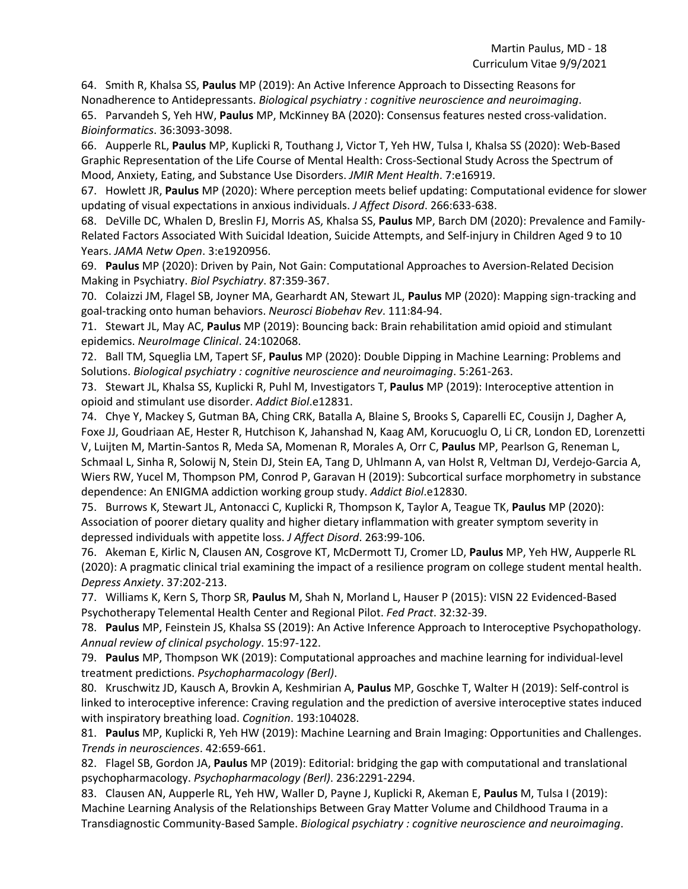64. Smith R, Khalsa SS, **Paulus** MP (2019): An Active Inference Approach to Dissecting Reasons for Nonadherence to Antidepressants. *Biological psychiatry : cognitive neuroscience and neuroimaging*.

65. Parvandeh S, Yeh HW, **Paulus** MP, McKinney BA (2020): Consensus features nested cross-validation. *Bioinformatics*. 36:3093-3098.

66. Aupperle RL, **Paulus** MP, Kuplicki R, Touthang J, Victor T, Yeh HW, Tulsa I, Khalsa SS (2020): Web-Based Graphic Representation of the Life Course of Mental Health: Cross-Sectional Study Across the Spectrum of Mood, Anxiety, Eating, and Substance Use Disorders. *JMIR Ment Health*. 7:e16919.

67. Howlett JR, **Paulus** MP (2020): Where perception meets belief updating: Computational evidence for slower updating of visual expectations in anxious individuals. *J Affect Disord*. 266:633-638.

68. DeVille DC, Whalen D, Breslin FJ, Morris AS, Khalsa SS, **Paulus** MP, Barch DM (2020): Prevalence and Family-Related Factors Associated With Suicidal Ideation, Suicide Attempts, and Self-injury in Children Aged 9 to 10 Years. *JAMA Netw Open*. 3:e1920956.

69. **Paulus** MP (2020): Driven by Pain, Not Gain: Computational Approaches to Aversion-Related Decision Making in Psychiatry. *Biol Psychiatry*. 87:359-367.

70. Colaizzi JM, Flagel SB, Joyner MA, Gearhardt AN, Stewart JL, **Paulus** MP (2020): Mapping sign-tracking and goal-tracking onto human behaviors. *Neurosci Biobehav Rev*. 111:84-94.

71. Stewart JL, May AC, **Paulus** MP (2019): Bouncing back: Brain rehabilitation amid opioid and stimulant epidemics. *NeuroImage Clinical*. 24:102068.

72. Ball TM, Squeglia LM, Tapert SF, **Paulus** MP (2020): Double Dipping in Machine Learning: Problems and Solutions. *Biological psychiatry : cognitive neuroscience and neuroimaging*. 5:261-263.

73. Stewart JL, Khalsa SS, Kuplicki R, Puhl M, Investigators T, **Paulus** MP (2019): Interoceptive attention in opioid and stimulant use disorder. *Addict Biol*.e12831.

74. Chye Y, Mackey S, Gutman BA, Ching CRK, Batalla A, Blaine S, Brooks S, Caparelli EC, Cousijn J, Dagher A, Foxe JJ, Goudriaan AE, Hester R, Hutchison K, Jahanshad N, Kaag AM, Korucuoglu O, Li CR, London ED, Lorenzetti V, Luijten M, Martin-Santos R, Meda SA, Momenan R, Morales A, Orr C, **Paulus** MP, Pearlson G, Reneman L, Schmaal L, Sinha R, Solowij N, Stein DJ, Stein EA, Tang D, Uhlmann A, van Holst R, Veltman DJ, Verdejo-Garcia A, Wiers RW, Yucel M, Thompson PM, Conrod P, Garavan H (2019): Subcortical surface morphometry in substance dependence: An ENIGMA addiction working group study. *Addict Biol*.e12830.

75. Burrows K, Stewart JL, Antonacci C, Kuplicki R, Thompson K, Taylor A, Teague TK, **Paulus** MP (2020): Association of poorer dietary quality and higher dietary inflammation with greater symptom severity in depressed individuals with appetite loss. *J Affect Disord*. 263:99-106.

76. Akeman E, Kirlic N, Clausen AN, Cosgrove KT, McDermott TJ, Cromer LD, **Paulus** MP, Yeh HW, Aupperle RL (2020): A pragmatic clinical trial examining the impact of a resilience program on college student mental health. *Depress Anxiety*. 37:202-213.

77. Williams K, Kern S, Thorp SR, **Paulus** M, Shah N, Morland L, Hauser P (2015): VISN 22 Evidenced-Based Psychotherapy Telemental Health Center and Regional Pilot. *Fed Pract*. 32:32-39.

78. **Paulus** MP, Feinstein JS, Khalsa SS (2019): An Active Inference Approach to Interoceptive Psychopathology. *Annual review of clinical psychology*. 15:97-122.

79. **Paulus** MP, Thompson WK (2019): Computational approaches and machine learning for individual-level treatment predictions. *Psychopharmacology (Berl)*.

80. Kruschwitz JD, Kausch A, Brovkin A, Keshmirian A, **Paulus** MP, Goschke T, Walter H (2019): Self-control is linked to interoceptive inference: Craving regulation and the prediction of aversive interoceptive states induced with inspiratory breathing load. *Cognition*. 193:104028.

81. **Paulus** MP, Kuplicki R, Yeh HW (2019): Machine Learning and Brain Imaging: Opportunities and Challenges. *Trends in neurosciences*. 42:659-661.

82. Flagel SB, Gordon JA, **Paulus** MP (2019): Editorial: bridging the gap with computational and translational psychopharmacology. *Psychopharmacology (Berl)*. 236:2291-2294.

83. Clausen AN, Aupperle RL, Yeh HW, Waller D, Payne J, Kuplicki R, Akeman E, **Paulus** M, Tulsa I (2019): Machine Learning Analysis of the Relationships Between Gray Matter Volume and Childhood Trauma in a Transdiagnostic Community-Based Sample. *Biological psychiatry : cognitive neuroscience and neuroimaging*.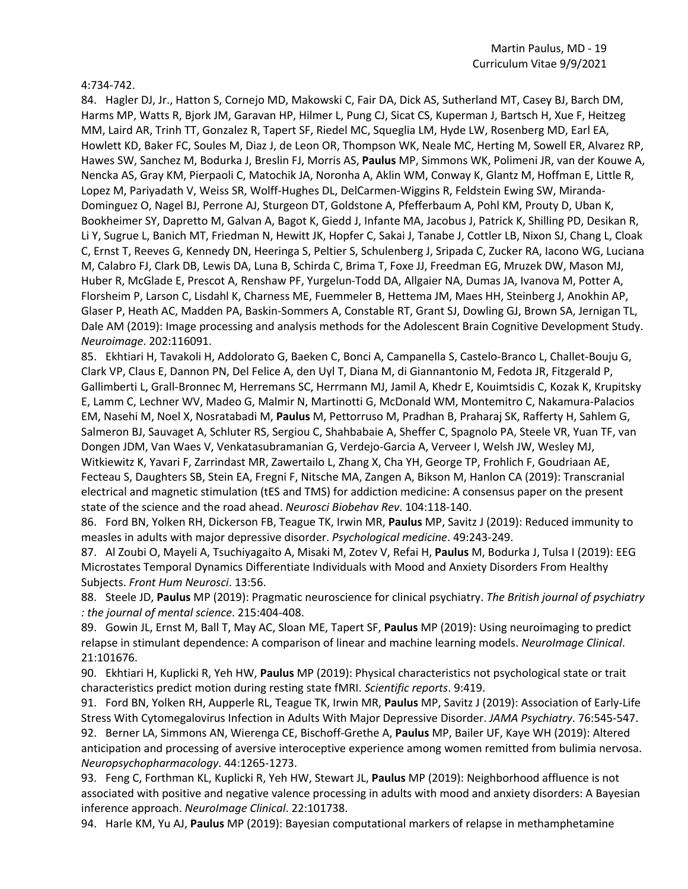#### 4:734-742.

84. Hagler DJ, Jr., Hatton S, Cornejo MD, Makowski C, Fair DA, Dick AS, Sutherland MT, Casey BJ, Barch DM, Harms MP, Watts R, Bjork JM, Garavan HP, Hilmer L, Pung CJ, Sicat CS, Kuperman J, Bartsch H, Xue F, Heitzeg MM, Laird AR, Trinh TT, Gonzalez R, Tapert SF, Riedel MC, Squeglia LM, Hyde LW, Rosenberg MD, Earl EA, Howlett KD, Baker FC, Soules M, Diaz J, de Leon OR, Thompson WK, Neale MC, Herting M, Sowell ER, Alvarez RP, Hawes SW, Sanchez M, Bodurka J, Breslin FJ, Morris AS, **Paulus** MP, Simmons WK, Polimeni JR, van der Kouwe A, Nencka AS, Gray KM, Pierpaoli C, Matochik JA, Noronha A, Aklin WM, Conway K, Glantz M, Hoffman E, Little R, Lopez M, Pariyadath V, Weiss SR, Wolff-Hughes DL, DelCarmen-Wiggins R, Feldstein Ewing SW, Miranda-Dominguez O, Nagel BJ, Perrone AJ, Sturgeon DT, Goldstone A, Pfefferbaum A, Pohl KM, Prouty D, Uban K, Bookheimer SY, Dapretto M, Galvan A, Bagot K, Giedd J, Infante MA, Jacobus J, Patrick K, Shilling PD, Desikan R, Li Y, Sugrue L, Banich MT, Friedman N, Hewitt JK, Hopfer C, Sakai J, Tanabe J, Cottler LB, Nixon SJ, Chang L, Cloak C, Ernst T, Reeves G, Kennedy DN, Heeringa S, Peltier S, Schulenberg J, Sripada C, Zucker RA, Iacono WG, Luciana M, Calabro FJ, Clark DB, Lewis DA, Luna B, Schirda C, Brima T, Foxe JJ, Freedman EG, Mruzek DW, Mason MJ, Huber R, McGlade E, Prescot A, Renshaw PF, Yurgelun-Todd DA, Allgaier NA, Dumas JA, Ivanova M, Potter A, Florsheim P, Larson C, Lisdahl K, Charness ME, Fuemmeler B, Hettema JM, Maes HH, Steinberg J, Anokhin AP, Glaser P, Heath AC, Madden PA, Baskin-Sommers A, Constable RT, Grant SJ, Dowling GJ, Brown SA, Jernigan TL, Dale AM (2019): Image processing and analysis methods for the Adolescent Brain Cognitive Development Study. *Neuroimage*. 202:116091.

85. Ekhtiari H, Tavakoli H, Addolorato G, Baeken C, Bonci A, Campanella S, Castelo-Branco L, Challet-Bouju G, Clark VP, Claus E, Dannon PN, Del Felice A, den Uyl T, Diana M, di Giannantonio M, Fedota JR, Fitzgerald P, Gallimberti L, Grall-Bronnec M, Herremans SC, Herrmann MJ, Jamil A, Khedr E, Kouimtsidis C, Kozak K, Krupitsky E, Lamm C, Lechner WV, Madeo G, Malmir N, Martinotti G, McDonald WM, Montemitro C, Nakamura-Palacios EM, Nasehi M, Noel X, Nosratabadi M, **Paulus** M, Pettorruso M, Pradhan B, Praharaj SK, Rafferty H, Sahlem G, Salmeron BJ, Sauvaget A, Schluter RS, Sergiou C, Shahbabaie A, Sheffer C, Spagnolo PA, Steele VR, Yuan TF, van Dongen JDM, Van Waes V, Venkatasubramanian G, Verdejo-Garcia A, Verveer I, Welsh JW, Wesley MJ, Witkiewitz K, Yavari F, Zarrindast MR, Zawertailo L, Zhang X, Cha YH, George TP, Frohlich F, Goudriaan AE, Fecteau S, Daughters SB, Stein EA, Fregni F, Nitsche MA, Zangen A, Bikson M, Hanlon CA (2019): Transcranial electrical and magnetic stimulation (tES and TMS) for addiction medicine: A consensus paper on the present state of the science and the road ahead. *Neurosci Biobehav Rev*. 104:118-140.

86. Ford BN, Yolken RH, Dickerson FB, Teague TK, Irwin MR, **Paulus** MP, Savitz J (2019): Reduced immunity to measles in adults with major depressive disorder. *Psychological medicine*. 49:243-249.

87. Al Zoubi O, Mayeli A, Tsuchiyagaito A, Misaki M, Zotev V, Refai H, **Paulus** M, Bodurka J, Tulsa I (2019): EEG Microstates Temporal Dynamics Differentiate Individuals with Mood and Anxiety Disorders From Healthy Subjects. *Front Hum Neurosci*. 13:56.

88. Steele JD, **Paulus** MP (2019): Pragmatic neuroscience for clinical psychiatry. *The British journal of psychiatry : the journal of mental science*. 215:404-408.

89. Gowin JL, Ernst M, Ball T, May AC, Sloan ME, Tapert SF, **Paulus** MP (2019): Using neuroimaging to predict relapse in stimulant dependence: A comparison of linear and machine learning models. *NeuroImage Clinical*. 21:101676.

90. Ekhtiari H, Kuplicki R, Yeh HW, **Paulus** MP (2019): Physical characteristics not psychological state or trait characteristics predict motion during resting state fMRI. *Scientific reports*. 9:419.

91. Ford BN, Yolken RH, Aupperle RL, Teague TK, Irwin MR, **Paulus** MP, Savitz J (2019): Association of Early-Life Stress With Cytomegalovirus Infection in Adults With Major Depressive Disorder. *JAMA Psychiatry*. 76:545-547. 92. Berner LA, Simmons AN, Wierenga CE, Bischoff-Grethe A, **Paulus** MP, Bailer UF, Kaye WH (2019): Altered anticipation and processing of aversive interoceptive experience among women remitted from bulimia nervosa. *Neuropsychopharmacology*. 44:1265-1273.

93. Feng C, Forthman KL, Kuplicki R, Yeh HW, Stewart JL, **Paulus** MP (2019): Neighborhood affluence is not associated with positive and negative valence processing in adults with mood and anxiety disorders: A Bayesian inference approach. *NeuroImage Clinical*. 22:101738.

94. Harle KM, Yu AJ, **Paulus** MP (2019): Bayesian computational markers of relapse in methamphetamine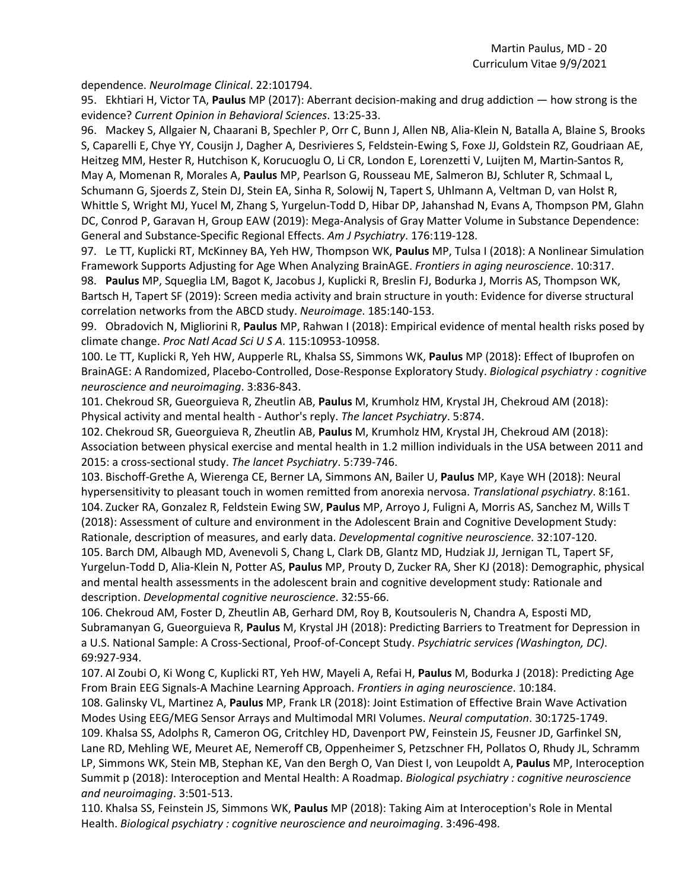dependence. *NeuroImage Clinical*. 22:101794.

95. Ekhtiari H, Victor TA, **Paulus** MP (2017): Aberrant decision-making and drug addiction — how strong is the evidence? *Current Opinion in Behavioral Sciences*. 13:25-33.

96. Mackey S, Allgaier N, Chaarani B, Spechler P, Orr C, Bunn J, Allen NB, Alia-Klein N, Batalla A, Blaine S, Brooks S, Caparelli E, Chye YY, Cousijn J, Dagher A, Desrivieres S, Feldstein-Ewing S, Foxe JJ, Goldstein RZ, Goudriaan AE, Heitzeg MM, Hester R, Hutchison K, Korucuoglu O, Li CR, London E, Lorenzetti V, Luijten M, Martin-Santos R, May A, Momenan R, Morales A, **Paulus** MP, Pearlson G, Rousseau ME, Salmeron BJ, Schluter R, Schmaal L, Schumann G, Sjoerds Z, Stein DJ, Stein EA, Sinha R, Solowij N, Tapert S, Uhlmann A, Veltman D, van Holst R, Whittle S, Wright MJ, Yucel M, Zhang S, Yurgelun-Todd D, Hibar DP, Jahanshad N, Evans A, Thompson PM, Glahn DC, Conrod P, Garavan H, Group EAW (2019): Mega-Analysis of Gray Matter Volume in Substance Dependence: General and Substance-Specific Regional Effects. *Am J Psychiatry*. 176:119-128.

97. Le TT, Kuplicki RT, McKinney BA, Yeh HW, Thompson WK, **Paulus** MP, Tulsa I (2018): A Nonlinear Simulation Framework Supports Adjusting for Age When Analyzing BrainAGE. *Frontiers in aging neuroscience*. 10:317.

98. **Paulus** MP, Squeglia LM, Bagot K, Jacobus J, Kuplicki R, Breslin FJ, Bodurka J, Morris AS, Thompson WK, Bartsch H, Tapert SF (2019): Screen media activity and brain structure in youth: Evidence for diverse structural correlation networks from the ABCD study. *Neuroimage*. 185:140-153.

99. Obradovich N, Migliorini R, **Paulus** MP, Rahwan I (2018): Empirical evidence of mental health risks posed by climate change. *Proc Natl Acad Sci U S A*. 115:10953-10958.

100. Le TT, Kuplicki R, Yeh HW, Aupperle RL, Khalsa SS, Simmons WK, **Paulus** MP (2018): Effect of Ibuprofen on BrainAGE: A Randomized, Placebo-Controlled, Dose-Response Exploratory Study. *Biological psychiatry : cognitive neuroscience and neuroimaging*. 3:836-843.

101. Chekroud SR, Gueorguieva R, Zheutlin AB, **Paulus** M, Krumholz HM, Krystal JH, Chekroud AM (2018): Physical activity and mental health - Author's reply. *The lancet Psychiatry*. 5:874.

102. Chekroud SR, Gueorguieva R, Zheutlin AB, **Paulus** M, Krumholz HM, Krystal JH, Chekroud AM (2018): Association between physical exercise and mental health in 1.2 million individuals in the USA between 2011 and 2015: a cross-sectional study. *The lancet Psychiatry*. 5:739-746.

103. Bischoff-Grethe A, Wierenga CE, Berner LA, Simmons AN, Bailer U, **Paulus** MP, Kaye WH (2018): Neural hypersensitivity to pleasant touch in women remitted from anorexia nervosa. *Translational psychiatry*. 8:161. 104. Zucker RA, Gonzalez R, Feldstein Ewing SW, **Paulus** MP, Arroyo J, Fuligni A, Morris AS, Sanchez M, Wills T (2018): Assessment of culture and environment in the Adolescent Brain and Cognitive Development Study: Rationale, description of measures, and early data. *Developmental cognitive neuroscience*. 32:107-120. 105. Barch DM, Albaugh MD, Avenevoli S, Chang L, Clark DB, Glantz MD, Hudziak JJ, Jernigan TL, Tapert SF, Yurgelun-Todd D, Alia-Klein N, Potter AS, **Paulus** MP, Prouty D, Zucker RA, Sher KJ (2018): Demographic, physical

and mental health assessments in the adolescent brain and cognitive development study: Rationale and description. *Developmental cognitive neuroscience*. 32:55-66.

106. Chekroud AM, Foster D, Zheutlin AB, Gerhard DM, Roy B, Koutsouleris N, Chandra A, Esposti MD, Subramanyan G, Gueorguieva R, **Paulus** M, Krystal JH (2018): Predicting Barriers to Treatment for Depression in a U.S. National Sample: A Cross-Sectional, Proof-of-Concept Study. *Psychiatric services (Washington, DC)*. 69:927-934.

107. Al Zoubi O, Ki Wong C, Kuplicki RT, Yeh HW, Mayeli A, Refai H, **Paulus** M, Bodurka J (2018): Predicting Age From Brain EEG Signals-A Machine Learning Approach. *Frontiers in aging neuroscience*. 10:184.

108. Galinsky VL, Martinez A, **Paulus** MP, Frank LR (2018): Joint Estimation of Effective Brain Wave Activation Modes Using EEG/MEG Sensor Arrays and Multimodal MRI Volumes. *Neural computation*. 30:1725-1749. 109. Khalsa SS, Adolphs R, Cameron OG, Critchley HD, Davenport PW, Feinstein JS, Feusner JD, Garfinkel SN, Lane RD, Mehling WE, Meuret AE, Nemeroff CB, Oppenheimer S, Petzschner FH, Pollatos O, Rhudy JL, Schramm LP, Simmons WK, Stein MB, Stephan KE, Van den Bergh O, Van Diest I, von Leupoldt A, **Paulus** MP, Interoception Summit p (2018): Interoception and Mental Health: A Roadmap. *Biological psychiatry : cognitive neuroscience and neuroimaging*. 3:501-513.

110. Khalsa SS, Feinstein JS, Simmons WK, **Paulus** MP (2018): Taking Aim at Interoception's Role in Mental Health. *Biological psychiatry : cognitive neuroscience and neuroimaging*. 3:496-498.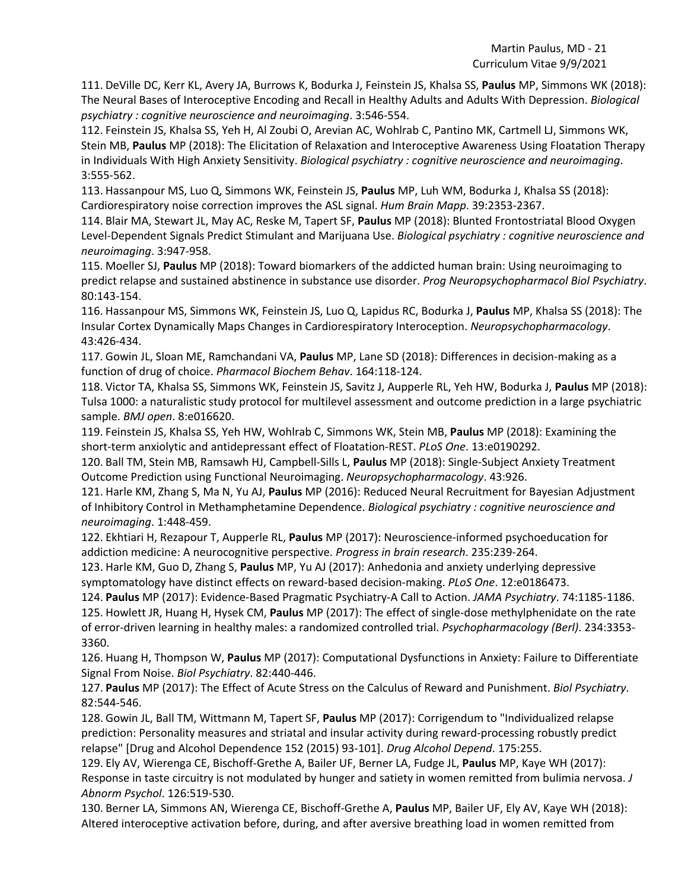Martin Paulus, MD - 21 Curriculum Vitae 9/9/2021

111. DeVille DC, Kerr KL, Avery JA, Burrows K, Bodurka J, Feinstein JS, Khalsa SS, **Paulus** MP, Simmons WK (2018): The Neural Bases of Interoceptive Encoding and Recall in Healthy Adults and Adults With Depression. *Biological psychiatry : cognitive neuroscience and neuroimaging*. 3:546-554.

112. Feinstein JS, Khalsa SS, Yeh H, Al Zoubi O, Arevian AC, Wohlrab C, Pantino MK, Cartmell LJ, Simmons WK, Stein MB, **Paulus** MP (2018): The Elicitation of Relaxation and Interoceptive Awareness Using Floatation Therapy in Individuals With High Anxiety Sensitivity. *Biological psychiatry : cognitive neuroscience and neuroimaging*. 3:555-562.

113. Hassanpour MS, Luo Q, Simmons WK, Feinstein JS, **Paulus** MP, Luh WM, Bodurka J, Khalsa SS (2018): Cardiorespiratory noise correction improves the ASL signal. *Hum Brain Mapp*. 39:2353-2367.

114. Blair MA, Stewart JL, May AC, Reske M, Tapert SF, **Paulus** MP (2018): Blunted Frontostriatal Blood Oxygen Level-Dependent Signals Predict Stimulant and Marijuana Use. *Biological psychiatry : cognitive neuroscience and neuroimaging*. 3:947-958.

115. Moeller SJ, **Paulus** MP (2018): Toward biomarkers of the addicted human brain: Using neuroimaging to predict relapse and sustained abstinence in substance use disorder. *Prog Neuropsychopharmacol Biol Psychiatry*. 80:143-154.

116. Hassanpour MS, Simmons WK, Feinstein JS, Luo Q, Lapidus RC, Bodurka J, **Paulus** MP, Khalsa SS (2018): The Insular Cortex Dynamically Maps Changes in Cardiorespiratory Interoception. *Neuropsychopharmacology*. 43:426-434.

117. Gowin JL, Sloan ME, Ramchandani VA, **Paulus** MP, Lane SD (2018): Differences in decision-making as a function of drug of choice. *Pharmacol Biochem Behav*. 164:118-124.

118. Victor TA, Khalsa SS, Simmons WK, Feinstein JS, Savitz J, Aupperle RL, Yeh HW, Bodurka J, **Paulus** MP (2018): Tulsa 1000: a naturalistic study protocol for multilevel assessment and outcome prediction in a large psychiatric sample. *BMJ open*. 8:e016620.

119. Feinstein JS, Khalsa SS, Yeh HW, Wohlrab C, Simmons WK, Stein MB, **Paulus** MP (2018): Examining the short-term anxiolytic and antidepressant effect of Floatation-REST. *PLoS One*. 13:e0190292.

120. Ball TM, Stein MB, Ramsawh HJ, Campbell-Sills L, **Paulus** MP (2018): Single-Subject Anxiety Treatment Outcome Prediction using Functional Neuroimaging. *Neuropsychopharmacology*. 43:926.

121. Harle KM, Zhang S, Ma N, Yu AJ, **Paulus** MP (2016): Reduced Neural Recruitment for Bayesian Adjustment of Inhibitory Control in Methamphetamine Dependence. *Biological psychiatry : cognitive neuroscience and neuroimaging*. 1:448-459.

122. Ekhtiari H, Rezapour T, Aupperle RL, **Paulus** MP (2017): Neuroscience-informed psychoeducation for addiction medicine: A neurocognitive perspective. *Progress in brain research*. 235:239-264.

123. Harle KM, Guo D, Zhang S, **Paulus** MP, Yu AJ (2017): Anhedonia and anxiety underlying depressive symptomatology have distinct effects on reward-based decision-making. *PLoS One*. 12:e0186473.

124. **Paulus** MP (2017): Evidence-Based Pragmatic Psychiatry-A Call to Action. *JAMA Psychiatry*. 74:1185-1186. 125. Howlett JR, Huang H, Hysek CM, **Paulus** MP (2017): The effect of single-dose methylphenidate on the rate of error-driven learning in healthy males: a randomized controlled trial. *Psychopharmacology (Berl)*. 234:3353- 3360.

126. Huang H, Thompson W, **Paulus** MP (2017): Computational Dysfunctions in Anxiety: Failure to Differentiate Signal From Noise. *Biol Psychiatry*. 82:440-446.

127. **Paulus** MP (2017): The Effect of Acute Stress on the Calculus of Reward and Punishment. *Biol Psychiatry*. 82:544-546.

128. Gowin JL, Ball TM, Wittmann M, Tapert SF, **Paulus** MP (2017): Corrigendum to "Individualized relapse prediction: Personality measures and striatal and insular activity during reward-processing robustly predict relapse" [Drug and Alcohol Dependence 152 (2015) 93-101]. *Drug Alcohol Depend*. 175:255.

129. Ely AV, Wierenga CE, Bischoff-Grethe A, Bailer UF, Berner LA, Fudge JL, **Paulus** MP, Kaye WH (2017): Response in taste circuitry is not modulated by hunger and satiety in women remitted from bulimia nervosa. *J Abnorm Psychol*. 126:519-530.

130. Berner LA, Simmons AN, Wierenga CE, Bischoff-Grethe A, **Paulus** MP, Bailer UF, Ely AV, Kaye WH (2018): Altered interoceptive activation before, during, and after aversive breathing load in women remitted from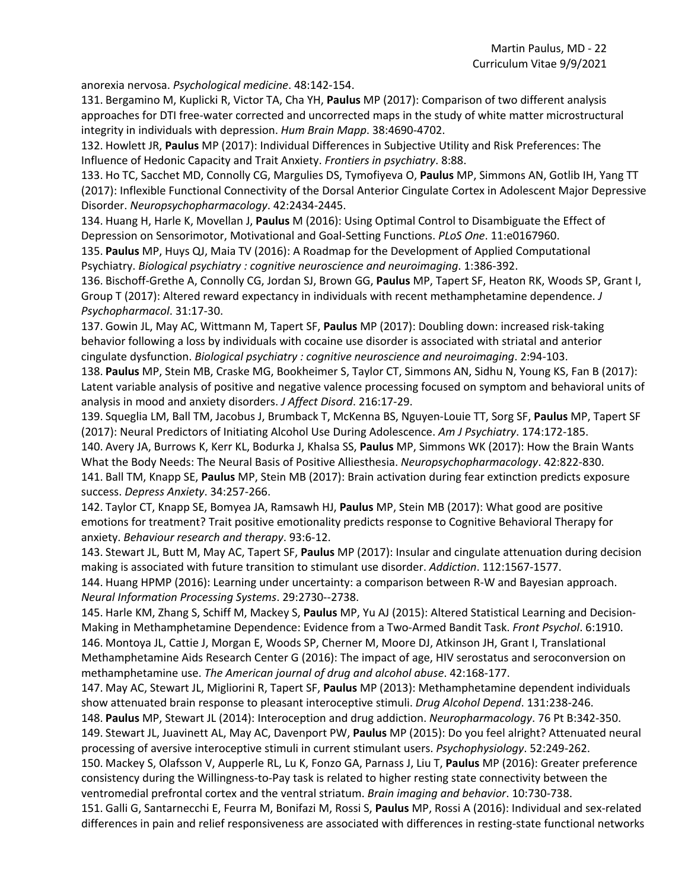anorexia nervosa. *Psychological medicine*. 48:142-154.

131. Bergamino M, Kuplicki R, Victor TA, Cha YH, **Paulus** MP (2017): Comparison of two different analysis approaches for DTI free-water corrected and uncorrected maps in the study of white matter microstructural integrity in individuals with depression. *Hum Brain Mapp*. 38:4690-4702.

132. Howlett JR, **Paulus** MP (2017): Individual Differences in Subjective Utility and Risk Preferences: The Influence of Hedonic Capacity and Trait Anxiety. *Frontiers in psychiatry*. 8:88.

133. Ho TC, Sacchet MD, Connolly CG, Margulies DS, Tymofiyeva O, **Paulus** MP, Simmons AN, Gotlib IH, Yang TT (2017): Inflexible Functional Connectivity of the Dorsal Anterior Cingulate Cortex in Adolescent Major Depressive Disorder. *Neuropsychopharmacology*. 42:2434-2445.

134. Huang H, Harle K, Movellan J, **Paulus** M (2016): Using Optimal Control to Disambiguate the Effect of Depression on Sensorimotor, Motivational and Goal-Setting Functions. *PLoS One*. 11:e0167960.

135. **Paulus** MP, Huys QJ, Maia TV (2016): A Roadmap for the Development of Applied Computational Psychiatry. *Biological psychiatry : cognitive neuroscience and neuroimaging*. 1:386-392.

136. Bischoff-Grethe A, Connolly CG, Jordan SJ, Brown GG, **Paulus** MP, Tapert SF, Heaton RK, Woods SP, Grant I, Group T (2017): Altered reward expectancy in individuals with recent methamphetamine dependence. *J Psychopharmacol*. 31:17-30.

137. Gowin JL, May AC, Wittmann M, Tapert SF, **Paulus** MP (2017): Doubling down: increased risk-taking behavior following a loss by individuals with cocaine use disorder is associated with striatal and anterior cingulate dysfunction. *Biological psychiatry : cognitive neuroscience and neuroimaging*. 2:94-103.

138. **Paulus** MP, Stein MB, Craske MG, Bookheimer S, Taylor CT, Simmons AN, Sidhu N, Young KS, Fan B (2017): Latent variable analysis of positive and negative valence processing focused on symptom and behavioral units of analysis in mood and anxiety disorders. *J Affect Disord*. 216:17-29.

139. Squeglia LM, Ball TM, Jacobus J, Brumback T, McKenna BS, Nguyen-Louie TT, Sorg SF, **Paulus** MP, Tapert SF (2017): Neural Predictors of Initiating Alcohol Use During Adolescence. *Am J Psychiatry*. 174:172-185.

140. Avery JA, Burrows K, Kerr KL, Bodurka J, Khalsa SS, **Paulus** MP, Simmons WK (2017): How the Brain Wants What the Body Needs: The Neural Basis of Positive Alliesthesia. *Neuropsychopharmacology*. 42:822-830. 141. Ball TM, Knapp SE, **Paulus** MP, Stein MB (2017): Brain activation during fear extinction predicts exposure success. *Depress Anxiety*. 34:257-266.

142. Taylor CT, Knapp SE, Bomyea JA, Ramsawh HJ, **Paulus** MP, Stein MB (2017): What good are positive emotions for treatment? Trait positive emotionality predicts response to Cognitive Behavioral Therapy for anxiety. *Behaviour research and therapy*. 93:6-12.

143. Stewart JL, Butt M, May AC, Tapert SF, **Paulus** MP (2017): Insular and cingulate attenuation during decision making is associated with future transition to stimulant use disorder. *Addiction*. 112:1567-1577.

144. Huang HPMP (2016): Learning under uncertainty: a comparison between R-W and Bayesian approach. *Neural Information Processing Systems*. 29:2730--2738.

145. Harle KM, Zhang S, Schiff M, Mackey S, **Paulus** MP, Yu AJ (2015): Altered Statistical Learning and Decision-Making in Methamphetamine Dependence: Evidence from a Two-Armed Bandit Task. *Front Psychol*. 6:1910. 146. Montoya JL, Cattie J, Morgan E, Woods SP, Cherner M, Moore DJ, Atkinson JH, Grant I, Translational Methamphetamine Aids Research Center G (2016): The impact of age, HIV serostatus and seroconversion on methamphetamine use. *The American journal of drug and alcohol abuse*. 42:168-177.

147. May AC, Stewart JL, Migliorini R, Tapert SF, **Paulus** MP (2013): Methamphetamine dependent individuals show attenuated brain response to pleasant interoceptive stimuli. *Drug Alcohol Depend*. 131:238-246.

148. **Paulus** MP, Stewart JL (2014): Interoception and drug addiction. *Neuropharmacology*. 76 Pt B:342-350. 149. Stewart JL, Juavinett AL, May AC, Davenport PW, **Paulus** MP (2015): Do you feel alright? Attenuated neural processing of aversive interoceptive stimuli in current stimulant users. *Psychophysiology*. 52:249-262.

150. Mackey S, Olafsson V, Aupperle RL, Lu K, Fonzo GA, Parnass J, Liu T, **Paulus** MP (2016): Greater preference consistency during the Willingness-to-Pay task is related to higher resting state connectivity between the ventromedial prefrontal cortex and the ventral striatum. *Brain imaging and behavior*. 10:730-738.

151. Galli G, Santarnecchi E, Feurra M, Bonifazi M, Rossi S, **Paulus** MP, Rossi A (2016): Individual and sex-related differences in pain and relief responsiveness are associated with differences in resting-state functional networks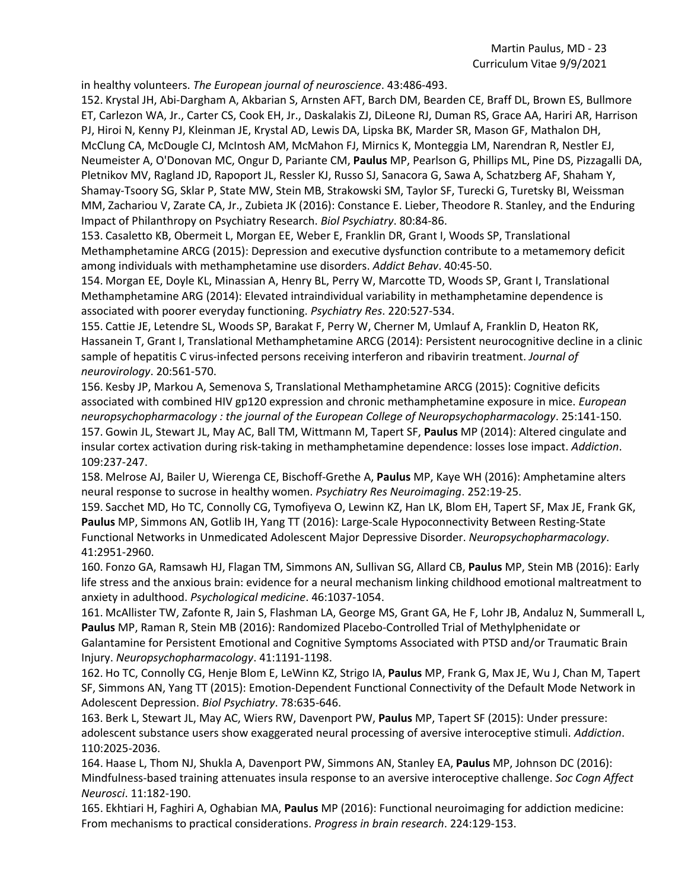in healthy volunteers. *The European journal of neuroscience*. 43:486-493.

152. Krystal JH, Abi-Dargham A, Akbarian S, Arnsten AFT, Barch DM, Bearden CE, Braff DL, Brown ES, Bullmore ET, Carlezon WA, Jr., Carter CS, Cook EH, Jr., Daskalakis ZJ, DiLeone RJ, Duman RS, Grace AA, Hariri AR, Harrison PJ, Hiroi N, Kenny PJ, Kleinman JE, Krystal AD, Lewis DA, Lipska BK, Marder SR, Mason GF, Mathalon DH, McClung CA, McDougle CJ, McIntosh AM, McMahon FJ, Mirnics K, Monteggia LM, Narendran R, Nestler EJ, Neumeister A, O'Donovan MC, Ongur D, Pariante CM, **Paulus** MP, Pearlson G, Phillips ML, Pine DS, Pizzagalli DA, Pletnikov MV, Ragland JD, Rapoport JL, Ressler KJ, Russo SJ, Sanacora G, Sawa A, Schatzberg AF, Shaham Y, Shamay-Tsoory SG, Sklar P, State MW, Stein MB, Strakowski SM, Taylor SF, Turecki G, Turetsky BI, Weissman MM, Zachariou V, Zarate CA, Jr., Zubieta JK (2016): Constance E. Lieber, Theodore R. Stanley, and the Enduring Impact of Philanthropy on Psychiatry Research. *Biol Psychiatry*. 80:84-86.

153. Casaletto KB, Obermeit L, Morgan EE, Weber E, Franklin DR, Grant I, Woods SP, Translational Methamphetamine ARCG (2015): Depression and executive dysfunction contribute to a metamemory deficit among individuals with methamphetamine use disorders. *Addict Behav*. 40:45-50.

154. Morgan EE, Doyle KL, Minassian A, Henry BL, Perry W, Marcotte TD, Woods SP, Grant I, Translational Methamphetamine ARG (2014): Elevated intraindividual variability in methamphetamine dependence is associated with poorer everyday functioning. *Psychiatry Res*. 220:527-534.

155. Cattie JE, Letendre SL, Woods SP, Barakat F, Perry W, Cherner M, Umlauf A, Franklin D, Heaton RK, Hassanein T, Grant I, Translational Methamphetamine ARCG (2014): Persistent neurocognitive decline in a clinic sample of hepatitis C virus-infected persons receiving interferon and ribavirin treatment. *Journal of neurovirology*. 20:561-570.

156. Kesby JP, Markou A, Semenova S, Translational Methamphetamine ARCG (2015): Cognitive deficits associated with combined HIV gp120 expression and chronic methamphetamine exposure in mice. *European neuropsychopharmacology : the journal of the European College of Neuropsychopharmacology*. 25:141-150. 157. Gowin JL, Stewart JL, May AC, Ball TM, Wittmann M, Tapert SF, **Paulus** MP (2014): Altered cingulate and insular cortex activation during risk-taking in methamphetamine dependence: losses lose impact. *Addiction*. 109:237-247.

158. Melrose AJ, Bailer U, Wierenga CE, Bischoff-Grethe A, **Paulus** MP, Kaye WH (2016): Amphetamine alters neural response to sucrose in healthy women. *Psychiatry Res Neuroimaging*. 252:19-25.

159. Sacchet MD, Ho TC, Connolly CG, Tymofiyeva O, Lewinn KZ, Han LK, Blom EH, Tapert SF, Max JE, Frank GK, **Paulus** MP, Simmons AN, Gotlib IH, Yang TT (2016): Large-Scale Hypoconnectivity Between Resting-State Functional Networks in Unmedicated Adolescent Major Depressive Disorder. *Neuropsychopharmacology*. 41:2951-2960.

160. Fonzo GA, Ramsawh HJ, Flagan TM, Simmons AN, Sullivan SG, Allard CB, **Paulus** MP, Stein MB (2016): Early life stress and the anxious brain: evidence for a neural mechanism linking childhood emotional maltreatment to anxiety in adulthood. *Psychological medicine*. 46:1037-1054.

161. McAllister TW, Zafonte R, Jain S, Flashman LA, George MS, Grant GA, He F, Lohr JB, Andaluz N, Summerall L, **Paulus** MP, Raman R, Stein MB (2016): Randomized Placebo-Controlled Trial of Methylphenidate or Galantamine for Persistent Emotional and Cognitive Symptoms Associated with PTSD and/or Traumatic Brain Injury. *Neuropsychopharmacology*. 41:1191-1198.

162. Ho TC, Connolly CG, Henje Blom E, LeWinn KZ, Strigo IA, **Paulus** MP, Frank G, Max JE, Wu J, Chan M, Tapert SF, Simmons AN, Yang TT (2015): Emotion-Dependent Functional Connectivity of the Default Mode Network in Adolescent Depression. *Biol Psychiatry*. 78:635-646.

163. Berk L, Stewart JL, May AC, Wiers RW, Davenport PW, **Paulus** MP, Tapert SF (2015): Under pressure: adolescent substance users show exaggerated neural processing of aversive interoceptive stimuli. *Addiction*. 110:2025-2036.

164. Haase L, Thom NJ, Shukla A, Davenport PW, Simmons AN, Stanley EA, **Paulus** MP, Johnson DC (2016): Mindfulness-based training attenuates insula response to an aversive interoceptive challenge. *Soc Cogn Affect Neurosci*. 11:182-190.

165. Ekhtiari H, Faghiri A, Oghabian MA, **Paulus** MP (2016): Functional neuroimaging for addiction medicine: From mechanisms to practical considerations. *Progress in brain research*. 224:129-153.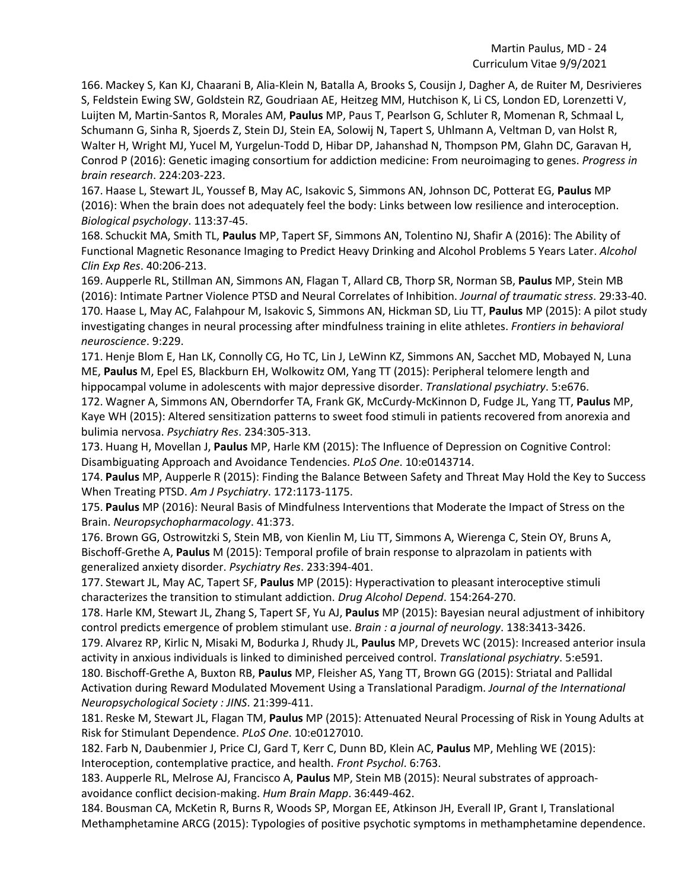Martin Paulus, MD - 24 Curriculum Vitae 9/9/2021

166. Mackey S, Kan KJ, Chaarani B, Alia-Klein N, Batalla A, Brooks S, Cousijn J, Dagher A, de Ruiter M, Desrivieres S, Feldstein Ewing SW, Goldstein RZ, Goudriaan AE, Heitzeg MM, Hutchison K, Li CS, London ED, Lorenzetti V, Luijten M, Martin-Santos R, Morales AM, **Paulus** MP, Paus T, Pearlson G, Schluter R, Momenan R, Schmaal L, Schumann G, Sinha R, Sjoerds Z, Stein DJ, Stein EA, Solowij N, Tapert S, Uhlmann A, Veltman D, van Holst R, Walter H, Wright MJ, Yucel M, Yurgelun-Todd D, Hibar DP, Jahanshad N, Thompson PM, Glahn DC, Garavan H, Conrod P (2016): Genetic imaging consortium for addiction medicine: From neuroimaging to genes. *Progress in brain research*. 224:203-223.

167. Haase L, Stewart JL, Youssef B, May AC, Isakovic S, Simmons AN, Johnson DC, Potterat EG, **Paulus** MP (2016): When the brain does not adequately feel the body: Links between low resilience and interoception. *Biological psychology*. 113:37-45.

168. Schuckit MA, Smith TL, **Paulus** MP, Tapert SF, Simmons AN, Tolentino NJ, Shafir A (2016): The Ability of Functional Magnetic Resonance Imaging to Predict Heavy Drinking and Alcohol Problems 5 Years Later. *Alcohol Clin Exp Res*. 40:206-213.

169. Aupperle RL, Stillman AN, Simmons AN, Flagan T, Allard CB, Thorp SR, Norman SB, **Paulus** MP, Stein MB (2016): Intimate Partner Violence PTSD and Neural Correlates of Inhibition. *Journal of traumatic stress*. 29:33-40. 170. Haase L, May AC, Falahpour M, Isakovic S, Simmons AN, Hickman SD, Liu TT, **Paulus** MP (2015): A pilot study investigating changes in neural processing after mindfulness training in elite athletes. *Frontiers in behavioral neuroscience*. 9:229.

171. Henje Blom E, Han LK, Connolly CG, Ho TC, Lin J, LeWinn KZ, Simmons AN, Sacchet MD, Mobayed N, Luna ME, **Paulus** M, Epel ES, Blackburn EH, Wolkowitz OM, Yang TT (2015): Peripheral telomere length and hippocampal volume in adolescents with major depressive disorder. *Translational psychiatry*. 5:e676. 172. Wagner A, Simmons AN, Oberndorfer TA, Frank GK, McCurdy-McKinnon D, Fudge JL, Yang TT, **Paulus** MP, Kaye WH (2015): Altered sensitization patterns to sweet food stimuli in patients recovered from anorexia and

bulimia nervosa. *Psychiatry Res*. 234:305-313. 173. Huang H, Movellan J, **Paulus** MP, Harle KM (2015): The Influence of Depression on Cognitive Control: Disambiguating Approach and Avoidance Tendencies. *PLoS One*. 10:e0143714.

174. **Paulus** MP, Aupperle R (2015): Finding the Balance Between Safety and Threat May Hold the Key to Success When Treating PTSD. *Am J Psychiatry*. 172:1173-1175.

175. **Paulus** MP (2016): Neural Basis of Mindfulness Interventions that Moderate the Impact of Stress on the Brain. *Neuropsychopharmacology*. 41:373.

176. Brown GG, Ostrowitzki S, Stein MB, von Kienlin M, Liu TT, Simmons A, Wierenga C, Stein OY, Bruns A, Bischoff-Grethe A, **Paulus** M (2015): Temporal profile of brain response to alprazolam in patients with generalized anxiety disorder. *Psychiatry Res*. 233:394-401.

177. Stewart JL, May AC, Tapert SF, **Paulus** MP (2015): Hyperactivation to pleasant interoceptive stimuli characterizes the transition to stimulant addiction. *Drug Alcohol Depend*. 154:264-270.

178. Harle KM, Stewart JL, Zhang S, Tapert SF, Yu AJ, **Paulus** MP (2015): Bayesian neural adjustment of inhibitory control predicts emergence of problem stimulant use. *Brain : a journal of neurology*. 138:3413-3426.

179. Alvarez RP, Kirlic N, Misaki M, Bodurka J, Rhudy JL, **Paulus** MP, Drevets WC (2015): Increased anterior insula activity in anxious individuals is linked to diminished perceived control. *Translational psychiatry*. 5:e591.

180. Bischoff-Grethe A, Buxton RB, **Paulus** MP, Fleisher AS, Yang TT, Brown GG (2015): Striatal and Pallidal Activation during Reward Modulated Movement Using a Translational Paradigm. *Journal of the International Neuropsychological Society : JINS*. 21:399-411.

181. Reske M, Stewart JL, Flagan TM, **Paulus** MP (2015): Attenuated Neural Processing of Risk in Young Adults at Risk for Stimulant Dependence. *PLoS One*. 10:e0127010.

182. Farb N, Daubenmier J, Price CJ, Gard T, Kerr C, Dunn BD, Klein AC, **Paulus** MP, Mehling WE (2015): Interoception, contemplative practice, and health. *Front Psychol*. 6:763.

183. Aupperle RL, Melrose AJ, Francisco A, **Paulus** MP, Stein MB (2015): Neural substrates of approachavoidance conflict decision-making. *Hum Brain Mapp*. 36:449-462.

184. Bousman CA, McKetin R, Burns R, Woods SP, Morgan EE, Atkinson JH, Everall IP, Grant I, Translational Methamphetamine ARCG (2015): Typologies of positive psychotic symptoms in methamphetamine dependence.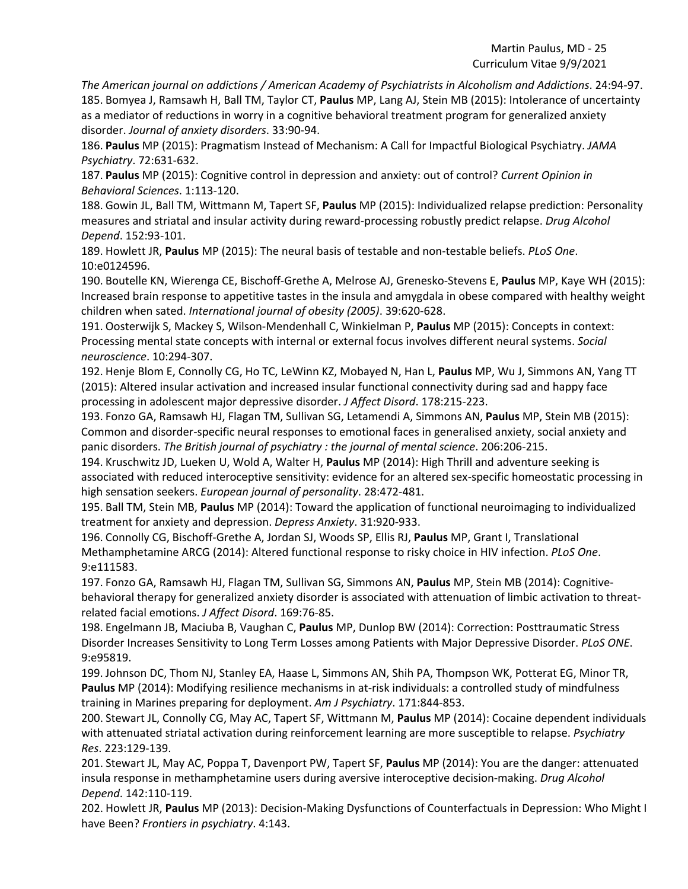*The American journal on addictions / American Academy of Psychiatrists in Alcoholism and Addictions*. 24:94-97. 185. Bomyea J, Ramsawh H, Ball TM, Taylor CT, **Paulus** MP, Lang AJ, Stein MB (2015): Intolerance of uncertainty as a mediator of reductions in worry in a cognitive behavioral treatment program for generalized anxiety disorder. *Journal of anxiety disorders*. 33:90-94.

186. **Paulus** MP (2015): Pragmatism Instead of Mechanism: A Call for Impactful Biological Psychiatry. *JAMA Psychiatry*. 72:631-632.

187. **Paulus** MP (2015): Cognitive control in depression and anxiety: out of control? *Current Opinion in Behavioral Sciences*. 1:113-120.

188. Gowin JL, Ball TM, Wittmann M, Tapert SF, **Paulus** MP (2015): Individualized relapse prediction: Personality measures and striatal and insular activity during reward-processing robustly predict relapse. *Drug Alcohol Depend*. 152:93-101.

189. Howlett JR, **Paulus** MP (2015): The neural basis of testable and non-testable beliefs. *PLoS One*. 10:e0124596.

190. Boutelle KN, Wierenga CE, Bischoff-Grethe A, Melrose AJ, Grenesko-Stevens E, **Paulus** MP, Kaye WH (2015): Increased brain response to appetitive tastes in the insula and amygdala in obese compared with healthy weight children when sated. *International journal of obesity (2005)*. 39:620-628.

191. Oosterwijk S, Mackey S, Wilson-Mendenhall C, Winkielman P, **Paulus** MP (2015): Concepts in context: Processing mental state concepts with internal or external focus involves different neural systems. *Social neuroscience*. 10:294-307.

192. Henje Blom E, Connolly CG, Ho TC, LeWinn KZ, Mobayed N, Han L, **Paulus** MP, Wu J, Simmons AN, Yang TT (2015): Altered insular activation and increased insular functional connectivity during sad and happy face processing in adolescent major depressive disorder. *J Affect Disord*. 178:215-223.

193. Fonzo GA, Ramsawh HJ, Flagan TM, Sullivan SG, Letamendi A, Simmons AN, **Paulus** MP, Stein MB (2015): Common and disorder-specific neural responses to emotional faces in generalised anxiety, social anxiety and panic disorders. *The British journal of psychiatry : the journal of mental science*. 206:206-215.

194. Kruschwitz JD, Lueken U, Wold A, Walter H, **Paulus** MP (2014): High Thrill and adventure seeking is associated with reduced interoceptive sensitivity: evidence for an altered sex-specific homeostatic processing in high sensation seekers. *European journal of personality*. 28:472-481.

195. Ball TM, Stein MB, **Paulus** MP (2014): Toward the application of functional neuroimaging to individualized treatment for anxiety and depression. *Depress Anxiety*. 31:920-933.

196. Connolly CG, Bischoff-Grethe A, Jordan SJ, Woods SP, Ellis RJ, **Paulus** MP, Grant I, Translational Methamphetamine ARCG (2014): Altered functional response to risky choice in HIV infection. *PLoS One*. 9:e111583.

197. Fonzo GA, Ramsawh HJ, Flagan TM, Sullivan SG, Simmons AN, **Paulus** MP, Stein MB (2014): Cognitivebehavioral therapy for generalized anxiety disorder is associated with attenuation of limbic activation to threatrelated facial emotions. *J Affect Disord*. 169:76-85.

198. Engelmann JB, Maciuba B, Vaughan C, **Paulus** MP, Dunlop BW (2014): Correction: Posttraumatic Stress Disorder Increases Sensitivity to Long Term Losses among Patients with Major Depressive Disorder. *PLoS ONE*. 9:e95819.

199. Johnson DC, Thom NJ, Stanley EA, Haase L, Simmons AN, Shih PA, Thompson WK, Potterat EG, Minor TR, **Paulus** MP (2014): Modifying resilience mechanisms in at-risk individuals: a controlled study of mindfulness training in Marines preparing for deployment. *Am J Psychiatry*. 171:844-853.

200. Stewart JL, Connolly CG, May AC, Tapert SF, Wittmann M, **Paulus** MP (2014): Cocaine dependent individuals with attenuated striatal activation during reinforcement learning are more susceptible to relapse. *Psychiatry Res*. 223:129-139.

201. Stewart JL, May AC, Poppa T, Davenport PW, Tapert SF, **Paulus** MP (2014): You are the danger: attenuated insula response in methamphetamine users during aversive interoceptive decision-making. *Drug Alcohol Depend*. 142:110-119.

202. Howlett JR, **Paulus** MP (2013): Decision-Making Dysfunctions of Counterfactuals in Depression: Who Might I have Been? *Frontiers in psychiatry*. 4:143.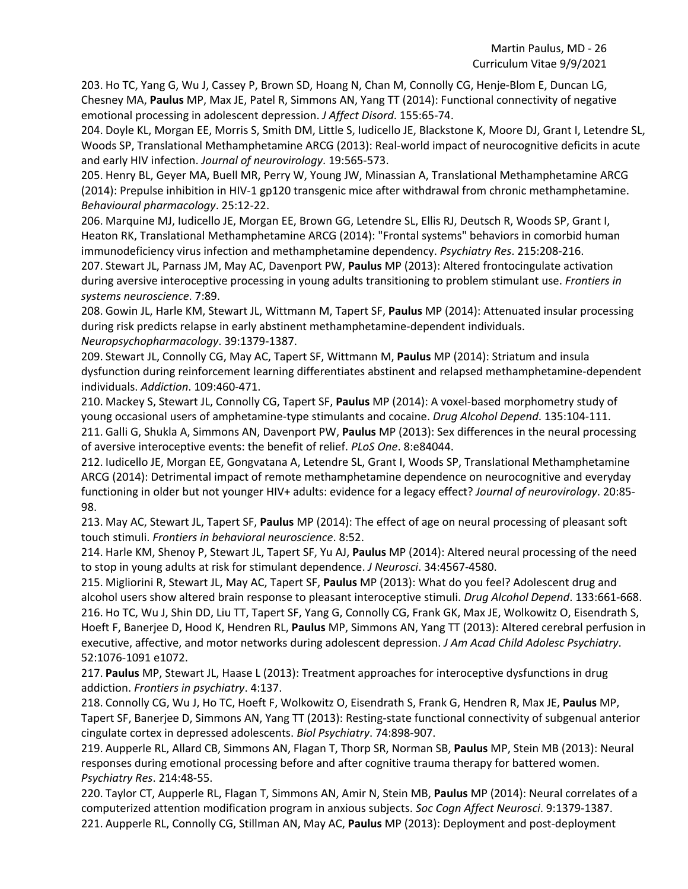203. Ho TC, Yang G, Wu J, Cassey P, Brown SD, Hoang N, Chan M, Connolly CG, Henje-Blom E, Duncan LG, Chesney MA, **Paulus** MP, Max JE, Patel R, Simmons AN, Yang TT (2014): Functional connectivity of negative emotional processing in adolescent depression. *J Affect Disord*. 155:65-74.

204. Doyle KL, Morgan EE, Morris S, Smith DM, Little S, Iudicello JE, Blackstone K, Moore DJ, Grant I, Letendre SL, Woods SP, Translational Methamphetamine ARCG (2013): Real-world impact of neurocognitive deficits in acute and early HIV infection. *Journal of neurovirology*. 19:565-573.

205. Henry BL, Geyer MA, Buell MR, Perry W, Young JW, Minassian A, Translational Methamphetamine ARCG (2014): Prepulse inhibition in HIV-1 gp120 transgenic mice after withdrawal from chronic methamphetamine. *Behavioural pharmacology*. 25:12-22.

206. Marquine MJ, Iudicello JE, Morgan EE, Brown GG, Letendre SL, Ellis RJ, Deutsch R, Woods SP, Grant I, Heaton RK, Translational Methamphetamine ARCG (2014): "Frontal systems" behaviors in comorbid human immunodeficiency virus infection and methamphetamine dependency. *Psychiatry Res*. 215:208-216.

207. Stewart JL, Parnass JM, May AC, Davenport PW, **Paulus** MP (2013): Altered frontocingulate activation during aversive interoceptive processing in young adults transitioning to problem stimulant use. *Frontiers in systems neuroscience*. 7:89.

208. Gowin JL, Harle KM, Stewart JL, Wittmann M, Tapert SF, **Paulus** MP (2014): Attenuated insular processing during risk predicts relapse in early abstinent methamphetamine-dependent individuals. *Neuropsychopharmacology*. 39:1379-1387.

209. Stewart JL, Connolly CG, May AC, Tapert SF, Wittmann M, **Paulus** MP (2014): Striatum and insula dysfunction during reinforcement learning differentiates abstinent and relapsed methamphetamine-dependent individuals. *Addiction*. 109:460-471.

210. Mackey S, Stewart JL, Connolly CG, Tapert SF, **Paulus** MP (2014): A voxel-based morphometry study of young occasional users of amphetamine-type stimulants and cocaine. *Drug Alcohol Depend*. 135:104-111.

211. Galli G, Shukla A, Simmons AN, Davenport PW, **Paulus** MP (2013): Sex differences in the neural processing of aversive interoceptive events: the benefit of relief. *PLoS One*. 8:e84044.

212. Iudicello JE, Morgan EE, Gongvatana A, Letendre SL, Grant I, Woods SP, Translational Methamphetamine ARCG (2014): Detrimental impact of remote methamphetamine dependence on neurocognitive and everyday functioning in older but not younger HIV+ adults: evidence for a legacy effect? *Journal of neurovirology*. 20:85- 98.

213. May AC, Stewart JL, Tapert SF, **Paulus** MP (2014): The effect of age on neural processing of pleasant soft touch stimuli. *Frontiers in behavioral neuroscience*. 8:52.

214. Harle KM, Shenoy P, Stewart JL, Tapert SF, Yu AJ, **Paulus** MP (2014): Altered neural processing of the need to stop in young adults at risk for stimulant dependence. *J Neurosci*. 34:4567-4580.

215. Migliorini R, Stewart JL, May AC, Tapert SF, **Paulus** MP (2013): What do you feel? Adolescent drug and alcohol users show altered brain response to pleasant interoceptive stimuli. *Drug Alcohol Depend*. 133:661-668. 216. Ho TC, Wu J, Shin DD, Liu TT, Tapert SF, Yang G, Connolly CG, Frank GK, Max JE, Wolkowitz O, Eisendrath S, Hoeft F, Banerjee D, Hood K, Hendren RL, **Paulus** MP, Simmons AN, Yang TT (2013): Altered cerebral perfusion in executive, affective, and motor networks during adolescent depression. *J Am Acad Child Adolesc Psychiatry*. 52:1076-1091 e1072.

217. **Paulus** MP, Stewart JL, Haase L (2013): Treatment approaches for interoceptive dysfunctions in drug addiction. *Frontiers in psychiatry*. 4:137.

218. Connolly CG, Wu J, Ho TC, Hoeft F, Wolkowitz O, Eisendrath S, Frank G, Hendren R, Max JE, **Paulus** MP, Tapert SF, Banerjee D, Simmons AN, Yang TT (2013): Resting-state functional connectivity of subgenual anterior cingulate cortex in depressed adolescents. *Biol Psychiatry*. 74:898-907.

219. Aupperle RL, Allard CB, Simmons AN, Flagan T, Thorp SR, Norman SB, **Paulus** MP, Stein MB (2013): Neural responses during emotional processing before and after cognitive trauma therapy for battered women. *Psychiatry Res*. 214:48-55.

220. Taylor CT, Aupperle RL, Flagan T, Simmons AN, Amir N, Stein MB, **Paulus** MP (2014): Neural correlates of a computerized attention modification program in anxious subjects. *Soc Cogn Affect Neurosci*. 9:1379-1387. 221. Aupperle RL, Connolly CG, Stillman AN, May AC, **Paulus** MP (2013): Deployment and post-deployment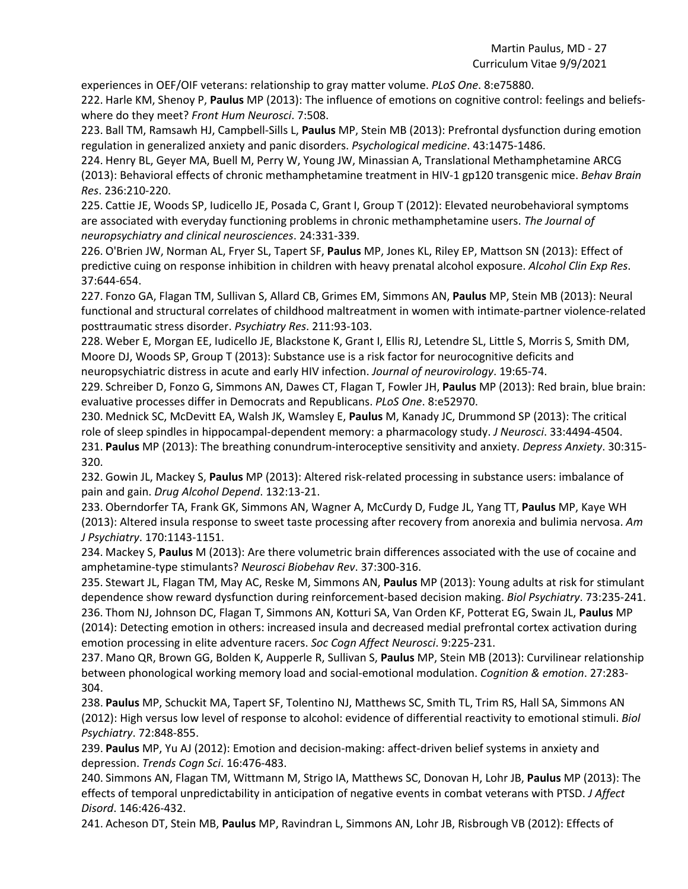experiences in OEF/OIF veterans: relationship to gray matter volume. *PLoS One*. 8:e75880. 222. Harle KM, Shenoy P, **Paulus** MP (2013): The influence of emotions on cognitive control: feelings and beliefswhere do they meet? *Front Hum Neurosci*. 7:508.

223. Ball TM, Ramsawh HJ, Campbell-Sills L, **Paulus** MP, Stein MB (2013): Prefrontal dysfunction during emotion regulation in generalized anxiety and panic disorders. *Psychological medicine*. 43:1475-1486.

224. Henry BL, Geyer MA, Buell M, Perry W, Young JW, Minassian A, Translational Methamphetamine ARCG (2013): Behavioral effects of chronic methamphetamine treatment in HIV-1 gp120 transgenic mice. *Behav Brain Res*. 236:210-220.

225. Cattie JE, Woods SP, Iudicello JE, Posada C, Grant I, Group T (2012): Elevated neurobehavioral symptoms are associated with everyday functioning problems in chronic methamphetamine users. *The Journal of neuropsychiatry and clinical neurosciences*. 24:331-339.

226. O'Brien JW, Norman AL, Fryer SL, Tapert SF, **Paulus** MP, Jones KL, Riley EP, Mattson SN (2013): Effect of predictive cuing on response inhibition in children with heavy prenatal alcohol exposure. *Alcohol Clin Exp Res*. 37:644-654.

227. Fonzo GA, Flagan TM, Sullivan S, Allard CB, Grimes EM, Simmons AN, **Paulus** MP, Stein MB (2013): Neural functional and structural correlates of childhood maltreatment in women with intimate-partner violence-related posttraumatic stress disorder. *Psychiatry Res*. 211:93-103.

228. Weber E, Morgan EE, Iudicello JE, Blackstone K, Grant I, Ellis RJ, Letendre SL, Little S, Morris S, Smith DM, Moore DJ, Woods SP, Group T (2013): Substance use is a risk factor for neurocognitive deficits and neuropsychiatric distress in acute and early HIV infection. *Journal of neurovirology*. 19:65-74.

229. Schreiber D, Fonzo G, Simmons AN, Dawes CT, Flagan T, Fowler JH, **Paulus** MP (2013): Red brain, blue brain: evaluative processes differ in Democrats and Republicans. *PLoS One*. 8:e52970.

230. Mednick SC, McDevitt EA, Walsh JK, Wamsley E, **Paulus** M, Kanady JC, Drummond SP (2013): The critical role of sleep spindles in hippocampal-dependent memory: a pharmacology study. *J Neurosci*. 33:4494-4504.

231. **Paulus** MP (2013): The breathing conundrum-interoceptive sensitivity and anxiety. *Depress Anxiety*. 30:315- 320.

232. Gowin JL, Mackey S, **Paulus** MP (2013): Altered risk-related processing in substance users: imbalance of pain and gain. *Drug Alcohol Depend*. 132:13-21.

233. Oberndorfer TA, Frank GK, Simmons AN, Wagner A, McCurdy D, Fudge JL, Yang TT, **Paulus** MP, Kaye WH (2013): Altered insula response to sweet taste processing after recovery from anorexia and bulimia nervosa. *Am J Psychiatry*. 170:1143-1151.

234. Mackey S, **Paulus** M (2013): Are there volumetric brain differences associated with the use of cocaine and amphetamine-type stimulants? *Neurosci Biobehav Rev*. 37:300-316.

235. Stewart JL, Flagan TM, May AC, Reske M, Simmons AN, **Paulus** MP (2013): Young adults at risk for stimulant dependence show reward dysfunction during reinforcement-based decision making. *Biol Psychiatry*. 73:235-241. 236. Thom NJ, Johnson DC, Flagan T, Simmons AN, Kotturi SA, Van Orden KF, Potterat EG, Swain JL, **Paulus** MP (2014): Detecting emotion in others: increased insula and decreased medial prefrontal cortex activation during emotion processing in elite adventure racers. *Soc Cogn Affect Neurosci*. 9:225-231.

237. Mano QR, Brown GG, Bolden K, Aupperle R, Sullivan S, **Paulus** MP, Stein MB (2013): Curvilinear relationship between phonological working memory load and social-emotional modulation. *Cognition & emotion*. 27:283- 304.

238. **Paulus** MP, Schuckit MA, Tapert SF, Tolentino NJ, Matthews SC, Smith TL, Trim RS, Hall SA, Simmons AN (2012): High versus low level of response to alcohol: evidence of differential reactivity to emotional stimuli. *Biol Psychiatry*. 72:848-855.

239. **Paulus** MP, Yu AJ (2012): Emotion and decision-making: affect-driven belief systems in anxiety and depression. *Trends Cogn Sci*. 16:476-483.

240. Simmons AN, Flagan TM, Wittmann M, Strigo IA, Matthews SC, Donovan H, Lohr JB, **Paulus** MP (2013): The effects of temporal unpredictability in anticipation of negative events in combat veterans with PTSD. *J Affect Disord*. 146:426-432.

241. Acheson DT, Stein MB, **Paulus** MP, Ravindran L, Simmons AN, Lohr JB, Risbrough VB (2012): Effects of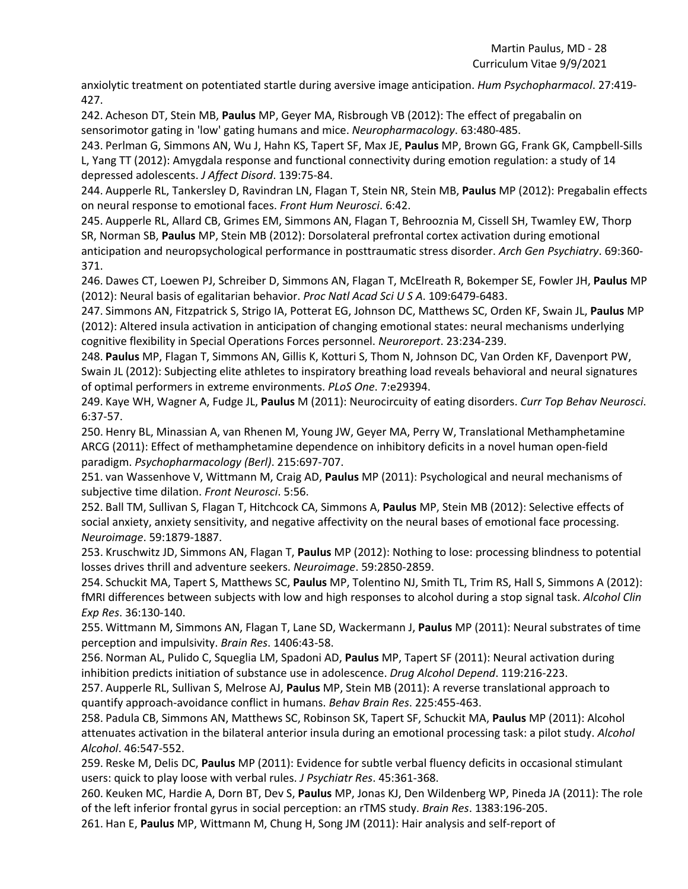anxiolytic treatment on potentiated startle during aversive image anticipation. *Hum Psychopharmacol*. 27:419- 427.

242. Acheson DT, Stein MB, **Paulus** MP, Geyer MA, Risbrough VB (2012): The effect of pregabalin on sensorimotor gating in 'low' gating humans and mice. *Neuropharmacology*. 63:480-485.

243. Perlman G, Simmons AN, Wu J, Hahn KS, Tapert SF, Max JE, **Paulus** MP, Brown GG, Frank GK, Campbell-Sills L, Yang TT (2012): Amygdala response and functional connectivity during emotion regulation: a study of 14 depressed adolescents. *J Affect Disord*. 139:75-84.

244. Aupperle RL, Tankersley D, Ravindran LN, Flagan T, Stein NR, Stein MB, **Paulus** MP (2012): Pregabalin effects on neural response to emotional faces. *Front Hum Neurosci*. 6:42.

245. Aupperle RL, Allard CB, Grimes EM, Simmons AN, Flagan T, Behrooznia M, Cissell SH, Twamley EW, Thorp SR, Norman SB, **Paulus** MP, Stein MB (2012): Dorsolateral prefrontal cortex activation during emotional anticipation and neuropsychological performance in posttraumatic stress disorder. *Arch Gen Psychiatry*. 69:360- 371.

246. Dawes CT, Loewen PJ, Schreiber D, Simmons AN, Flagan T, McElreath R, Bokemper SE, Fowler JH, **Paulus** MP (2012): Neural basis of egalitarian behavior. *Proc Natl Acad Sci U S A*. 109:6479-6483.

247. Simmons AN, Fitzpatrick S, Strigo IA, Potterat EG, Johnson DC, Matthews SC, Orden KF, Swain JL, **Paulus** MP (2012): Altered insula activation in anticipation of changing emotional states: neural mechanisms underlying cognitive flexibility in Special Operations Forces personnel. *Neuroreport*. 23:234-239.

248. **Paulus** MP, Flagan T, Simmons AN, Gillis K, Kotturi S, Thom N, Johnson DC, Van Orden KF, Davenport PW, Swain JL (2012): Subjecting elite athletes to inspiratory breathing load reveals behavioral and neural signatures of optimal performers in extreme environments. *PLoS One*. 7:e29394.

249. Kaye WH, Wagner A, Fudge JL, **Paulus** M (2011): Neurocircuity of eating disorders. *Curr Top Behav Neurosci*. 6:37-57.

250. Henry BL, Minassian A, van Rhenen M, Young JW, Geyer MA, Perry W, Translational Methamphetamine ARCG (2011): Effect of methamphetamine dependence on inhibitory deficits in a novel human open-field paradigm. *Psychopharmacology (Berl)*. 215:697-707.

251. van Wassenhove V, Wittmann M, Craig AD, **Paulus** MP (2011): Psychological and neural mechanisms of subjective time dilation. *Front Neurosci*. 5:56.

252. Ball TM, Sullivan S, Flagan T, Hitchcock CA, Simmons A, **Paulus** MP, Stein MB (2012): Selective effects of social anxiety, anxiety sensitivity, and negative affectivity on the neural bases of emotional face processing. *Neuroimage*. 59:1879-1887.

253. Kruschwitz JD, Simmons AN, Flagan T, **Paulus** MP (2012): Nothing to lose: processing blindness to potential losses drives thrill and adventure seekers. *Neuroimage*. 59:2850-2859.

254. Schuckit MA, Tapert S, Matthews SC, **Paulus** MP, Tolentino NJ, Smith TL, Trim RS, Hall S, Simmons A (2012): fMRI differences between subjects with low and high responses to alcohol during a stop signal task. *Alcohol Clin Exp Res*. 36:130-140.

255. Wittmann M, Simmons AN, Flagan T, Lane SD, Wackermann J, **Paulus** MP (2011): Neural substrates of time perception and impulsivity. *Brain Res*. 1406:43-58.

256. Norman AL, Pulido C, Squeglia LM, Spadoni AD, **Paulus** MP, Tapert SF (2011): Neural activation during inhibition predicts initiation of substance use in adolescence. *Drug Alcohol Depend*. 119:216-223.

257. Aupperle RL, Sullivan S, Melrose AJ, **Paulus** MP, Stein MB (2011): A reverse translational approach to quantify approach-avoidance conflict in humans. *Behav Brain Res*. 225:455-463.

258. Padula CB, Simmons AN, Matthews SC, Robinson SK, Tapert SF, Schuckit MA, **Paulus** MP (2011): Alcohol attenuates activation in the bilateral anterior insula during an emotional processing task: a pilot study. *Alcohol Alcohol*. 46:547-552.

259. Reske M, Delis DC, **Paulus** MP (2011): Evidence for subtle verbal fluency deficits in occasional stimulant users: quick to play loose with verbal rules. *J Psychiatr Res*. 45:361-368.

260. Keuken MC, Hardie A, Dorn BT, Dev S, **Paulus** MP, Jonas KJ, Den Wildenberg WP, Pineda JA (2011): The role of the left inferior frontal gyrus in social perception: an rTMS study. *Brain Res*. 1383:196-205.

261. Han E, **Paulus** MP, Wittmann M, Chung H, Song JM (2011): Hair analysis and self-report of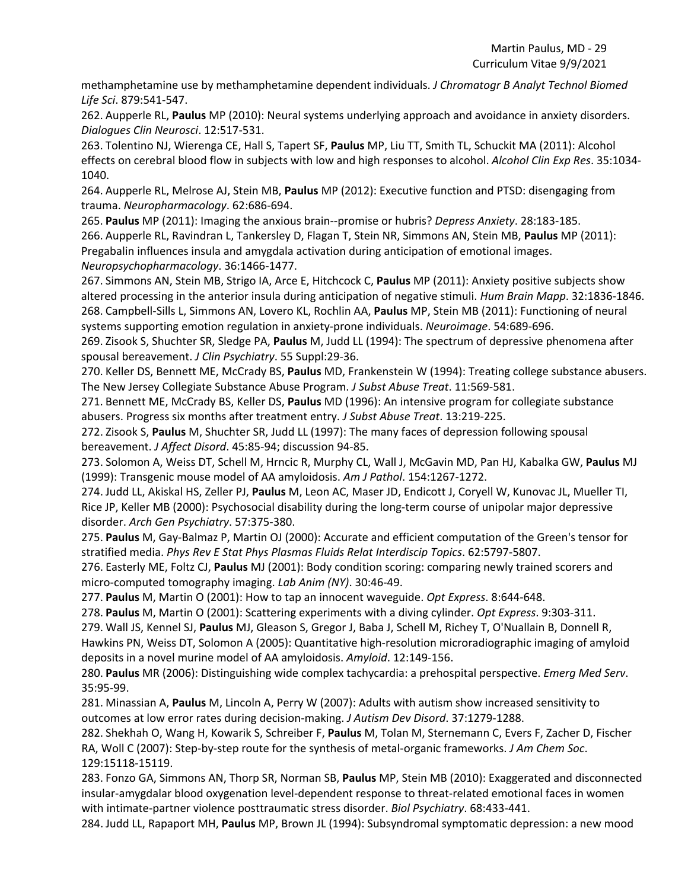methamphetamine use by methamphetamine dependent individuals. *J Chromatogr B Analyt Technol Biomed Life Sci*. 879:541-547.

262. Aupperle RL, **Paulus** MP (2010): Neural systems underlying approach and avoidance in anxiety disorders. *Dialogues Clin Neurosci*. 12:517-531.

263. Tolentino NJ, Wierenga CE, Hall S, Tapert SF, **Paulus** MP, Liu TT, Smith TL, Schuckit MA (2011): Alcohol effects on cerebral blood flow in subjects with low and high responses to alcohol. *Alcohol Clin Exp Res*. 35:1034- 1040.

264. Aupperle RL, Melrose AJ, Stein MB, **Paulus** MP (2012): Executive function and PTSD: disengaging from trauma. *Neuropharmacology*. 62:686-694.

265. **Paulus** MP (2011): Imaging the anxious brain--promise or hubris? *Depress Anxiety*. 28:183-185. 266. Aupperle RL, Ravindran L, Tankersley D, Flagan T, Stein NR, Simmons AN, Stein MB, **Paulus** MP (2011): Pregabalin influences insula and amygdala activation during anticipation of emotional images. *Neuropsychopharmacology*. 36:1466-1477.

267. Simmons AN, Stein MB, Strigo IA, Arce E, Hitchcock C, **Paulus** MP (2011): Anxiety positive subjects show altered processing in the anterior insula during anticipation of negative stimuli. *Hum Brain Mapp*. 32:1836-1846. 268. Campbell-Sills L, Simmons AN, Lovero KL, Rochlin AA, **Paulus** MP, Stein MB (2011): Functioning of neural systems supporting emotion regulation in anxiety-prone individuals. *Neuroimage*. 54:689-696.

269. Zisook S, Shuchter SR, Sledge PA, **Paulus** M, Judd LL (1994): The spectrum of depressive phenomena after spousal bereavement. *J Clin Psychiatry*. 55 Suppl:29-36.

270. Keller DS, Bennett ME, McCrady BS, **Paulus** MD, Frankenstein W (1994): Treating college substance abusers. The New Jersey Collegiate Substance Abuse Program. *J Subst Abuse Treat*. 11:569-581.

271. Bennett ME, McCrady BS, Keller DS, **Paulus** MD (1996): An intensive program for collegiate substance abusers. Progress six months after treatment entry. *J Subst Abuse Treat*. 13:219-225.

272. Zisook S, **Paulus** M, Shuchter SR, Judd LL (1997): The many faces of depression following spousal bereavement. *J Affect Disord*. 45:85-94; discussion 94-85.

273. Solomon A, Weiss DT, Schell M, Hrncic R, Murphy CL, Wall J, McGavin MD, Pan HJ, Kabalka GW, **Paulus** MJ (1999): Transgenic mouse model of AA amyloidosis. *Am J Pathol*. 154:1267-1272.

274. Judd LL, Akiskal HS, Zeller PJ, **Paulus** M, Leon AC, Maser JD, Endicott J, Coryell W, Kunovac JL, Mueller TI, Rice JP, Keller MB (2000): Psychosocial disability during the long-term course of unipolar major depressive disorder. *Arch Gen Psychiatry*. 57:375-380.

275. **Paulus** M, Gay-Balmaz P, Martin OJ (2000): Accurate and efficient computation of the Green's tensor for stratified media. *Phys Rev E Stat Phys Plasmas Fluids Relat Interdiscip Topics*. 62:5797-5807.

276. Easterly ME, Foltz CJ, **Paulus** MJ (2001): Body condition scoring: comparing newly trained scorers and micro-computed tomography imaging. *Lab Anim (NY)*. 30:46-49.

277. **Paulus** M, Martin O (2001): How to tap an innocent waveguide. *Opt Express*. 8:644-648.

278. **Paulus** M, Martin O (2001): Scattering experiments with a diving cylinder. *Opt Express*. 9:303-311.

279. Wall JS, Kennel SJ, **Paulus** MJ, Gleason S, Gregor J, Baba J, Schell M, Richey T, O'Nuallain B, Donnell R, Hawkins PN, Weiss DT, Solomon A (2005): Quantitative high-resolution microradiographic imaging of amyloid deposits in a novel murine model of AA amyloidosis. *Amyloid*. 12:149-156.

280. **Paulus** MR (2006): Distinguishing wide complex tachycardia: a prehospital perspective. *Emerg Med Serv*. 35:95-99.

281. Minassian A, **Paulus** M, Lincoln A, Perry W (2007): Adults with autism show increased sensitivity to outcomes at low error rates during decision-making. *J Autism Dev Disord*. 37:1279-1288.

282. Shekhah O, Wang H, Kowarik S, Schreiber F, **Paulus** M, Tolan M, Sternemann C, Evers F, Zacher D, Fischer RA, Woll C (2007): Step-by-step route for the synthesis of metal-organic frameworks. *J Am Chem Soc*. 129:15118-15119.

283. Fonzo GA, Simmons AN, Thorp SR, Norman SB, **Paulus** MP, Stein MB (2010): Exaggerated and disconnected insular-amygdalar blood oxygenation level-dependent response to threat-related emotional faces in women with intimate-partner violence posttraumatic stress disorder. *Biol Psychiatry*. 68:433-441.

284. Judd LL, Rapaport MH, **Paulus** MP, Brown JL (1994): Subsyndromal symptomatic depression: a new mood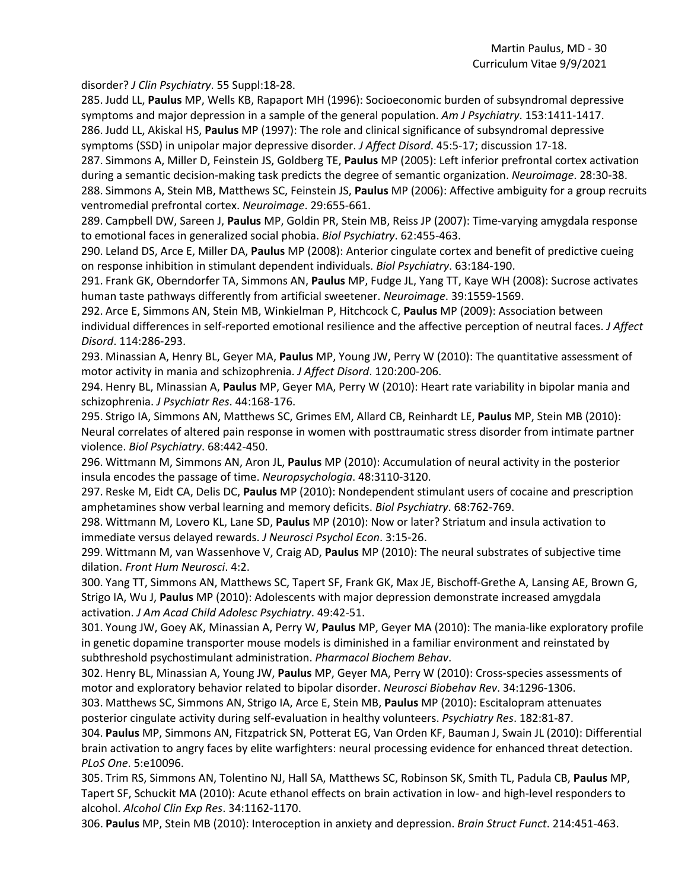disorder? *J Clin Psychiatry*. 55 Suppl:18-28.

285. Judd LL, **Paulus** MP, Wells KB, Rapaport MH (1996): Socioeconomic burden of subsyndromal depressive symptoms and major depression in a sample of the general population. *Am J Psychiatry*. 153:1411-1417. 286. Judd LL, Akiskal HS, **Paulus** MP (1997): The role and clinical significance of subsyndromal depressive symptoms (SSD) in unipolar major depressive disorder. *J Affect Disord*. 45:5-17; discussion 17-18.

287. Simmons A, Miller D, Feinstein JS, Goldberg TE, **Paulus** MP (2005): Left inferior prefrontal cortex activation during a semantic decision-making task predicts the degree of semantic organization. *Neuroimage*. 28:30-38. 288. Simmons A, Stein MB, Matthews SC, Feinstein JS, **Paulus** MP (2006): Affective ambiguity for a group recruits ventromedial prefrontal cortex. *Neuroimage*. 29:655-661.

289. Campbell DW, Sareen J, **Paulus** MP, Goldin PR, Stein MB, Reiss JP (2007): Time-varying amygdala response to emotional faces in generalized social phobia. *Biol Psychiatry*. 62:455-463.

290. Leland DS, Arce E, Miller DA, **Paulus** MP (2008): Anterior cingulate cortex and benefit of predictive cueing on response inhibition in stimulant dependent individuals. *Biol Psychiatry*. 63:184-190.

291. Frank GK, Oberndorfer TA, Simmons AN, **Paulus** MP, Fudge JL, Yang TT, Kaye WH (2008): Sucrose activates human taste pathways differently from artificial sweetener. *Neuroimage*. 39:1559-1569.

292. Arce E, Simmons AN, Stein MB, Winkielman P, Hitchcock C, **Paulus** MP (2009): Association between individual differences in self-reported emotional resilience and the affective perception of neutral faces. *J Affect Disord*. 114:286-293.

293. Minassian A, Henry BL, Geyer MA, **Paulus** MP, Young JW, Perry W (2010): The quantitative assessment of motor activity in mania and schizophrenia. *J Affect Disord*. 120:200-206.

294. Henry BL, Minassian A, **Paulus** MP, Geyer MA, Perry W (2010): Heart rate variability in bipolar mania and schizophrenia. *J Psychiatr Res*. 44:168-176.

295. Strigo IA, Simmons AN, Matthews SC, Grimes EM, Allard CB, Reinhardt LE, **Paulus** MP, Stein MB (2010): Neural correlates of altered pain response in women with posttraumatic stress disorder from intimate partner violence. *Biol Psychiatry*. 68:442-450.

296. Wittmann M, Simmons AN, Aron JL, **Paulus** MP (2010): Accumulation of neural activity in the posterior insula encodes the passage of time. *Neuropsychologia*. 48:3110-3120.

297. Reske M, Eidt CA, Delis DC, **Paulus** MP (2010): Nondependent stimulant users of cocaine and prescription amphetamines show verbal learning and memory deficits. *Biol Psychiatry*. 68:762-769.

298. Wittmann M, Lovero KL, Lane SD, **Paulus** MP (2010): Now or later? Striatum and insula activation to immediate versus delayed rewards. *J Neurosci Psychol Econ*. 3:15-26.

299. Wittmann M, van Wassenhove V, Craig AD, **Paulus** MP (2010): The neural substrates of subjective time dilation. *Front Hum Neurosci*. 4:2.

300. Yang TT, Simmons AN, Matthews SC, Tapert SF, Frank GK, Max JE, Bischoff-Grethe A, Lansing AE, Brown G, Strigo IA, Wu J, **Paulus** MP (2010): Adolescents with major depression demonstrate increased amygdala activation. *J Am Acad Child Adolesc Psychiatry*. 49:42-51.

301. Young JW, Goey AK, Minassian A, Perry W, **Paulus** MP, Geyer MA (2010): The mania-like exploratory profile in genetic dopamine transporter mouse models is diminished in a familiar environment and reinstated by subthreshold psychostimulant administration. *Pharmacol Biochem Behav*.

302. Henry BL, Minassian A, Young JW, **Paulus** MP, Geyer MA, Perry W (2010): Cross-species assessments of motor and exploratory behavior related to bipolar disorder. *Neurosci Biobehav Rev*. 34:1296-1306.

303. Matthews SC, Simmons AN, Strigo IA, Arce E, Stein MB, **Paulus** MP (2010): Escitalopram attenuates posterior cingulate activity during self-evaluation in healthy volunteers. *Psychiatry Res*. 182:81-87.

304. **Paulus** MP, Simmons AN, Fitzpatrick SN, Potterat EG, Van Orden KF, Bauman J, Swain JL (2010): Differential brain activation to angry faces by elite warfighters: neural processing evidence for enhanced threat detection. *PLoS One*. 5:e10096.

305. Trim RS, Simmons AN, Tolentino NJ, Hall SA, Matthews SC, Robinson SK, Smith TL, Padula CB, **Paulus** MP, Tapert SF, Schuckit MA (2010): Acute ethanol effects on brain activation in low- and high-level responders to alcohol. *Alcohol Clin Exp Res*. 34:1162-1170.

306. **Paulus** MP, Stein MB (2010): Interoception in anxiety and depression. *Brain Struct Funct*. 214:451-463.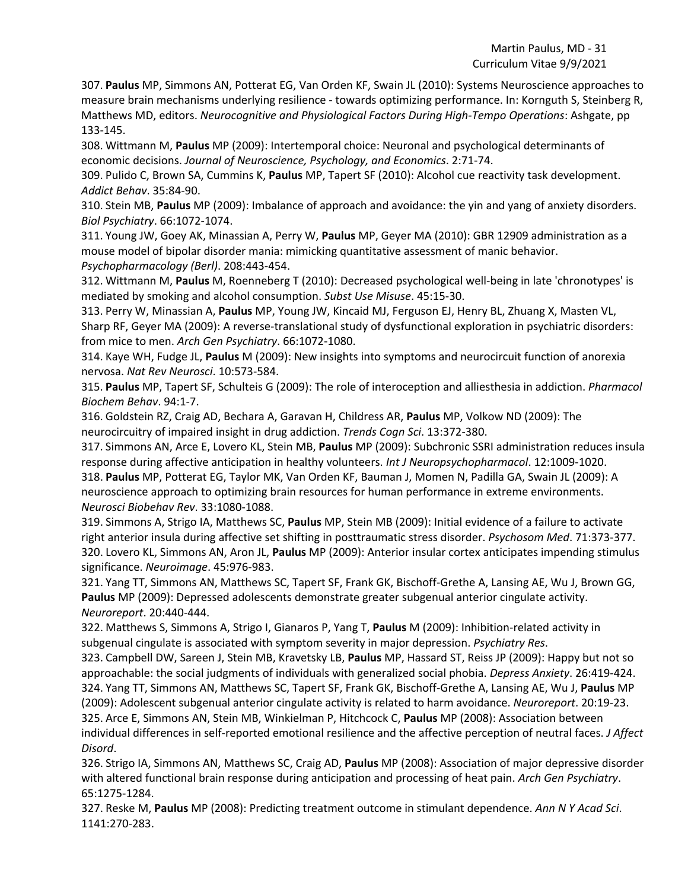307. **Paulus** MP, Simmons AN, Potterat EG, Van Orden KF, Swain JL (2010): Systems Neuroscience approaches to measure brain mechanisms underlying resilience - towards optimizing performance. In: Kornguth S, Steinberg R, Matthews MD, editors. *Neurocognitive and Physiological Factors During High-Tempo Operations*: Ashgate, pp 133-145.

308. Wittmann M, **Paulus** MP (2009): Intertemporal choice: Neuronal and psychological determinants of economic decisions. *Journal of Neuroscience, Psychology, and Economics*. 2:71-74.

309. Pulido C, Brown SA, Cummins K, **Paulus** MP, Tapert SF (2010): Alcohol cue reactivity task development. *Addict Behav*. 35:84-90.

310. Stein MB, **Paulus** MP (2009): Imbalance of approach and avoidance: the yin and yang of anxiety disorders. *Biol Psychiatry*. 66:1072-1074.

311. Young JW, Goey AK, Minassian A, Perry W, **Paulus** MP, Geyer MA (2010): GBR 12909 administration as a mouse model of bipolar disorder mania: mimicking quantitative assessment of manic behavior. *Psychopharmacology (Berl)*. 208:443-454.

312. Wittmann M, **Paulus** M, Roenneberg T (2010): Decreased psychological well-being in late 'chronotypes' is mediated by smoking and alcohol consumption. *Subst Use Misuse*. 45:15-30.

313. Perry W, Minassian A, **Paulus** MP, Young JW, Kincaid MJ, Ferguson EJ, Henry BL, Zhuang X, Masten VL, Sharp RF, Geyer MA (2009): A reverse-translational study of dysfunctional exploration in psychiatric disorders: from mice to men. *Arch Gen Psychiatry*. 66:1072-1080.

314. Kaye WH, Fudge JL, **Paulus** M (2009): New insights into symptoms and neurocircuit function of anorexia nervosa. *Nat Rev Neurosci*. 10:573-584.

315. **Paulus** MP, Tapert SF, Schulteis G (2009): The role of interoception and alliesthesia in addiction. *Pharmacol Biochem Behav*. 94:1-7.

316. Goldstein RZ, Craig AD, Bechara A, Garavan H, Childress AR, **Paulus** MP, Volkow ND (2009): The neurocircuitry of impaired insight in drug addiction. *Trends Cogn Sci*. 13:372-380.

317. Simmons AN, Arce E, Lovero KL, Stein MB, **Paulus** MP (2009): Subchronic SSRI administration reduces insula response during affective anticipation in healthy volunteers. *Int J Neuropsychopharmacol*. 12:1009-1020. 318. **Paulus** MP, Potterat EG, Taylor MK, Van Orden KF, Bauman J, Momen N, Padilla GA, Swain JL (2009): A neuroscience approach to optimizing brain resources for human performance in extreme environments. *Neurosci Biobehav Rev*. 33:1080-1088.

319. Simmons A, Strigo IA, Matthews SC, **Paulus** MP, Stein MB (2009): Initial evidence of a failure to activate right anterior insula during affective set shifting in posttraumatic stress disorder. *Psychosom Med*. 71:373-377. 320. Lovero KL, Simmons AN, Aron JL, **Paulus** MP (2009): Anterior insular cortex anticipates impending stimulus significance. *Neuroimage*. 45:976-983.

321. Yang TT, Simmons AN, Matthews SC, Tapert SF, Frank GK, Bischoff-Grethe A, Lansing AE, Wu J, Brown GG, **Paulus** MP (2009): Depressed adolescents demonstrate greater subgenual anterior cingulate activity. *Neuroreport*. 20:440-444.

322. Matthews S, Simmons A, Strigo I, Gianaros P, Yang T, **Paulus** M (2009): Inhibition-related activity in subgenual cingulate is associated with symptom severity in major depression. *Psychiatry Res*.

323. Campbell DW, Sareen J, Stein MB, Kravetsky LB, **Paulus** MP, Hassard ST, Reiss JP (2009): Happy but not so approachable: the social judgments of individuals with generalized social phobia. *Depress Anxiety*. 26:419-424. 324. Yang TT, Simmons AN, Matthews SC, Tapert SF, Frank GK, Bischoff-Grethe A, Lansing AE, Wu J, **Paulus** MP (2009): Adolescent subgenual anterior cingulate activity is related to harm avoidance. *Neuroreport*. 20:19-23. 325. Arce E, Simmons AN, Stein MB, Winkielman P, Hitchcock C, **Paulus** MP (2008): Association between individual differences in self-reported emotional resilience and the affective perception of neutral faces. *J Affect Disord*.

326. Strigo IA, Simmons AN, Matthews SC, Craig AD, **Paulus** MP (2008): Association of major depressive disorder with altered functional brain response during anticipation and processing of heat pain. *Arch Gen Psychiatry*. 65:1275-1284.

327. Reske M, **Paulus** MP (2008): Predicting treatment outcome in stimulant dependence. *Ann N Y Acad Sci*. 1141:270-283.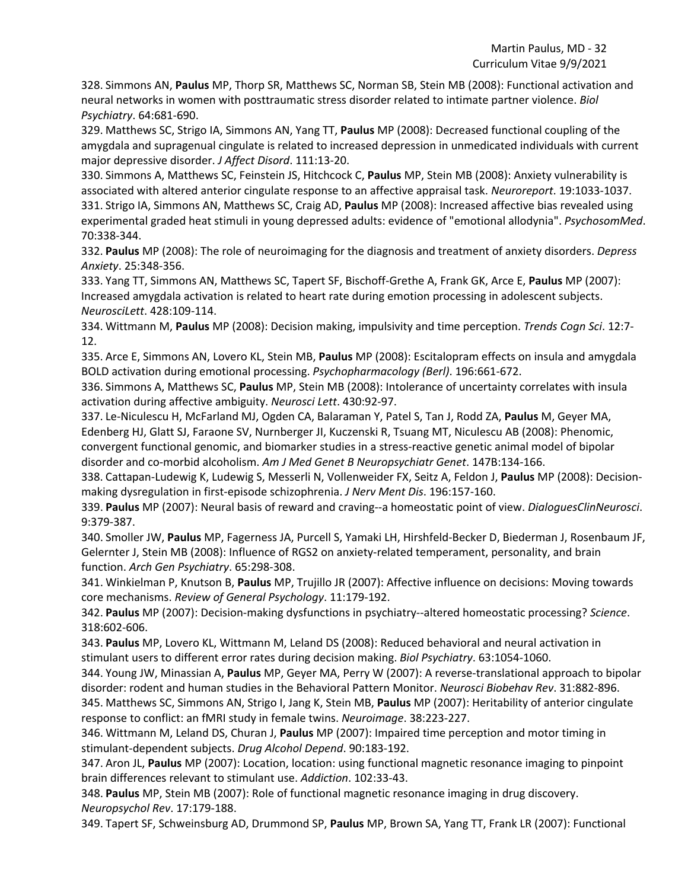328. Simmons AN, **Paulus** MP, Thorp SR, Matthews SC, Norman SB, Stein MB (2008): Functional activation and neural networks in women with posttraumatic stress disorder related to intimate partner violence. *Biol Psychiatry*. 64:681-690.

329. Matthews SC, Strigo IA, Simmons AN, Yang TT, **Paulus** MP (2008): Decreased functional coupling of the amygdala and supragenual cingulate is related to increased depression in unmedicated individuals with current major depressive disorder. *J Affect Disord*. 111:13-20.

330. Simmons A, Matthews SC, Feinstein JS, Hitchcock C, **Paulus** MP, Stein MB (2008): Anxiety vulnerability is associated with altered anterior cingulate response to an affective appraisal task. *Neuroreport*. 19:1033-1037. 331. Strigo IA, Simmons AN, Matthews SC, Craig AD, **Paulus** MP (2008): Increased affective bias revealed using experimental graded heat stimuli in young depressed adults: evidence of "emotional allodynia". *PsychosomMed*. 70:338-344.

332. **Paulus** MP (2008): The role of neuroimaging for the diagnosis and treatment of anxiety disorders. *Depress Anxiety*. 25:348-356.

333. Yang TT, Simmons AN, Matthews SC, Tapert SF, Bischoff-Grethe A, Frank GK, Arce E, **Paulus** MP (2007): Increased amygdala activation is related to heart rate during emotion processing in adolescent subjects. *NeurosciLett*. 428:109-114.

334. Wittmann M, **Paulus** MP (2008): Decision making, impulsivity and time perception. *Trends Cogn Sci*. 12:7- 12.

335. Arce E, Simmons AN, Lovero KL, Stein MB, **Paulus** MP (2008): Escitalopram effects on insula and amygdala BOLD activation during emotional processing. *Psychopharmacology (Berl)*. 196:661-672.

336. Simmons A, Matthews SC, **Paulus** MP, Stein MB (2008): Intolerance of uncertainty correlates with insula activation during affective ambiguity. *Neurosci Lett*. 430:92-97.

337. Le-Niculescu H, McFarland MJ, Ogden CA, Balaraman Y, Patel S, Tan J, Rodd ZA, **Paulus** M, Geyer MA, Edenberg HJ, Glatt SJ, Faraone SV, Nurnberger JI, Kuczenski R, Tsuang MT, Niculescu AB (2008): Phenomic, convergent functional genomic, and biomarker studies in a stress-reactive genetic animal model of bipolar disorder and co-morbid alcoholism. *Am J Med Genet B Neuropsychiatr Genet*. 147B:134-166.

338. Cattapan-Ludewig K, Ludewig S, Messerli N, Vollenweider FX, Seitz A, Feldon J, **Paulus** MP (2008): Decisionmaking dysregulation in first-episode schizophrenia. *J Nerv Ment Dis*. 196:157-160.

339. **Paulus** MP (2007): Neural basis of reward and craving--a homeostatic point of view. *DialoguesClinNeurosci*. 9:379-387.

340. Smoller JW, **Paulus** MP, Fagerness JA, Purcell S, Yamaki LH, Hirshfeld-Becker D, Biederman J, Rosenbaum JF, Gelernter J, Stein MB (2008): Influence of RGS2 on anxiety-related temperament, personality, and brain function. *Arch Gen Psychiatry*. 65:298-308.

341. Winkielman P, Knutson B, **Paulus** MP, Trujillo JR (2007): Affective influence on decisions: Moving towards core mechanisms. *Review of General Psychology*. 11:179-192.

342. **Paulus** MP (2007): Decision-making dysfunctions in psychiatry--altered homeostatic processing? *Science*. 318:602-606.

343. **Paulus** MP, Lovero KL, Wittmann M, Leland DS (2008): Reduced behavioral and neural activation in stimulant users to different error rates during decision making. *Biol Psychiatry*. 63:1054-1060.

344. Young JW, Minassian A, **Paulus** MP, Geyer MA, Perry W (2007): A reverse-translational approach to bipolar disorder: rodent and human studies in the Behavioral Pattern Monitor. *Neurosci Biobehav Rev*. 31:882-896. 345. Matthews SC, Simmons AN, Strigo I, Jang K, Stein MB, **Paulus** MP (2007): Heritability of anterior cingulate

response to conflict: an fMRI study in female twins. *Neuroimage*. 38:223-227.

346. Wittmann M, Leland DS, Churan J, **Paulus** MP (2007): Impaired time perception and motor timing in stimulant-dependent subjects. *Drug Alcohol Depend*. 90:183-192.

347. Aron JL, **Paulus** MP (2007): Location, location: using functional magnetic resonance imaging to pinpoint brain differences relevant to stimulant use. *Addiction*. 102:33-43.

348. **Paulus** MP, Stein MB (2007): Role of functional magnetic resonance imaging in drug discovery. *Neuropsychol Rev*. 17:179-188.

349. Tapert SF, Schweinsburg AD, Drummond SP, **Paulus** MP, Brown SA, Yang TT, Frank LR (2007): Functional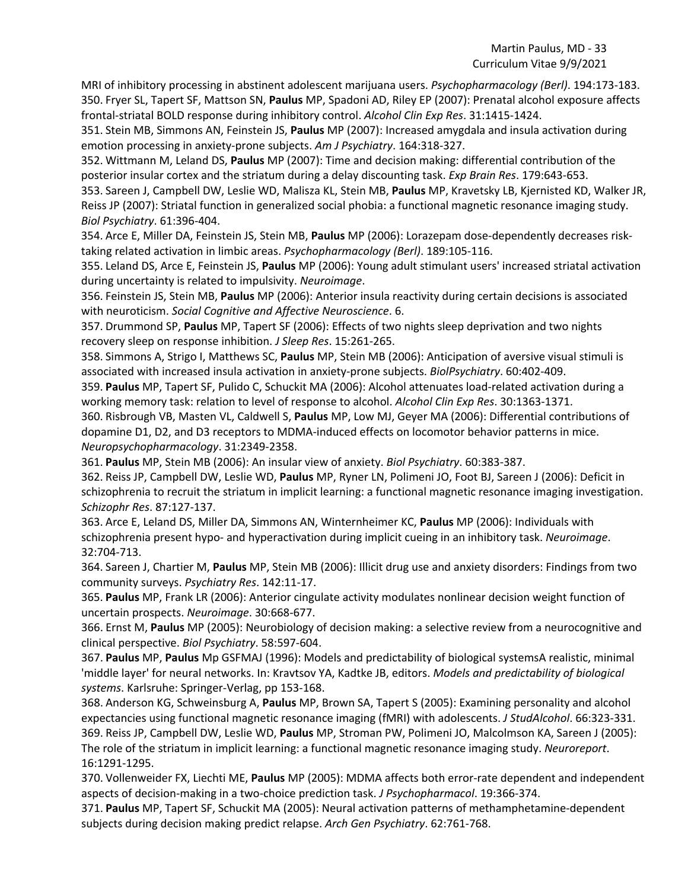MRI of inhibitory processing in abstinent adolescent marijuana users. *Psychopharmacology (Berl)*. 194:173-183. 350. Fryer SL, Tapert SF, Mattson SN, **Paulus** MP, Spadoni AD, Riley EP (2007): Prenatal alcohol exposure affects frontal-striatal BOLD response during inhibitory control. *Alcohol Clin Exp Res*. 31:1415-1424.

351. Stein MB, Simmons AN, Feinstein JS, **Paulus** MP (2007): Increased amygdala and insula activation during emotion processing in anxiety-prone subjects. *Am J Psychiatry*. 164:318-327.

352. Wittmann M, Leland DS, **Paulus** MP (2007): Time and decision making: differential contribution of the posterior insular cortex and the striatum during a delay discounting task. *Exp Brain Res*. 179:643-653.

353. Sareen J, Campbell DW, Leslie WD, Malisza KL, Stein MB, **Paulus** MP, Kravetsky LB, Kjernisted KD, Walker JR, Reiss JP (2007): Striatal function in generalized social phobia: a functional magnetic resonance imaging study. *Biol Psychiatry*. 61:396-404.

354. Arce E, Miller DA, Feinstein JS, Stein MB, **Paulus** MP (2006): Lorazepam dose-dependently decreases risktaking related activation in limbic areas. *Psychopharmacology (Berl)*. 189:105-116.

355. Leland DS, Arce E, Feinstein JS, **Paulus** MP (2006): Young adult stimulant users' increased striatal activation during uncertainty is related to impulsivity. *Neuroimage*.

356. Feinstein JS, Stein MB, **Paulus** MP (2006): Anterior insula reactivity during certain decisions is associated with neuroticism. *Social Cognitive and Affective Neuroscience*. 6.

357. Drummond SP, **Paulus** MP, Tapert SF (2006): Effects of two nights sleep deprivation and two nights recovery sleep on response inhibition. *J Sleep Res*. 15:261-265.

358. Simmons A, Strigo I, Matthews SC, **Paulus** MP, Stein MB (2006): Anticipation of aversive visual stimuli is associated with increased insula activation in anxiety-prone subjects. *BiolPsychiatry*. 60:402-409.

359. **Paulus** MP, Tapert SF, Pulido C, Schuckit MA (2006): Alcohol attenuates load-related activation during a working memory task: relation to level of response to alcohol. *Alcohol Clin Exp Res*. 30:1363-1371.

360. Risbrough VB, Masten VL, Caldwell S, **Paulus** MP, Low MJ, Geyer MA (2006): Differential contributions of dopamine D1, D2, and D3 receptors to MDMA-induced effects on locomotor behavior patterns in mice. *Neuropsychopharmacology*. 31:2349-2358.

361. **Paulus** MP, Stein MB (2006): An insular view of anxiety. *Biol Psychiatry*. 60:383-387.

362. Reiss JP, Campbell DW, Leslie WD, **Paulus** MP, Ryner LN, Polimeni JO, Foot BJ, Sareen J (2006): Deficit in schizophrenia to recruit the striatum in implicit learning: a functional magnetic resonance imaging investigation. *Schizophr Res*. 87:127-137.

363. Arce E, Leland DS, Miller DA, Simmons AN, Winternheimer KC, **Paulus** MP (2006): Individuals with schizophrenia present hypo- and hyperactivation during implicit cueing in an inhibitory task. *Neuroimage*. 32:704-713.

364. Sareen J, Chartier M, **Paulus** MP, Stein MB (2006): Illicit drug use and anxiety disorders: Findings from two community surveys. *Psychiatry Res*. 142:11-17.

365. **Paulus** MP, Frank LR (2006): Anterior cingulate activity modulates nonlinear decision weight function of uncertain prospects. *Neuroimage*. 30:668-677.

366. Ernst M, **Paulus** MP (2005): Neurobiology of decision making: a selective review from a neurocognitive and clinical perspective. *Biol Psychiatry*. 58:597-604.

367. **Paulus** MP, **Paulus** Mp GSFMAJ (1996): Models and predictability of biological systemsA realistic, minimal 'middle layer' for neural networks. In: Kravtsov YA, Kadtke JB, editors. *Models and predictability of biological systems*. Karlsruhe: Springer-Verlag, pp 153-168.

368. Anderson KG, Schweinsburg A, **Paulus** MP, Brown SA, Tapert S (2005): Examining personality and alcohol expectancies using functional magnetic resonance imaging (fMRI) with adolescents. *J StudAlcohol*. 66:323-331. 369. Reiss JP, Campbell DW, Leslie WD, **Paulus** MP, Stroman PW, Polimeni JO, Malcolmson KA, Sareen J (2005): The role of the striatum in implicit learning: a functional magnetic resonance imaging study. *Neuroreport*. 16:1291-1295.

370. Vollenweider FX, Liechti ME, **Paulus** MP (2005): MDMA affects both error-rate dependent and independent aspects of decision-making in a two-choice prediction task. *J Psychopharmacol*. 19:366-374.

371. **Paulus** MP, Tapert SF, Schuckit MA (2005): Neural activation patterns of methamphetamine-dependent subjects during decision making predict relapse. *Arch Gen Psychiatry*. 62:761-768.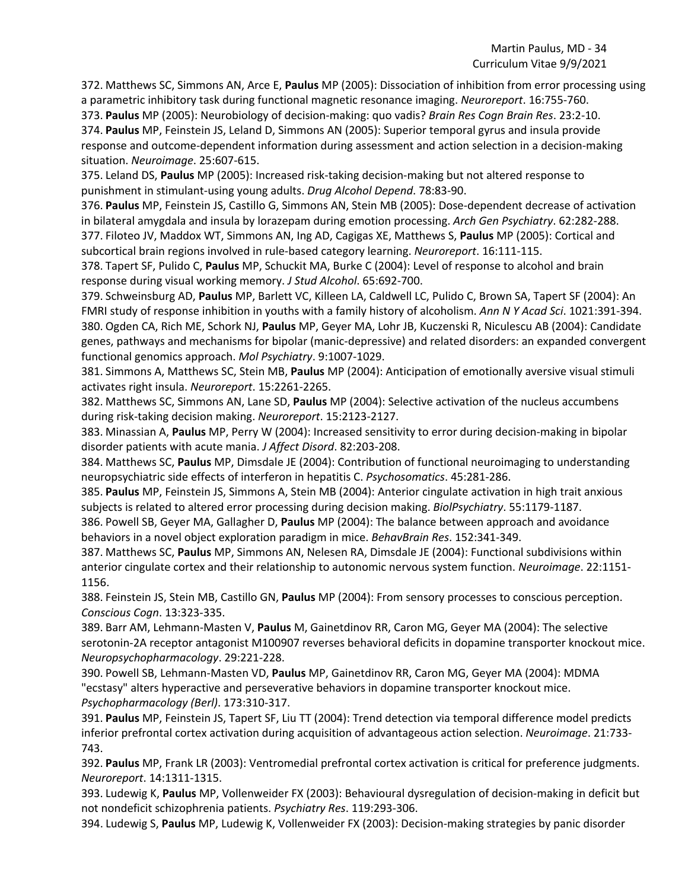372. Matthews SC, Simmons AN, Arce E, **Paulus** MP (2005): Dissociation of inhibition from error processing using a parametric inhibitory task during functional magnetic resonance imaging. *Neuroreport*. 16:755-760.

373. **Paulus** MP (2005): Neurobiology of decision-making: quo vadis? *Brain Res Cogn Brain Res*. 23:2-10.

374. **Paulus** MP, Feinstein JS, Leland D, Simmons AN (2005): Superior temporal gyrus and insula provide response and outcome-dependent information during assessment and action selection in a decision-making situation. *Neuroimage*. 25:607-615.

375. Leland DS, **Paulus** MP (2005): Increased risk-taking decision-making but not altered response to punishment in stimulant-using young adults. *Drug Alcohol Depend*. 78:83-90.

376. **Paulus** MP, Feinstein JS, Castillo G, Simmons AN, Stein MB (2005): Dose-dependent decrease of activation in bilateral amygdala and insula by lorazepam during emotion processing. *Arch Gen Psychiatry*. 62:282-288. 377. Filoteo JV, Maddox WT, Simmons AN, Ing AD, Cagigas XE, Matthews S, **Paulus** MP (2005): Cortical and subcortical brain regions involved in rule-based category learning. *Neuroreport*. 16:111-115.

378. Tapert SF, Pulido C, **Paulus** MP, Schuckit MA, Burke C (2004): Level of response to alcohol and brain response during visual working memory. *J Stud Alcohol*. 65:692-700.

379. Schweinsburg AD, **Paulus** MP, Barlett VC, Killeen LA, Caldwell LC, Pulido C, Brown SA, Tapert SF (2004): An FMRI study of response inhibition in youths with a family history of alcoholism. *Ann N Y Acad Sci*. 1021:391-394. 380. Ogden CA, Rich ME, Schork NJ, **Paulus** MP, Geyer MA, Lohr JB, Kuczenski R, Niculescu AB (2004): Candidate genes, pathways and mechanisms for bipolar (manic-depressive) and related disorders: an expanded convergent functional genomics approach. *Mol Psychiatry*. 9:1007-1029.

381. Simmons A, Matthews SC, Stein MB, **Paulus** MP (2004): Anticipation of emotionally aversive visual stimuli activates right insula. *Neuroreport*. 15:2261-2265.

382. Matthews SC, Simmons AN, Lane SD, **Paulus** MP (2004): Selective activation of the nucleus accumbens during risk-taking decision making. *Neuroreport*. 15:2123-2127.

383. Minassian A, **Paulus** MP, Perry W (2004): Increased sensitivity to error during decision-making in bipolar disorder patients with acute mania. *J Affect Disord*. 82:203-208.

384. Matthews SC, **Paulus** MP, Dimsdale JE (2004): Contribution of functional neuroimaging to understanding neuropsychiatric side effects of interferon in hepatitis C. *Psychosomatics*. 45:281-286.

385. **Paulus** MP, Feinstein JS, Simmons A, Stein MB (2004): Anterior cingulate activation in high trait anxious subjects is related to altered error processing during decision making. *BiolPsychiatry*. 55:1179-1187.

386. Powell SB, Geyer MA, Gallagher D, **Paulus** MP (2004): The balance between approach and avoidance behaviors in a novel object exploration paradigm in mice. *BehavBrain Res*. 152:341-349.

387. Matthews SC, **Paulus** MP, Simmons AN, Nelesen RA, Dimsdale JE (2004): Functional subdivisions within anterior cingulate cortex and their relationship to autonomic nervous system function. *Neuroimage*. 22:1151- 1156.

388. Feinstein JS, Stein MB, Castillo GN, **Paulus** MP (2004): From sensory processes to conscious perception. *Conscious Cogn*. 13:323-335.

389. Barr AM, Lehmann-Masten V, **Paulus** M, Gainetdinov RR, Caron MG, Geyer MA (2004): The selective serotonin-2A receptor antagonist M100907 reverses behavioral deficits in dopamine transporter knockout mice. *Neuropsychopharmacology*. 29:221-228.

390. Powell SB, Lehmann-Masten VD, **Paulus** MP, Gainetdinov RR, Caron MG, Geyer MA (2004): MDMA "ecstasy" alters hyperactive and perseverative behaviors in dopamine transporter knockout mice. *Psychopharmacology (Berl)*. 173:310-317.

391. **Paulus** MP, Feinstein JS, Tapert SF, Liu TT (2004): Trend detection via temporal difference model predicts inferior prefrontal cortex activation during acquisition of advantageous action selection. *Neuroimage*. 21:733- 743.

392. **Paulus** MP, Frank LR (2003): Ventromedial prefrontal cortex activation is critical for preference judgments. *Neuroreport*. 14:1311-1315.

393. Ludewig K, **Paulus** MP, Vollenweider FX (2003): Behavioural dysregulation of decision-making in deficit but not nondeficit schizophrenia patients. *Psychiatry Res*. 119:293-306.

394. Ludewig S, **Paulus** MP, Ludewig K, Vollenweider FX (2003): Decision-making strategies by panic disorder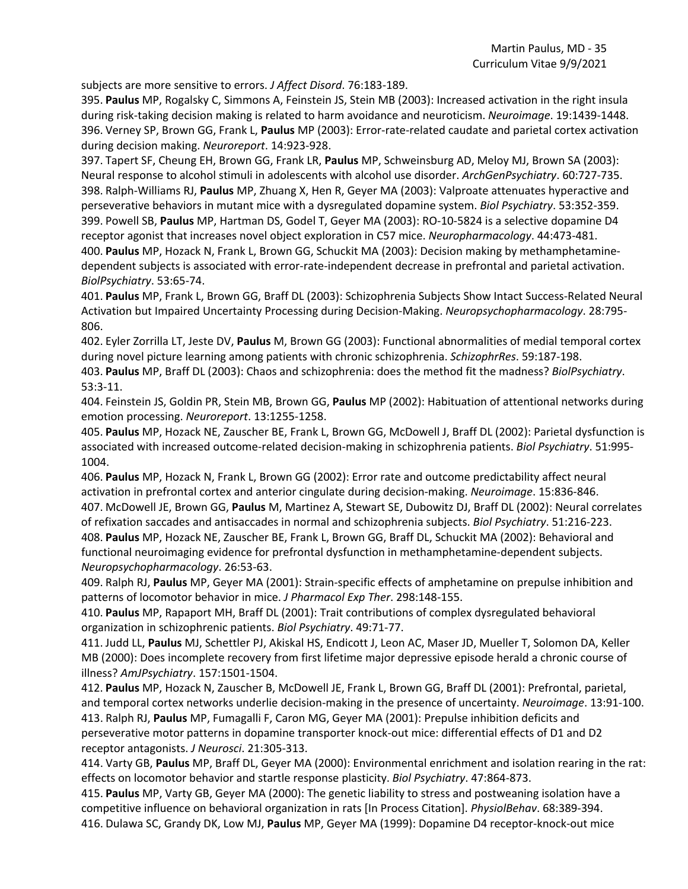subjects are more sensitive to errors. *J Affect Disord*. 76:183-189.

395. **Paulus** MP, Rogalsky C, Simmons A, Feinstein JS, Stein MB (2003): Increased activation in the right insula during risk-taking decision making is related to harm avoidance and neuroticism. *Neuroimage*. 19:1439-1448. 396. Verney SP, Brown GG, Frank L, **Paulus** MP (2003): Error-rate-related caudate and parietal cortex activation during decision making. *Neuroreport*. 14:923-928.

397. Tapert SF, Cheung EH, Brown GG, Frank LR, **Paulus** MP, Schweinsburg AD, Meloy MJ, Brown SA (2003): Neural response to alcohol stimuli in adolescents with alcohol use disorder. *ArchGenPsychiatry*. 60:727-735. 398. Ralph-Williams RJ, **Paulus** MP, Zhuang X, Hen R, Geyer MA (2003): Valproate attenuates hyperactive and perseverative behaviors in mutant mice with a dysregulated dopamine system. *Biol Psychiatry*. 53:352-359. 399. Powell SB, **Paulus** MP, Hartman DS, Godel T, Geyer MA (2003): RO-10-5824 is a selective dopamine D4 receptor agonist that increases novel object exploration in C57 mice. *Neuropharmacology*. 44:473-481. 400. **Paulus** MP, Hozack N, Frank L, Brown GG, Schuckit MA (2003): Decision making by methamphetaminedependent subjects is associated with error-rate-independent decrease in prefrontal and parietal activation. *BiolPsychiatry*. 53:65-74.

401. **Paulus** MP, Frank L, Brown GG, Braff DL (2003): Schizophrenia Subjects Show Intact Success-Related Neural Activation but Impaired Uncertainty Processing during Decision-Making. *Neuropsychopharmacology*. 28:795- 806.

402. Eyler Zorrilla LT, Jeste DV, **Paulus** M, Brown GG (2003): Functional abnormalities of medial temporal cortex during novel picture learning among patients with chronic schizophrenia. *SchizophrRes*. 59:187-198.

403. **Paulus** MP, Braff DL (2003): Chaos and schizophrenia: does the method fit the madness? *BiolPsychiatry*. 53:3-11.

404. Feinstein JS, Goldin PR, Stein MB, Brown GG, **Paulus** MP (2002): Habituation of attentional networks during emotion processing. *Neuroreport*. 13:1255-1258.

405. **Paulus** MP, Hozack NE, Zauscher BE, Frank L, Brown GG, McDowell J, Braff DL (2002): Parietal dysfunction is associated with increased outcome-related decision-making in schizophrenia patients. *Biol Psychiatry*. 51:995- 1004.

406. **Paulus** MP, Hozack N, Frank L, Brown GG (2002): Error rate and outcome predictability affect neural activation in prefrontal cortex and anterior cingulate during decision-making. *Neuroimage*. 15:836-846. 407. McDowell JE, Brown GG, **Paulus** M, Martinez A, Stewart SE, Dubowitz DJ, Braff DL (2002): Neural correlates of refixation saccades and antisaccades in normal and schizophrenia subjects. *Biol Psychiatry*. 51:216-223. 408. **Paulus** MP, Hozack NE, Zauscher BE, Frank L, Brown GG, Braff DL, Schuckit MA (2002): Behavioral and functional neuroimaging evidence for prefrontal dysfunction in methamphetamine-dependent subjects. *Neuropsychopharmacology*. 26:53-63.

409. Ralph RJ, **Paulus** MP, Geyer MA (2001): Strain-specific effects of amphetamine on prepulse inhibition and patterns of locomotor behavior in mice. *J Pharmacol Exp Ther*. 298:148-155.

410. **Paulus** MP, Rapaport MH, Braff DL (2001): Trait contributions of complex dysregulated behavioral organization in schizophrenic patients. *Biol Psychiatry*. 49:71-77.

411. Judd LL, **Paulus** MJ, Schettler PJ, Akiskal HS, Endicott J, Leon AC, Maser JD, Mueller T, Solomon DA, Keller MB (2000): Does incomplete recovery from first lifetime major depressive episode herald a chronic course of illness? *AmJPsychiatry*. 157:1501-1504.

412. **Paulus** MP, Hozack N, Zauscher B, McDowell JE, Frank L, Brown GG, Braff DL (2001): Prefrontal, parietal, and temporal cortex networks underlie decision-making in the presence of uncertainty. *Neuroimage*. 13:91-100. 413. Ralph RJ, **Paulus** MP, Fumagalli F, Caron MG, Geyer MA (2001): Prepulse inhibition deficits and perseverative motor patterns in dopamine transporter knock-out mice: differential effects of D1 and D2 receptor antagonists. *J Neurosci*. 21:305-313.

414. Varty GB, **Paulus** MP, Braff DL, Geyer MA (2000): Environmental enrichment and isolation rearing in the rat: effects on locomotor behavior and startle response plasticity. *Biol Psychiatry*. 47:864-873.

415. **Paulus** MP, Varty GB, Geyer MA (2000): The genetic liability to stress and postweaning isolation have a competitive influence on behavioral organization in rats [In Process Citation]. *PhysiolBehav*. 68:389-394. 416. Dulawa SC, Grandy DK, Low MJ, **Paulus** MP, Geyer MA (1999): Dopamine D4 receptor-knock-out mice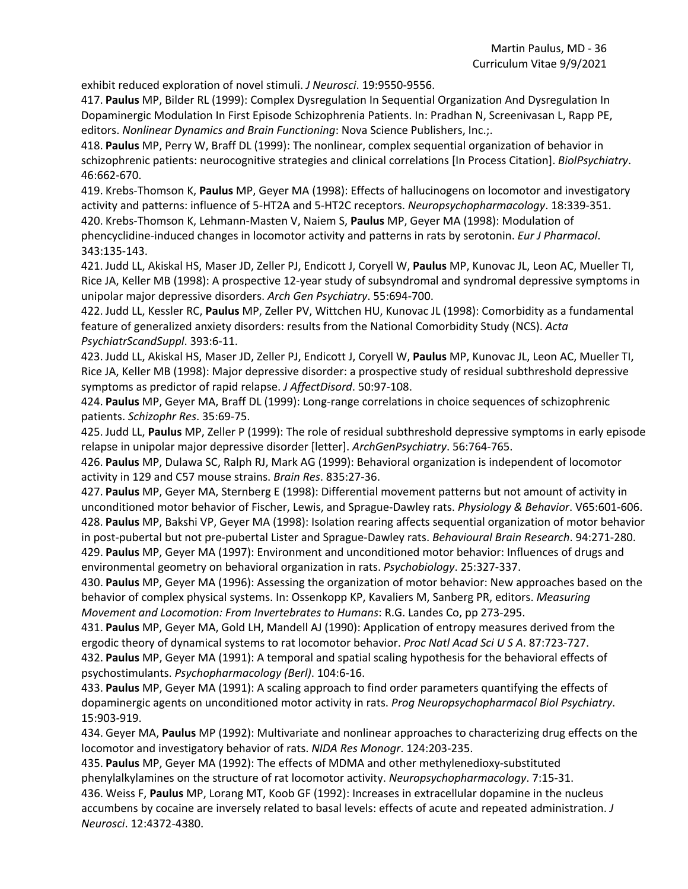exhibit reduced exploration of novel stimuli. *J Neurosci*. 19:9550-9556.

417. **Paulus** MP, Bilder RL (1999): Complex Dysregulation In Sequential Organization And Dysregulation In Dopaminergic Modulation In First Episode Schizophrenia Patients. In: Pradhan N, Screenivasan L, Rapp PE, editors. *Nonlinear Dynamics and Brain Functioning*: Nova Science Publishers, Inc.;.

418. **Paulus** MP, Perry W, Braff DL (1999): The nonlinear, complex sequential organization of behavior in schizophrenic patients: neurocognitive strategies and clinical correlations [In Process Citation]. *BiolPsychiatry*. 46:662-670.

419. Krebs-Thomson K, **Paulus** MP, Geyer MA (1998): Effects of hallucinogens on locomotor and investigatory activity and patterns: influence of 5-HT2A and 5-HT2C receptors. *Neuropsychopharmacology*. 18:339-351. 420. Krebs-Thomson K, Lehmann-Masten V, Naiem S, **Paulus** MP, Geyer MA (1998): Modulation of phencyclidine-induced changes in locomotor activity and patterns in rats by serotonin. *Eur J Pharmacol*. 343:135-143.

421. Judd LL, Akiskal HS, Maser JD, Zeller PJ, Endicott J, Coryell W, **Paulus** MP, Kunovac JL, Leon AC, Mueller TI, Rice JA, Keller MB (1998): A prospective 12-year study of subsyndromal and syndromal depressive symptoms in unipolar major depressive disorders. *Arch Gen Psychiatry*. 55:694-700.

422. Judd LL, Kessler RC, **Paulus** MP, Zeller PV, Wittchen HU, Kunovac JL (1998): Comorbidity as a fundamental feature of generalized anxiety disorders: results from the National Comorbidity Study (NCS). *Acta PsychiatrScandSuppl*. 393:6-11.

423. Judd LL, Akiskal HS, Maser JD, Zeller PJ, Endicott J, Coryell W, **Paulus** MP, Kunovac JL, Leon AC, Mueller TI, Rice JA, Keller MB (1998): Major depressive disorder: a prospective study of residual subthreshold depressive symptoms as predictor of rapid relapse. *J AffectDisord*. 50:97-108.

424. **Paulus** MP, Geyer MA, Braff DL (1999): Long-range correlations in choice sequences of schizophrenic patients. *Schizophr Res*. 35:69-75.

425. Judd LL, **Paulus** MP, Zeller P (1999): The role of residual subthreshold depressive symptoms in early episode relapse in unipolar major depressive disorder [letter]. *ArchGenPsychiatry*. 56:764-765.

426. **Paulus** MP, Dulawa SC, Ralph RJ, Mark AG (1999): Behavioral organization is independent of locomotor activity in 129 and C57 mouse strains. *Brain Res*. 835:27-36.

427. **Paulus** MP, Geyer MA, Sternberg E (1998): Differential movement patterns but not amount of activity in unconditioned motor behavior of Fischer, Lewis, and Sprague-Dawley rats. *Physiology & Behavior*. V65:601-606. 428. **Paulus** MP, Bakshi VP, Geyer MA (1998): Isolation rearing affects sequential organization of motor behavior in post-pubertal but not pre-pubertal Lister and Sprague-Dawley rats. *Behavioural Brain Research*. 94:271-280. 429. **Paulus** MP, Geyer MA (1997): Environment and unconditioned motor behavior: Influences of drugs and environmental geometry on behavioral organization in rats. *Psychobiology*. 25:327-337.

430. **Paulus** MP, Geyer MA (1996): Assessing the organization of motor behavior: New approaches based on the behavior of complex physical systems. In: Ossenkopp KP, Kavaliers M, Sanberg PR, editors. *Measuring Movement and Locomotion: From Invertebrates to Humans*: R.G. Landes Co, pp 273-295.

431. **Paulus** MP, Geyer MA, Gold LH, Mandell AJ (1990): Application of entropy measures derived from the ergodic theory of dynamical systems to rat locomotor behavior. *Proc Natl Acad Sci U S A*. 87:723-727. 432. **Paulus** MP, Geyer MA (1991): A temporal and spatial scaling hypothesis for the behavioral effects of

psychostimulants. *Psychopharmacology (Berl)*. 104:6-16.

433. **Paulus** MP, Geyer MA (1991): A scaling approach to find order parameters quantifying the effects of dopaminergic agents on unconditioned motor activity in rats. *Prog Neuropsychopharmacol Biol Psychiatry*. 15:903-919.

434. Geyer MA, **Paulus** MP (1992): Multivariate and nonlinear approaches to characterizing drug effects on the locomotor and investigatory behavior of rats. *NIDA Res Monogr*. 124:203-235.

435. **Paulus** MP, Geyer MA (1992): The effects of MDMA and other methylenedioxy-substituted phenylalkylamines on the structure of rat locomotor activity. *Neuropsychopharmacology*. 7:15-31. 436. Weiss F, **Paulus** MP, Lorang MT, Koob GF (1992): Increases in extracellular dopamine in the nucleus accumbens by cocaine are inversely related to basal levels: effects of acute and repeated administration. *J Neurosci*. 12:4372-4380.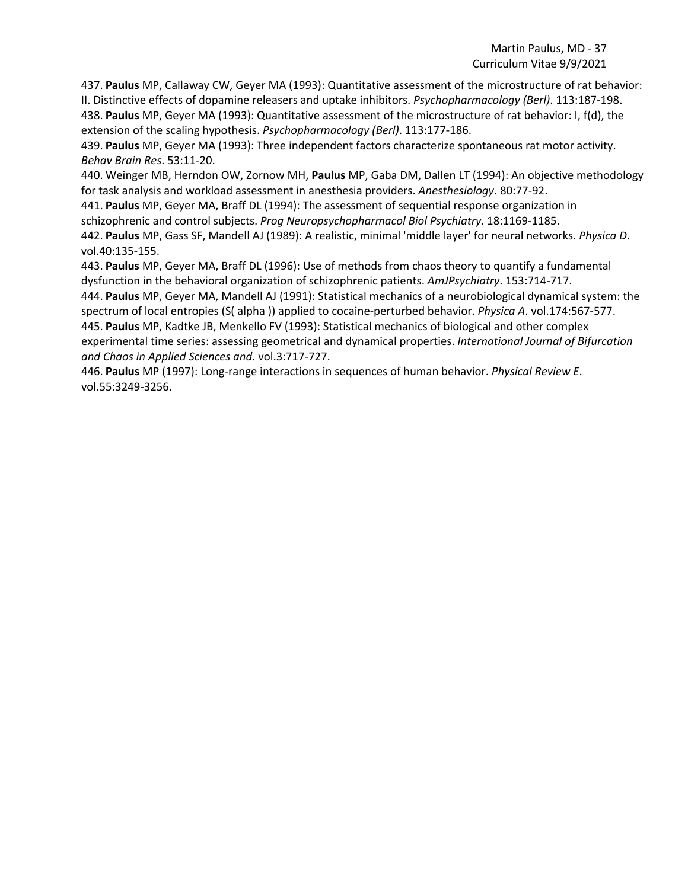437. **Paulus** MP, Callaway CW, Geyer MA (1993): Quantitative assessment of the microstructure of rat behavior: II. Distinctive effects of dopamine releasers and uptake inhibitors. *Psychopharmacology (Berl)*. 113:187-198. 438. **Paulus** MP, Geyer MA (1993): Quantitative assessment of the microstructure of rat behavior: I, f(d), the extension of the scaling hypothesis. *Psychopharmacology (Berl)*. 113:177-186.

439. **Paulus** MP, Geyer MA (1993): Three independent factors characterize spontaneous rat motor activity. *Behav Brain Res*. 53:11-20.

440. Weinger MB, Herndon OW, Zornow MH, **Paulus** MP, Gaba DM, Dallen LT (1994): An objective methodology for task analysis and workload assessment in anesthesia providers. *Anesthesiology*. 80:77-92.

441. **Paulus** MP, Geyer MA, Braff DL (1994): The assessment of sequential response organization in schizophrenic and control subjects. *Prog Neuropsychopharmacol Biol Psychiatry*. 18:1169-1185.

442. **Paulus** MP, Gass SF, Mandell AJ (1989): A realistic, minimal 'middle layer' for neural networks. *Physica D*. vol.40:135-155.

443. **Paulus** MP, Geyer MA, Braff DL (1996): Use of methods from chaos theory to quantify a fundamental dysfunction in the behavioral organization of schizophrenic patients. *AmJPsychiatry*. 153:714-717.

444. **Paulus** MP, Geyer MA, Mandell AJ (1991): Statistical mechanics of a neurobiological dynamical system: the spectrum of local entropies (S( alpha )) applied to cocaine-perturbed behavior. *Physica A*. vol.174:567-577.

445. **Paulus** MP, Kadtke JB, Menkello FV (1993): Statistical mechanics of biological and other complex experimental time series: assessing geometrical and dynamical properties. *International Journal of Bifurcation and Chaos in Applied Sciences and*. vol.3:717-727.

446. **Paulus** MP (1997): Long-range interactions in sequences of human behavior. *Physical Review E*. vol.55:3249-3256.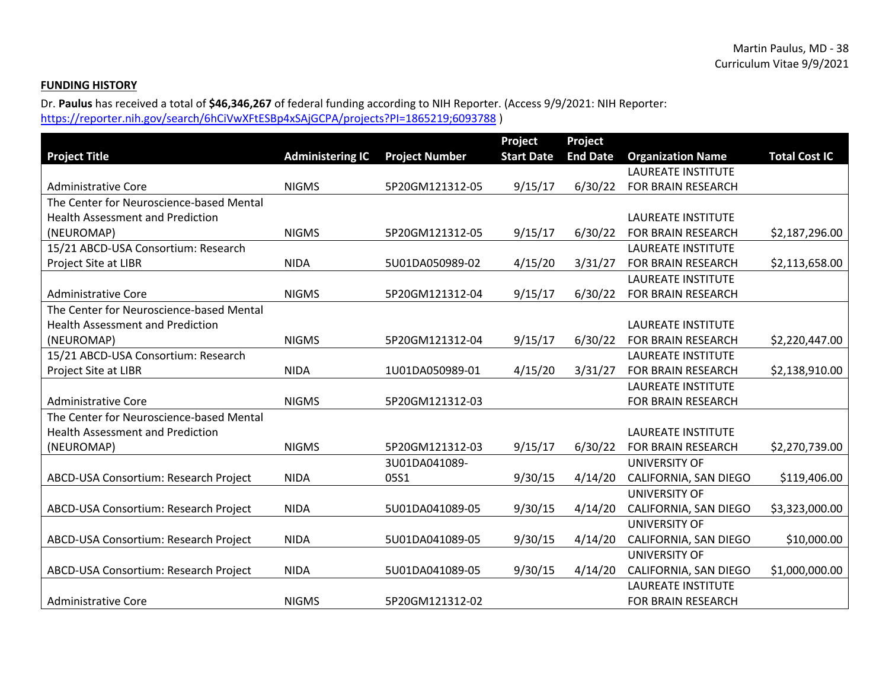# **FUNDING HISTORY**

Dr. **Paulus** has received a total of **\$46,346,267** of federal funding according to NIH Reporter. (Access 9/9/2021: NIH Reporter: https://reporter.nih.gov/search/6hCiVwXFtESBp4xSAjGCPA/projects?PI=1865219;6093788 )

|                                          |                         |                       | Project           | Project         |                           |                      |
|------------------------------------------|-------------------------|-----------------------|-------------------|-----------------|---------------------------|----------------------|
| <b>Project Title</b>                     | <b>Administering IC</b> | <b>Project Number</b> | <b>Start Date</b> | <b>End Date</b> | <b>Organization Name</b>  | <b>Total Cost IC</b> |
|                                          |                         |                       |                   |                 | <b>LAUREATE INSTITUTE</b> |                      |
| <b>Administrative Core</b>               | <b>NIGMS</b>            | 5P20GM121312-05       | 9/15/17           | 6/30/22         | FOR BRAIN RESEARCH        |                      |
| The Center for Neuroscience-based Mental |                         |                       |                   |                 |                           |                      |
| <b>Health Assessment and Prediction</b>  |                         |                       |                   |                 | <b>LAUREATE INSTITUTE</b> |                      |
| (NEUROMAP)                               | <b>NIGMS</b>            | 5P20GM121312-05       | 9/15/17           | 6/30/22         | <b>FOR BRAIN RESEARCH</b> | \$2,187,296.00       |
| 15/21 ABCD-USA Consortium: Research      |                         |                       |                   |                 | <b>LAUREATE INSTITUTE</b> |                      |
| Project Site at LIBR                     | <b>NIDA</b>             | 5U01DA050989-02       | 4/15/20           | 3/31/27         | <b>FOR BRAIN RESEARCH</b> | \$2,113,658.00       |
|                                          |                         |                       |                   |                 | <b>LAUREATE INSTITUTE</b> |                      |
| <b>Administrative Core</b>               | <b>NIGMS</b>            | 5P20GM121312-04       | 9/15/17           | 6/30/22         | FOR BRAIN RESEARCH        |                      |
| The Center for Neuroscience-based Mental |                         |                       |                   |                 |                           |                      |
| <b>Health Assessment and Prediction</b>  |                         |                       |                   |                 | <b>LAUREATE INSTITUTE</b> |                      |
| (NEUROMAP)                               | <b>NIGMS</b>            | 5P20GM121312-04       | 9/15/17           | 6/30/22         | <b>FOR BRAIN RESEARCH</b> | \$2,220,447.00       |
| 15/21 ABCD-USA Consortium: Research      |                         |                       |                   |                 | <b>LAUREATE INSTITUTE</b> |                      |
| Project Site at LIBR                     | <b>NIDA</b>             | 1U01DA050989-01       | 4/15/20           | 3/31/27         | FOR BRAIN RESEARCH        | \$2,138,910.00       |
|                                          |                         |                       |                   |                 | LAUREATE INSTITUTE        |                      |
| <b>Administrative Core</b>               | <b>NIGMS</b>            | 5P20GM121312-03       |                   |                 | FOR BRAIN RESEARCH        |                      |
| The Center for Neuroscience-based Mental |                         |                       |                   |                 |                           |                      |
| <b>Health Assessment and Prediction</b>  |                         |                       |                   |                 | LAUREATE INSTITUTE        |                      |
| (NEUROMAP)                               | <b>NIGMS</b>            | 5P20GM121312-03       | 9/15/17           | 6/30/22         | FOR BRAIN RESEARCH        | \$2,270,739.00       |
|                                          |                         | 3U01DA041089-         |                   |                 | UNIVERSITY OF             |                      |
| ABCD-USA Consortium: Research Project    | <b>NIDA</b>             | 05S1                  | 9/30/15           | 4/14/20         | CALIFORNIA, SAN DIEGO     | \$119,406.00         |
|                                          |                         |                       |                   |                 | <b>UNIVERSITY OF</b>      |                      |
| ABCD-USA Consortium: Research Project    | <b>NIDA</b>             | 5U01DA041089-05       | 9/30/15           | 4/14/20         | CALIFORNIA, SAN DIEGO     | \$3,323,000.00       |
|                                          |                         |                       |                   |                 | <b>UNIVERSITY OF</b>      |                      |
| ABCD-USA Consortium: Research Project    | <b>NIDA</b>             | 5U01DA041089-05       | 9/30/15           | 4/14/20         | CALIFORNIA, SAN DIEGO     | \$10,000.00          |
|                                          |                         |                       |                   |                 | <b>UNIVERSITY OF</b>      |                      |
| ABCD-USA Consortium: Research Project    | <b>NIDA</b>             | 5U01DA041089-05       | 9/30/15           | 4/14/20         | CALIFORNIA, SAN DIEGO     | \$1,000,000.00       |
|                                          |                         |                       |                   |                 | <b>LAUREATE INSTITUTE</b> |                      |
| <b>Administrative Core</b>               | <b>NIGMS</b>            | 5P20GM121312-02       |                   |                 | <b>FOR BRAIN RESEARCH</b> |                      |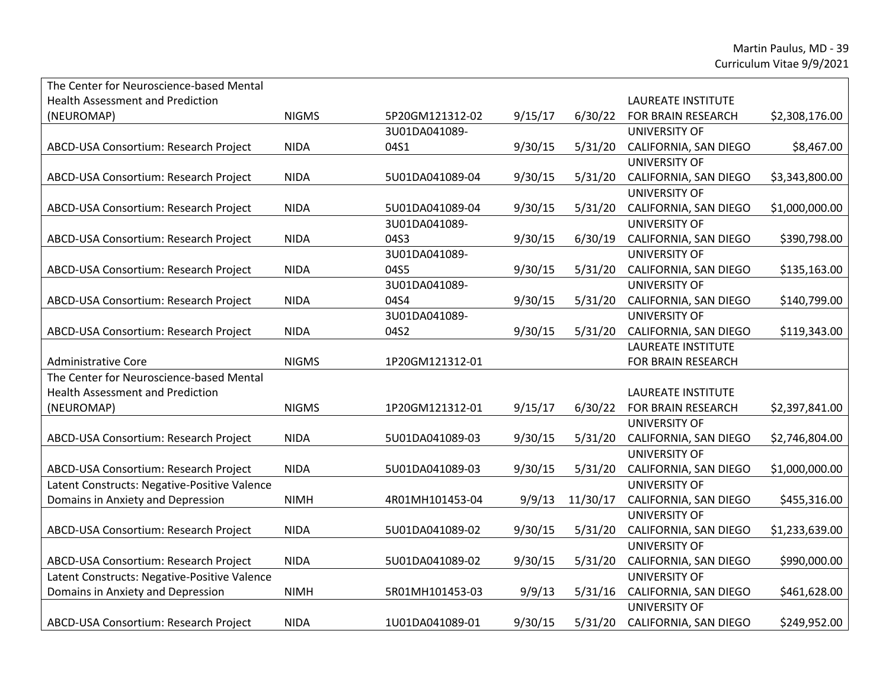| The Center for Neuroscience-based Mental     |              |                 |         |          |                               |                |
|----------------------------------------------|--------------|-----------------|---------|----------|-------------------------------|----------------|
| <b>Health Assessment and Prediction</b>      |              |                 |         |          | <b>LAUREATE INSTITUTE</b>     |                |
| (NEUROMAP)                                   | <b>NIGMS</b> | 5P20GM121312-02 | 9/15/17 | 6/30/22  | FOR BRAIN RESEARCH            | \$2,308,176.00 |
|                                              |              | 3U01DA041089-   |         |          | <b>UNIVERSITY OF</b>          |                |
| ABCD-USA Consortium: Research Project        | <b>NIDA</b>  | 04S1            | 9/30/15 | 5/31/20  | CALIFORNIA, SAN DIEGO         | \$8,467.00     |
|                                              |              |                 |         |          | UNIVERSITY OF                 |                |
| ABCD-USA Consortium: Research Project        | <b>NIDA</b>  | 5U01DA041089-04 | 9/30/15 | 5/31/20  | CALIFORNIA, SAN DIEGO         | \$3,343,800.00 |
|                                              |              |                 |         |          | UNIVERSITY OF                 |                |
| ABCD-USA Consortium: Research Project        | <b>NIDA</b>  | 5U01DA041089-04 | 9/30/15 | 5/31/20  | CALIFORNIA, SAN DIEGO         | \$1,000,000.00 |
|                                              |              | 3U01DA041089-   |         |          | UNIVERSITY OF                 |                |
| ABCD-USA Consortium: Research Project        | <b>NIDA</b>  | 04S3            | 9/30/15 | 6/30/19  | CALIFORNIA, SAN DIEGO         | \$390,798.00   |
|                                              |              | 3U01DA041089-   |         |          | UNIVERSITY OF                 |                |
| ABCD-USA Consortium: Research Project        | <b>NIDA</b>  | 04S5            | 9/30/15 | 5/31/20  | CALIFORNIA, SAN DIEGO         | \$135,163.00   |
|                                              |              | 3U01DA041089-   |         |          | <b>UNIVERSITY OF</b>          |                |
| ABCD-USA Consortium: Research Project        | <b>NIDA</b>  | 04S4            | 9/30/15 | 5/31/20  | CALIFORNIA, SAN DIEGO         | \$140,799.00   |
|                                              |              | 3U01DA041089-   |         |          | <b>UNIVERSITY OF</b>          |                |
| ABCD-USA Consortium: Research Project        | <b>NIDA</b>  | 04S2            | 9/30/15 | 5/31/20  | CALIFORNIA, SAN DIEGO         | \$119,343.00   |
|                                              |              |                 |         |          | <b>LAUREATE INSTITUTE</b>     |                |
| <b>Administrative Core</b>                   | <b>NIGMS</b> | 1P20GM121312-01 |         |          | FOR BRAIN RESEARCH            |                |
| The Center for Neuroscience-based Mental     |              |                 |         |          |                               |                |
| <b>Health Assessment and Prediction</b>      |              |                 |         |          | <b>LAUREATE INSTITUTE</b>     |                |
| (NEUROMAP)                                   | <b>NIGMS</b> | 1P20GM121312-01 | 9/15/17 | 6/30/22  | FOR BRAIN RESEARCH            | \$2,397,841.00 |
|                                              |              |                 |         |          | <b>UNIVERSITY OF</b>          |                |
| ABCD-USA Consortium: Research Project        | <b>NIDA</b>  | 5U01DA041089-03 | 9/30/15 | 5/31/20  | CALIFORNIA, SAN DIEGO         | \$2,746,804.00 |
|                                              |              |                 |         |          | UNIVERSITY OF                 |                |
| ABCD-USA Consortium: Research Project        | <b>NIDA</b>  | 5U01DA041089-03 | 9/30/15 | 5/31/20  | CALIFORNIA, SAN DIEGO         | \$1,000,000.00 |
| Latent Constructs: Negative-Positive Valence |              |                 |         |          | <b>UNIVERSITY OF</b>          |                |
| Domains in Anxiety and Depression            | <b>NIMH</b>  | 4R01MH101453-04 | 9/9/13  | 11/30/17 | CALIFORNIA, SAN DIEGO         | \$455,316.00   |
|                                              |              |                 |         |          | <b>UNIVERSITY OF</b>          |                |
| ABCD-USA Consortium: Research Project        | <b>NIDA</b>  | 5U01DA041089-02 | 9/30/15 | 5/31/20  | CALIFORNIA, SAN DIEGO         | \$1,233,639.00 |
|                                              |              |                 |         |          | UNIVERSITY OF                 |                |
| ABCD-USA Consortium: Research Project        | <b>NIDA</b>  | 5U01DA041089-02 | 9/30/15 | 5/31/20  | CALIFORNIA, SAN DIEGO         | \$990,000.00   |
| Latent Constructs: Negative-Positive Valence |              |                 |         |          | UNIVERSITY OF                 |                |
| Domains in Anxiety and Depression            | <b>NIMH</b>  | 5R01MH101453-03 | 9/9/13  | 5/31/16  | CALIFORNIA, SAN DIEGO         | \$461,628.00   |
|                                              |              |                 |         |          | <b>UNIVERSITY OF</b>          |                |
| ABCD-USA Consortium: Research Project        | <b>NIDA</b>  | 1U01DA041089-01 | 9/30/15 |          | 5/31/20 CALIFORNIA, SAN DIEGO | \$249,952.00   |

**T**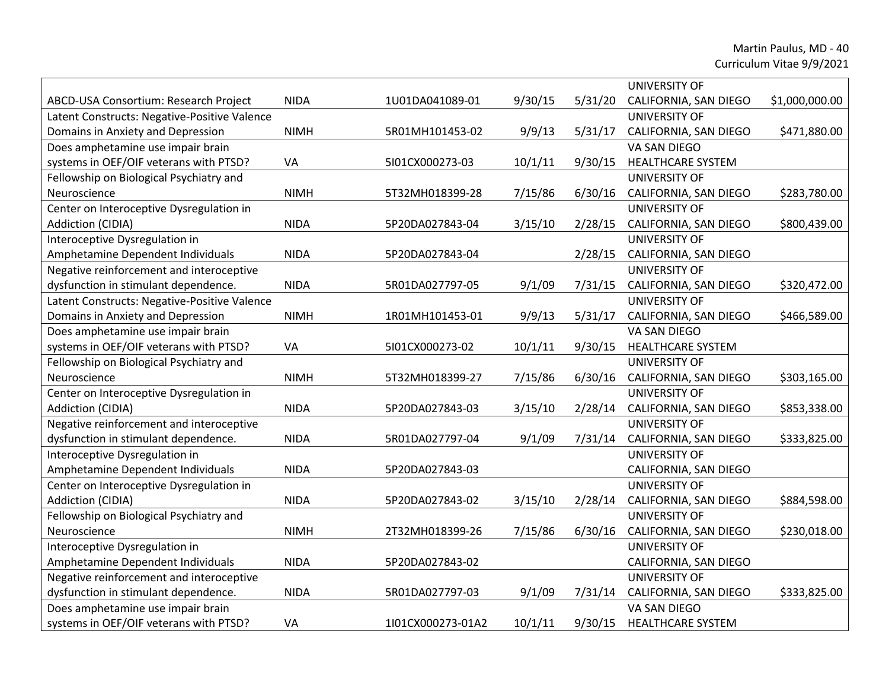Martin Paulus, MD - 40 Curriculum Vitae 9/9/2021

|                                              |             |                   |         |         | UNIVERSITY OF            |                |
|----------------------------------------------|-------------|-------------------|---------|---------|--------------------------|----------------|
| ABCD-USA Consortium: Research Project        | <b>NIDA</b> | 1U01DA041089-01   | 9/30/15 | 5/31/20 | CALIFORNIA, SAN DIEGO    | \$1,000,000.00 |
| Latent Constructs: Negative-Positive Valence |             |                   |         |         | <b>UNIVERSITY OF</b>     |                |
| Domains in Anxiety and Depression            | <b>NIMH</b> | 5R01MH101453-02   | 9/9/13  | 5/31/17 | CALIFORNIA, SAN DIEGO    | \$471,880.00   |
| Does amphetamine use impair brain            |             |                   |         |         | VA SAN DIEGO             |                |
| systems in OEF/OIF veterans with PTSD?       | VA          | 5101CX000273-03   | 10/1/11 | 9/30/15 | <b>HEALTHCARE SYSTEM</b> |                |
| Fellowship on Biological Psychiatry and      |             |                   |         |         | <b>UNIVERSITY OF</b>     |                |
| Neuroscience                                 | <b>NIMH</b> | 5T32MH018399-28   | 7/15/86 | 6/30/16 | CALIFORNIA, SAN DIEGO    | \$283,780.00   |
| Center on Interoceptive Dysregulation in     |             |                   |         |         | <b>UNIVERSITY OF</b>     |                |
| Addiction (CIDIA)                            | <b>NIDA</b> | 5P20DA027843-04   | 3/15/10 | 2/28/15 | CALIFORNIA, SAN DIEGO    | \$800,439.00   |
| Interoceptive Dysregulation in               |             |                   |         |         | <b>UNIVERSITY OF</b>     |                |
| Amphetamine Dependent Individuals            | <b>NIDA</b> | 5P20DA027843-04   |         | 2/28/15 | CALIFORNIA, SAN DIEGO    |                |
| Negative reinforcement and interoceptive     |             |                   |         |         | <b>UNIVERSITY OF</b>     |                |
| dysfunction in stimulant dependence.         | <b>NIDA</b> | 5R01DA027797-05   | 9/1/09  | 7/31/15 | CALIFORNIA, SAN DIEGO    | \$320,472.00   |
| Latent Constructs: Negative-Positive Valence |             |                   |         |         | UNIVERSITY OF            |                |
| Domains in Anxiety and Depression            | <b>NIMH</b> | 1R01MH101453-01   | 9/9/13  | 5/31/17 | CALIFORNIA, SAN DIEGO    | \$466,589.00   |
| Does amphetamine use impair brain            |             |                   |         |         | VA SAN DIEGO             |                |
| systems in OEF/OIF veterans with PTSD?       | VA          | 5101CX000273-02   | 10/1/11 | 9/30/15 | <b>HEALTHCARE SYSTEM</b> |                |
| Fellowship on Biological Psychiatry and      |             |                   |         |         | <b>UNIVERSITY OF</b>     |                |
| Neuroscience                                 | <b>NIMH</b> | 5T32MH018399-27   | 7/15/86 | 6/30/16 | CALIFORNIA, SAN DIEGO    | \$303,165.00   |
| Center on Interoceptive Dysregulation in     |             |                   |         |         | <b>UNIVERSITY OF</b>     |                |
| Addiction (CIDIA)                            | <b>NIDA</b> | 5P20DA027843-03   | 3/15/10 | 2/28/14 | CALIFORNIA, SAN DIEGO    | \$853,338.00   |
| Negative reinforcement and interoceptive     |             |                   |         |         | <b>UNIVERSITY OF</b>     |                |
| dysfunction in stimulant dependence.         | <b>NIDA</b> | 5R01DA027797-04   | 9/1/09  | 7/31/14 | CALIFORNIA, SAN DIEGO    | \$333,825.00   |
| Interoceptive Dysregulation in               |             |                   |         |         | <b>UNIVERSITY OF</b>     |                |
| Amphetamine Dependent Individuals            | <b>NIDA</b> | 5P20DA027843-03   |         |         | CALIFORNIA, SAN DIEGO    |                |
| Center on Interoceptive Dysregulation in     |             |                   |         |         | <b>UNIVERSITY OF</b>     |                |
| Addiction (CIDIA)                            | <b>NIDA</b> | 5P20DA027843-02   | 3/15/10 | 2/28/14 | CALIFORNIA, SAN DIEGO    | \$884,598.00   |
| Fellowship on Biological Psychiatry and      |             |                   |         |         | <b>UNIVERSITY OF</b>     |                |
| Neuroscience                                 | <b>NIMH</b> | 2T32MH018399-26   | 7/15/86 | 6/30/16 | CALIFORNIA, SAN DIEGO    | \$230,018.00   |
| Interoceptive Dysregulation in               |             |                   |         |         | <b>UNIVERSITY OF</b>     |                |
| Amphetamine Dependent Individuals            | <b>NIDA</b> | 5P20DA027843-02   |         |         | CALIFORNIA, SAN DIEGO    |                |
| Negative reinforcement and interoceptive     |             |                   |         |         | <b>UNIVERSITY OF</b>     |                |
| dysfunction in stimulant dependence.         | <b>NIDA</b> | 5R01DA027797-03   | 9/1/09  | 7/31/14 | CALIFORNIA, SAN DIEGO    | \$333,825.00   |
| Does amphetamine use impair brain            |             |                   |         |         | VA SAN DIEGO             |                |
| systems in OEF/OIF veterans with PTSD?       | VA          | 1101CX000273-01A2 | 10/1/11 | 9/30/15 | <b>HEALTHCARE SYSTEM</b> |                |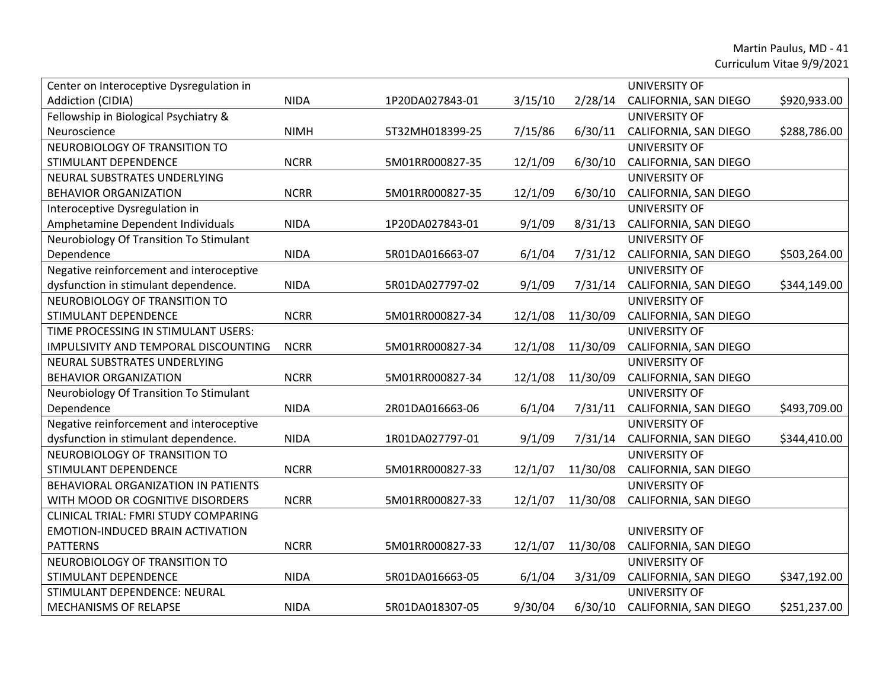Martin Paulus, MD - 41 Curriculum Vitae 9/9/2021

| Center on Interoceptive Dysregulation in |             |                 |         |          | <b>UNIVERSITY OF</b>  |              |
|------------------------------------------|-------------|-----------------|---------|----------|-----------------------|--------------|
| Addiction (CIDIA)                        | <b>NIDA</b> | 1P20DA027843-01 | 3/15/10 | 2/28/14  | CALIFORNIA, SAN DIEGO | \$920,933.00 |
| Fellowship in Biological Psychiatry &    |             |                 |         |          | <b>UNIVERSITY OF</b>  |              |
| Neuroscience                             | <b>NIMH</b> | 5T32MH018399-25 | 7/15/86 | 6/30/11  | CALIFORNIA, SAN DIEGO | \$288,786.00 |
| NEUROBIOLOGY OF TRANSITION TO            |             |                 |         |          | <b>UNIVERSITY OF</b>  |              |
| STIMULANT DEPENDENCE                     | <b>NCRR</b> | 5M01RR000827-35 | 12/1/09 | 6/30/10  | CALIFORNIA, SAN DIEGO |              |
| NEURAL SUBSTRATES UNDERLYING             |             |                 |         |          | <b>UNIVERSITY OF</b>  |              |
| <b>BEHAVIOR ORGANIZATION</b>             | <b>NCRR</b> | 5M01RR000827-35 | 12/1/09 | 6/30/10  | CALIFORNIA, SAN DIEGO |              |
| Interoceptive Dysregulation in           |             |                 |         |          | <b>UNIVERSITY OF</b>  |              |
| Amphetamine Dependent Individuals        | <b>NIDA</b> | 1P20DA027843-01 | 9/1/09  | 8/31/13  | CALIFORNIA, SAN DIEGO |              |
| Neurobiology Of Transition To Stimulant  |             |                 |         |          | <b>UNIVERSITY OF</b>  |              |
| Dependence                               | <b>NIDA</b> | 5R01DA016663-07 | 6/1/04  | 7/31/12  | CALIFORNIA, SAN DIEGO | \$503,264.00 |
| Negative reinforcement and interoceptive |             |                 |         |          | <b>UNIVERSITY OF</b>  |              |
| dysfunction in stimulant dependence.     | <b>NIDA</b> | 5R01DA027797-02 | 9/1/09  | 7/31/14  | CALIFORNIA, SAN DIEGO | \$344,149.00 |
| NEUROBIOLOGY OF TRANSITION TO            |             |                 |         |          | <b>UNIVERSITY OF</b>  |              |
| STIMULANT DEPENDENCE                     | <b>NCRR</b> | 5M01RR000827-34 | 12/1/08 | 11/30/09 | CALIFORNIA, SAN DIEGO |              |
| TIME PROCESSING IN STIMULANT USERS:      |             |                 |         |          | <b>UNIVERSITY OF</b>  |              |
| IMPULSIVITY AND TEMPORAL DISCOUNTING     | <b>NCRR</b> | 5M01RR000827-34 | 12/1/08 | 11/30/09 | CALIFORNIA, SAN DIEGO |              |
| NEURAL SUBSTRATES UNDERLYING             |             |                 |         |          | <b>UNIVERSITY OF</b>  |              |
| <b>BEHAVIOR ORGANIZATION</b>             | <b>NCRR</b> | 5M01RR000827-34 | 12/1/08 | 11/30/09 | CALIFORNIA, SAN DIEGO |              |
| Neurobiology Of Transition To Stimulant  |             |                 |         |          | UNIVERSITY OF         |              |
| Dependence                               | <b>NIDA</b> | 2R01DA016663-06 | 6/1/04  | 7/31/11  | CALIFORNIA, SAN DIEGO | \$493,709.00 |
| Negative reinforcement and interoceptive |             |                 |         |          | <b>UNIVERSITY OF</b>  |              |
| dysfunction in stimulant dependence.     | <b>NIDA</b> | 1R01DA027797-01 | 9/1/09  | 7/31/14  | CALIFORNIA, SAN DIEGO | \$344,410.00 |
| NEUROBIOLOGY OF TRANSITION TO            |             |                 |         |          | <b>UNIVERSITY OF</b>  |              |
| STIMULANT DEPENDENCE                     | <b>NCRR</b> | 5M01RR000827-33 | 12/1/07 | 11/30/08 | CALIFORNIA, SAN DIEGO |              |
| BEHAVIORAL ORGANIZATION IN PATIENTS      |             |                 |         |          | <b>UNIVERSITY OF</b>  |              |
| WITH MOOD OR COGNITIVE DISORDERS         | <b>NCRR</b> | 5M01RR000827-33 | 12/1/07 | 11/30/08 | CALIFORNIA, SAN DIEGO |              |
| CLINICAL TRIAL: FMRI STUDY COMPARING     |             |                 |         |          |                       |              |
| <b>EMOTION-INDUCED BRAIN ACTIVATION</b>  |             |                 |         |          | <b>UNIVERSITY OF</b>  |              |
| <b>PATTERNS</b>                          | <b>NCRR</b> | 5M01RR000827-33 | 12/1/07 | 11/30/08 | CALIFORNIA, SAN DIEGO |              |
| NEUROBIOLOGY OF TRANSITION TO            |             |                 |         |          | UNIVERSITY OF         |              |
| STIMULANT DEPENDENCE                     | <b>NIDA</b> | 5R01DA016663-05 | 6/1/04  | 3/31/09  | CALIFORNIA, SAN DIEGO | \$347,192.00 |
| STIMULANT DEPENDENCE: NEURAL             |             |                 |         |          | <b>UNIVERSITY OF</b>  |              |
| MECHANISMS OF RELAPSE                    | <b>NIDA</b> | 5R01DA018307-05 | 9/30/04 | 6/30/10  | CALIFORNIA, SAN DIEGO | \$251,237.00 |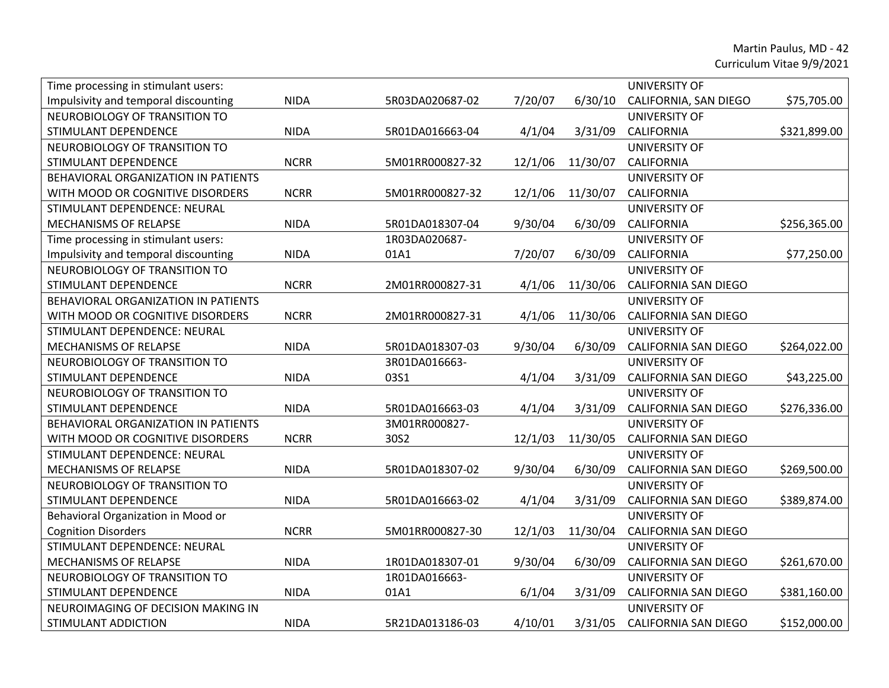Martin Paulus, MD - 42 Curriculum Vitae 9/9/2021

| Time processing in stimulant users:  |             |                 |         |          | <b>UNIVERSITY OF</b>        |              |
|--------------------------------------|-------------|-----------------|---------|----------|-----------------------------|--------------|
| Impulsivity and temporal discounting | <b>NIDA</b> | 5R03DA020687-02 | 7/20/07 | 6/30/10  | CALIFORNIA, SAN DIEGO       | \$75,705.00  |
| NEUROBIOLOGY OF TRANSITION TO        |             |                 |         |          | <b>UNIVERSITY OF</b>        |              |
| STIMULANT DEPENDENCE                 | <b>NIDA</b> | 5R01DA016663-04 | 4/1/04  | 3/31/09  | CALIFORNIA                  | \$321,899.00 |
| NEUROBIOLOGY OF TRANSITION TO        |             |                 |         |          | <b>UNIVERSITY OF</b>        |              |
| STIMULANT DEPENDENCE                 | <b>NCRR</b> | 5M01RR000827-32 | 12/1/06 | 11/30/07 | CALIFORNIA                  |              |
| BEHAVIORAL ORGANIZATION IN PATIENTS  |             |                 |         |          | <b>UNIVERSITY OF</b>        |              |
| WITH MOOD OR COGNITIVE DISORDERS     | <b>NCRR</b> | 5M01RR000827-32 | 12/1/06 | 11/30/07 | <b>CALIFORNIA</b>           |              |
| STIMULANT DEPENDENCE: NEURAL         |             |                 |         |          | <b>UNIVERSITY OF</b>        |              |
| <b>MECHANISMS OF RELAPSE</b>         | <b>NIDA</b> | 5R01DA018307-04 | 9/30/04 | 6/30/09  | <b>CALIFORNIA</b>           | \$256,365.00 |
| Time processing in stimulant users:  |             | 1R03DA020687-   |         |          | <b>UNIVERSITY OF</b>        |              |
| Impulsivity and temporal discounting | <b>NIDA</b> | 01A1            | 7/20/07 | 6/30/09  | <b>CALIFORNIA</b>           | \$77,250.00  |
| NEUROBIOLOGY OF TRANSITION TO        |             |                 |         |          | <b>UNIVERSITY OF</b>        |              |
| STIMULANT DEPENDENCE                 | <b>NCRR</b> | 2M01RR000827-31 | 4/1/06  | 11/30/06 | CALIFORNIA SAN DIEGO        |              |
| BEHAVIORAL ORGANIZATION IN PATIENTS  |             |                 |         |          | UNIVERSITY OF               |              |
| WITH MOOD OR COGNITIVE DISORDERS     | <b>NCRR</b> | 2M01RR000827-31 | 4/1/06  | 11/30/06 | <b>CALIFORNIA SAN DIEGO</b> |              |
| STIMULANT DEPENDENCE: NEURAL         |             |                 |         |          | <b>UNIVERSITY OF</b>        |              |
| MECHANISMS OF RELAPSE                | <b>NIDA</b> | 5R01DA018307-03 | 9/30/04 | 6/30/09  | CALIFORNIA SAN DIEGO        | \$264,022.00 |
| NEUROBIOLOGY OF TRANSITION TO        |             | 3R01DA016663-   |         |          | <b>UNIVERSITY OF</b>        |              |
| STIMULANT DEPENDENCE                 | <b>NIDA</b> | 03S1            | 4/1/04  | 3/31/09  | CALIFORNIA SAN DIEGO        | \$43,225.00  |
| NEUROBIOLOGY OF TRANSITION TO        |             |                 |         |          | <b>UNIVERSITY OF</b>        |              |
| STIMULANT DEPENDENCE                 | <b>NIDA</b> | 5R01DA016663-03 | 4/1/04  | 3/31/09  | <b>CALIFORNIA SAN DIEGO</b> | \$276,336.00 |
| BEHAVIORAL ORGANIZATION IN PATIENTS  |             | 3M01RR000827-   |         |          | <b>UNIVERSITY OF</b>        |              |
| WITH MOOD OR COGNITIVE DISORDERS     | <b>NCRR</b> | 30S2            | 12/1/03 | 11/30/05 | CALIFORNIA SAN DIEGO        |              |
| STIMULANT DEPENDENCE: NEURAL         |             |                 |         |          | <b>UNIVERSITY OF</b>        |              |
| <b>MECHANISMS OF RELAPSE</b>         | <b>NIDA</b> | 5R01DA018307-02 | 9/30/04 | 6/30/09  | CALIFORNIA SAN DIEGO        | \$269,500.00 |
| NEUROBIOLOGY OF TRANSITION TO        |             |                 |         |          | <b>UNIVERSITY OF</b>        |              |
| STIMULANT DEPENDENCE                 | <b>NIDA</b> | 5R01DA016663-02 | 4/1/04  | 3/31/09  | <b>CALIFORNIA SAN DIEGO</b> | \$389,874.00 |
| Behavioral Organization in Mood or   |             |                 |         |          | <b>UNIVERSITY OF</b>        |              |
| <b>Cognition Disorders</b>           | <b>NCRR</b> | 5M01RR000827-30 | 12/1/03 | 11/30/04 | CALIFORNIA SAN DIEGO        |              |
| STIMULANT DEPENDENCE: NEURAL         |             |                 |         |          | <b>UNIVERSITY OF</b>        |              |
| MECHANISMS OF RELAPSE                | <b>NIDA</b> | 1R01DA018307-01 | 9/30/04 | 6/30/09  | <b>CALIFORNIA SAN DIEGO</b> | \$261,670.00 |
| NEUROBIOLOGY OF TRANSITION TO        |             | 1R01DA016663-   |         |          | <b>UNIVERSITY OF</b>        |              |
| STIMULANT DEPENDENCE                 | <b>NIDA</b> | 01A1            | 6/1/04  | 3/31/09  | CALIFORNIA SAN DIEGO        | \$381,160.00 |
| NEUROIMAGING OF DECISION MAKING IN   |             |                 |         |          | <b>UNIVERSITY OF</b>        |              |
| STIMULANT ADDICTION                  | <b>NIDA</b> | 5R21DA013186-03 | 4/10/01 | 3/31/05  | <b>CALIFORNIA SAN DIEGO</b> | \$152,000.00 |